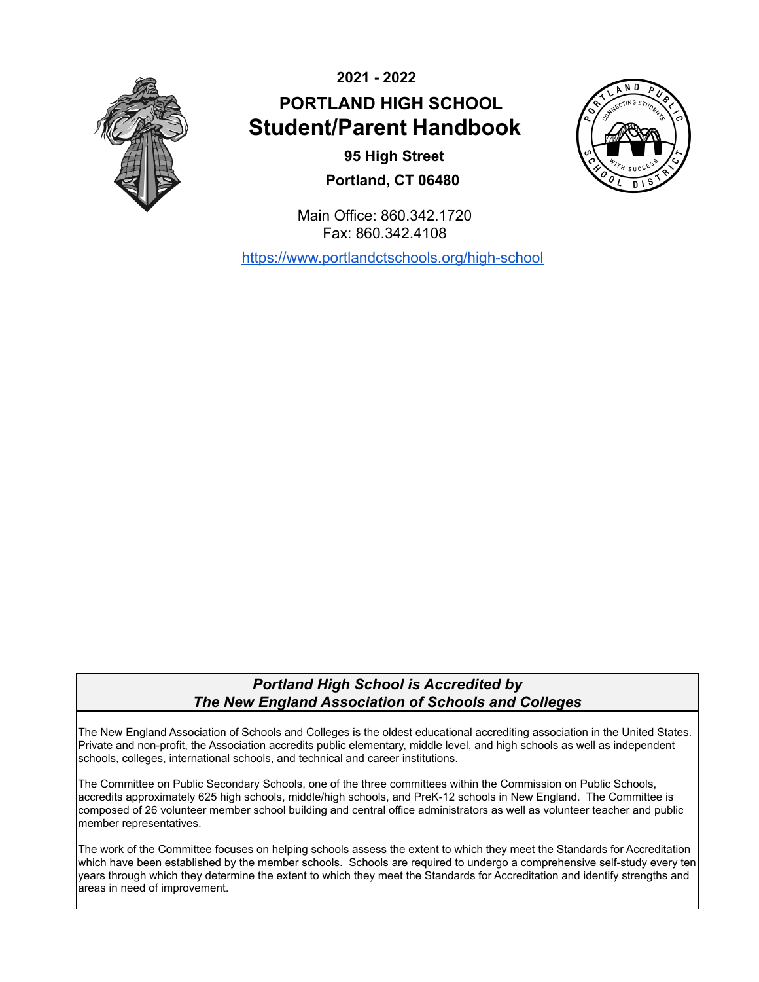

**2021 - 2022 PORTLAND HIGH SCHOOL Student/Parent Handbook**

> **95 High Street Portland, CT 06480**



Main Office: 860.342.1720 Fax: 860.342.4108

<https://www.portlandctschools.org/high-school>

# *Portland High School is Accredited by The New England Association of Schools and Colleges*

The New England Association of Schools and Colleges is the oldest educational accrediting association in the United States. Private and non-profit, the Association accredits public elementary, middle level, and high schools as well as independent schools, colleges, international schools, and technical and career institutions.

The Committee on Public Secondary Schools, one of the three committees within the Commission on Public Schools, accredits approximately 625 high schools, middle/high schools, and PreK-12 schools in New England. The Committee is composed of 26 volunteer member school building and central office administrators as well as volunteer teacher and public member representatives.

The work of the Committee focuses on helping schools assess the extent to which they meet the Standards for Accreditation which have been established by the member schools. Schools are required to undergo a comprehensive self-study every ten years through which they determine the extent to which they meet the Standards for Accreditation and identify strengths and areas in need of improvement.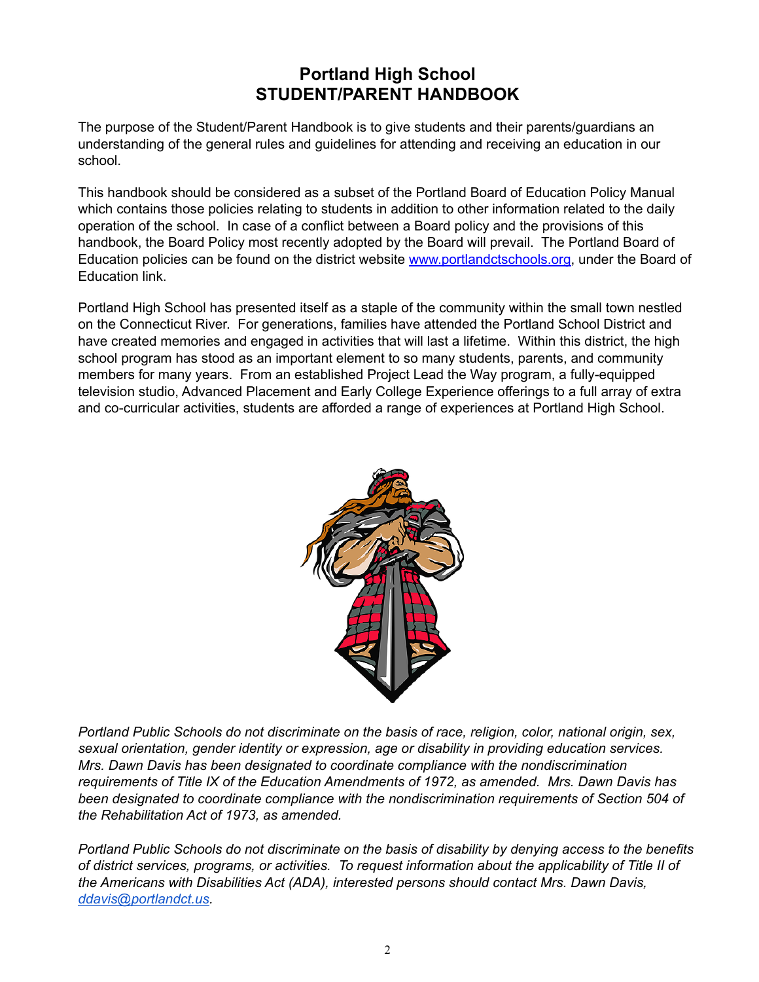# **Portland High School STUDENT/PARENT HANDBOOK**

The purpose of the Student/Parent Handbook is to give students and their parents/guardians an understanding of the general rules and guidelines for attending and receiving an education in our school.

This handbook should be considered as a subset of the Portland Board of Education Policy Manual which contains those policies relating to students in addition to other information related to the daily operation of the school. In case of a conflict between a Board policy and the provisions of this handbook, the Board Policy most recently adopted by the Board will prevail. The Portland Board of Education policies can be found on the district website [www.portlandctschools.org,](http://www.portlandctschools.org) under the Board of Education link.

Portland High School has presented itself as a staple of the community within the small town nestled on the Connecticut River. For generations, families have attended the Portland School District and have created memories and engaged in activities that will last a lifetime. Within this district, the high school program has stood as an important element to so many students, parents, and community members for many years. From an established Project Lead the Way program, a fully-equipped television studio, Advanced Placement and Early College Experience offerings to a full array of extra and co-curricular activities, students are afforded a range of experiences at Portland High School.



*Portland Public Schools do not discriminate on the basis of race, religion, color, national origin, sex, sexual orientation, gender identity or expression, age or disability in providing education services. Mrs. Dawn Davis has been designated to coordinate compliance with the nondiscrimination requirements of Title IX of the Education Amendments of 1972, as amended. Mrs. Dawn Davis has been designated to coordinate compliance with the nondiscrimination requirements of Section 504 of the Rehabilitation Act of 1973, as amended.*

*Portland Public Schools do not discriminate on the basis of disability by denying access to the benefits of district services, programs, or activities. To request information about the applicability of Title II of the Americans with Disabilities Act (ADA), interested persons should contact Mrs. Dawn Davis, [ddavis@portlandct.us.](mailto:ddavis@portlandct.us)*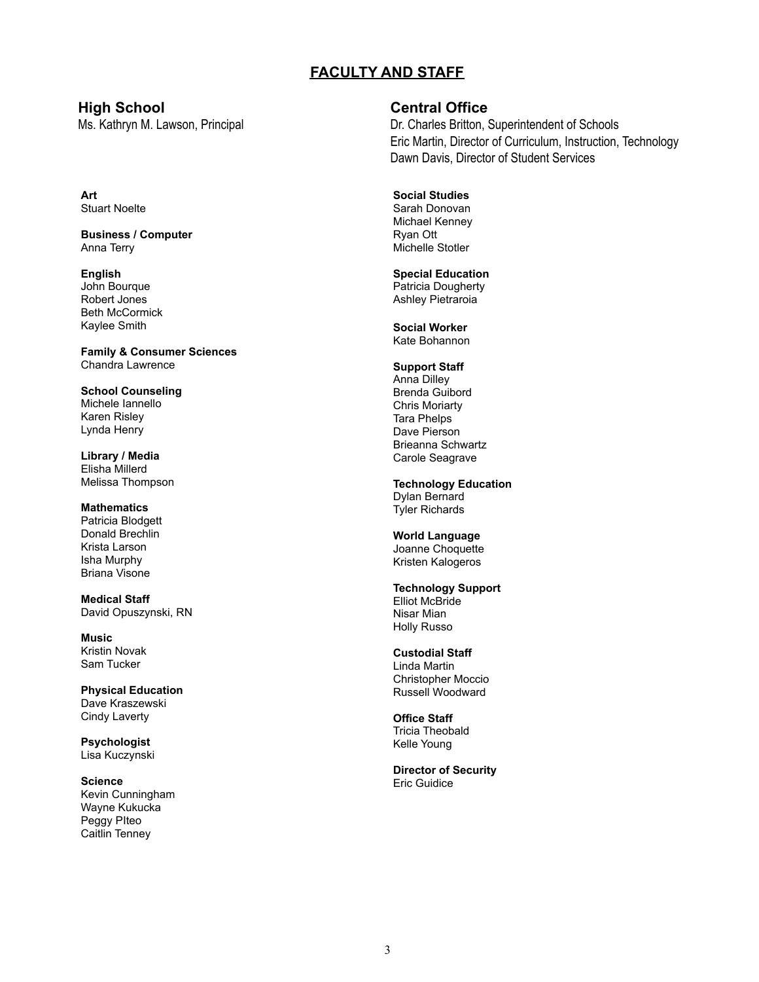# **FACULTY AND STAFF**

# **Art** Stuart Noelte

**Business / Computer** Anna Terry

#### **English** John Bourque Robert Jones Beth McCormick Kaylee Smith

**Family & Consumer Sciences** Chandra Lawrence

**School Counseling** Michele Iannello Karen Risley Lynda Henry

**Library / Media** Elisha Millerd Melissa Thompson

#### **Mathematics** Patricia Blodgett Donald Brechlin Krista Larson Isha Murphy Briana Visone

**Medical Staff** David Opuszynski, RN

**Music** Kristin Novak Sam Tucker

**Physical Education** Dave Kraszewski Cindy Laverty

**Psychologist** Lisa Kuczynski

#### **Science** Kevin Cunningham Wayne Kukucka Peggy PIteo Caitlin Tenney

# **High School Central Office**

Ms. Kathryn M. Lawson, Principal **Dr. Charles Britton, Superintendent of Schools** Eric Martin, Director of Curriculum, Instruction, Technology Dawn Davis, Director of Student Services

#### **Social Studies** Sarah Donovan

Michael Kenney Ryan Ott Michelle Stotler

# **Special Education**

Patricia Dougherty Ashley Pietraroia

**Social Worker** Kate Bohannon

# **Support Staff**

Anna Dilley Brenda Guibord Chris Moriarty Tara Phelps Dave Pierson Brieanna Schwartz Carole Seagrave

#### **Technology Education** Dylan Bernard

Tyler Richards

# **World Language**

Joanne Choquette Kristen Kalogeros

#### **Technology Support** Elliot McBride Nisar Mian Holly Russo

# **Custodial Staff**

Linda Martin Christopher Moccio Russell Woodward

**Office Staff** Tricia Theobald Kelle Young

# **Director of Security** Eric Guidice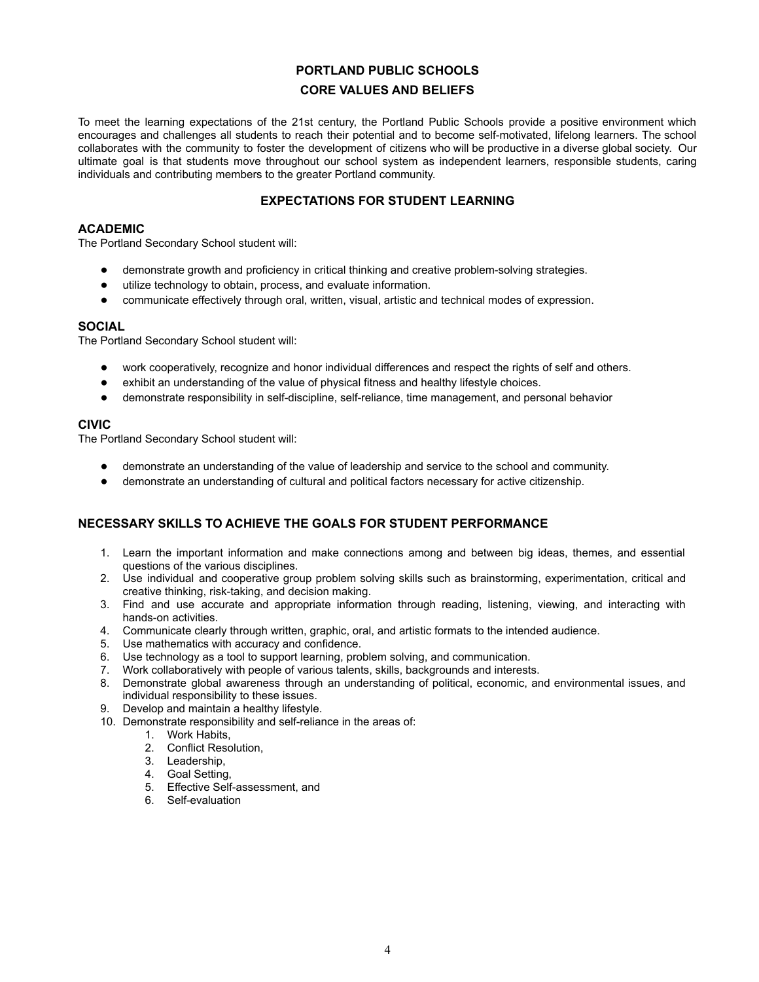# **PORTLAND PUBLIC SCHOOLS**

# **CORE VALUES AND BELIEFS**

To meet the learning expectations of the 21st century, the Portland Public Schools provide a positive environment which encourages and challenges all students to reach their potential and to become self-motivated, lifelong learners. The school collaborates with the community to foster the development of citizens who will be productive in a diverse global society. Our ultimate goal is that students move throughout our school system as independent learners, responsible students, caring individuals and contributing members to the greater Portland community.

# **EXPECTATIONS FOR STUDENT LEARNING**

#### **ACADEMIC**

The Portland Secondary School student will:

- demonstrate growth and proficiency in critical thinking and creative problem-solving strategies.
- utilize technology to obtain, process, and evaluate information.
- communicate effectively through oral, written, visual, artistic and technical modes of expression.

### **SOCIAL**

The Portland Secondary School student will:

- work cooperatively, recognize and honor individual differences and respect the rights of self and others.
- exhibit an understanding of the value of physical fitness and healthy lifestyle choices.
- demonstrate responsibility in self-discipline, self-reliance, time management, and personal behavior

# **CIVIC**

The Portland Secondary School student will:

- demonstrate an understanding of the value of leadership and service to the school and community.
- demonstrate an understanding of cultural and political factors necessary for active citizenship.

# **NECESSARY SKILLS TO ACHIEVE THE GOALS FOR STUDENT PERFORMANCE**

- 1. Learn the important information and make connections among and between big ideas, themes, and essential questions of the various disciplines.
- 2. Use individual and cooperative group problem solving skills such as brainstorming, experimentation, critical and creative thinking, risk-taking, and decision making.
- 3. Find and use accurate and appropriate information through reading, listening, viewing, and interacting with hands-on activities.
- 4. Communicate clearly through written, graphic, oral, and artistic formats to the intended audience.
- 5. Use mathematics with accuracy and confidence.
- 6. Use technology as a tool to support learning, problem solving, and communication.
- 7. Work collaboratively with people of various talents, skills, backgrounds and interests.
- 8. Demonstrate global awareness through an understanding of political, economic, and environmental issues, and individual responsibility to these issues.
- 9. Develop and maintain a healthy lifestyle.
- 10. Demonstrate responsibility and self-reliance in the areas of:
	- 1. Work Habits,
	- 2. Conflict Resolution,
	- 3. Leadership,
	- 4. Goal Setting,
	- 5. Effective Self-assessment, and
	- 6. Self-evaluation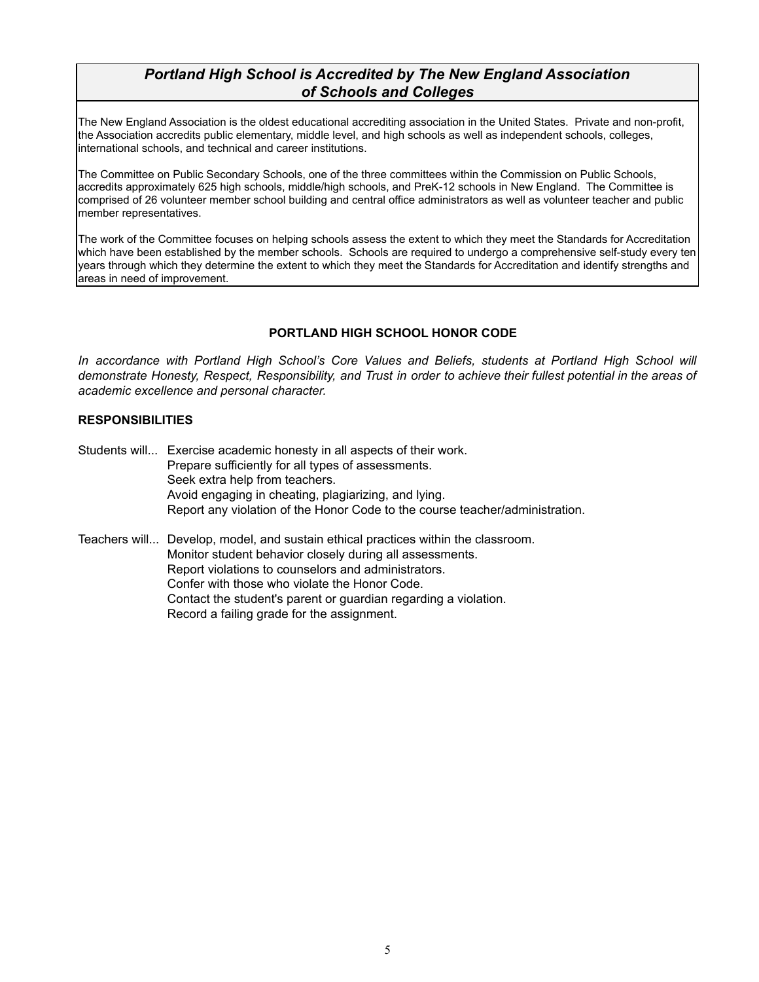# *Portland High School is Accredited by The New England Association of Schools and Colleges*

The New England Association is the oldest educational accrediting association in the United States. Private and non-profit, the Association accredits public elementary, middle level, and high schools as well as independent schools, colleges, international schools, and technical and career institutions.

The Committee on Public Secondary Schools, one of the three committees within the Commission on Public Schools, accredits approximately 625 high schools, middle/high schools, and PreK-12 schools in New England. The Committee is comprised of 26 volunteer member school building and central office administrators as well as volunteer teacher and public member representatives.

The work of the Committee focuses on helping schools assess the extent to which they meet the Standards for Accreditation which have been established by the member schools. Schools are required to undergo a comprehensive self-study every ten years through which they determine the extent to which they meet the Standards for Accreditation and identify strengths and areas in need of improvement.

# **PORTLAND HIGH SCHOOL HONOR CODE**

*In accordance with Portland High School's Core Values and Beliefs, students at Portland High School will* demonstrate Honesty, Respect, Responsibility, and Trust in order to achieve their fullest potential in the areas of *academic excellence and personal character.*

# **RESPONSIBILITIES**

Students will... Exercise academic honesty in all aspects of their work. Prepare sufficiently for all types of assessments. Seek extra help from teachers. Avoid engaging in cheating, plagiarizing, and lying. Report any violation of the Honor Code to the course teacher/administration.

Teachers will... Develop, model, and sustain ethical practices within the classroom. Monitor student behavior closely during all assessments. Report violations to counselors and administrators. Confer with those who violate the Honor Code. Contact the student's parent or guardian regarding a violation. Record a failing grade for the assignment.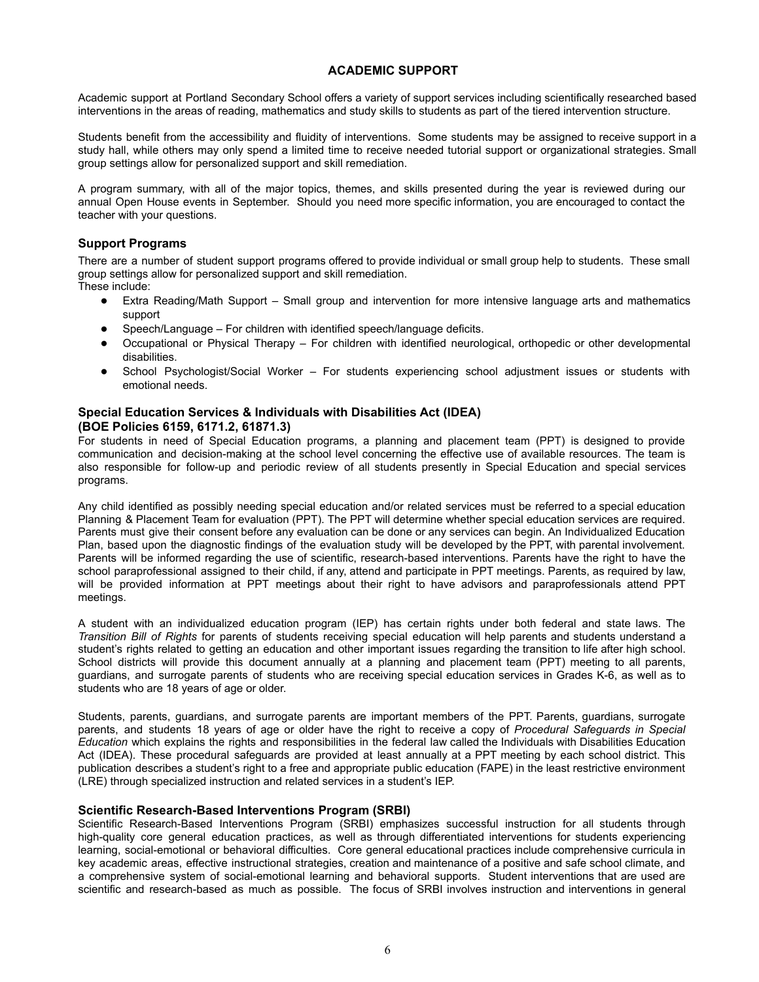# **ACADEMIC SUPPORT**

Academic support at Portland Secondary School offers a variety of support services including scientifically researched based interventions in the areas of reading, mathematics and study skills to students as part of the tiered intervention structure.

Students benefit from the accessibility and fluidity of interventions. Some students may be assigned to receive support in a study hall, while others may only spend a limited time to receive needed tutorial support or organizational strategies. Small group settings allow for personalized support and skill remediation.

A program summary, with all of the major topics, themes, and skills presented during the year is reviewed during our annual Open House events in September. Should you need more specific information, you are encouraged to contact the teacher with your questions.

# **Support Programs**

There are a number of student support programs offered to provide individual or small group help to students. These small group settings allow for personalized support and skill remediation. These include:

- Extra Reading/Math Support Small group and intervention for more intensive language arts and mathematics support
- Speech/Language For children with identified speech/language deficits.
- Occupational or Physical Therapy For children with identified neurological, orthopedic or other developmental disabilities.
- School Psychologist/Social Worker For students experiencing school adjustment issues or students with emotional needs.

# **Special Education Services & Individuals with Disabilities Act (IDEA) (BOE Policies 6159, 6171.2, 61871.3)**

For students in need of Special Education programs, a planning and placement team (PPT) is designed to provide communication and decision-making at the school level concerning the effective use of available resources. The team is also responsible for follow-up and periodic review of all students presently in Special Education and special services programs.

Any child identified as possibly needing special education and/or related services must be referred to a special education Planning & Placement Team for evaluation (PPT). The PPT will determine whether special education services are required. Parents must give their consent before any evaluation can be done or any services can begin. An Individualized Education Plan, based upon the diagnostic findings of the evaluation study will be developed by the PPT, with parental involvement. Parents will be informed regarding the use of scientific, research-based interventions. Parents have the right to have the school paraprofessional assigned to their child, if any, attend and participate in PPT meetings. Parents, as required by law, will be provided information at PPT meetings about their right to have advisors and paraprofessionals attend PPT meetings.

A student with an individualized education program (IEP) has certain rights under both federal and state laws. The *Transition Bill of Rights* for parents of students receiving special education will help parents and students understand a student's rights related to getting an education and other important issues regarding the transition to life after high school. School districts will provide this document annually at a planning and placement team (PPT) meeting to all parents, guardians, and surrogate parents of students who are receiving special education services in Grades K-6, as well as to students who are 18 years of age or older.

Students, parents, guardians, and surrogate parents are important members of the PPT. Parents, guardians, surrogate parents, and students 18 years of age or older have the right to receive a copy of *Procedural Safeguards in Special Education* which explains the rights and responsibilities in the federal law called the Individuals with Disabilities Education Act (IDEA). These procedural safeguards are provided at least annually at a PPT meeting by each school district. This publication describes a student's right to a free and appropriate public education (FAPE) in the least restrictive environment (LRE) through specialized instruction and related services in a student's IEP.

#### **Scientific Research-Based Interventions Program (SRBI)**

Scientific Research-Based Interventions Program (SRBI) emphasizes successful instruction for all students through high-quality core general education practices, as well as through differentiated interventions for students experiencing learning, social-emotional or behavioral difficulties. Core general educational practices include comprehensive curricula in key academic areas, effective instructional strategies, creation and maintenance of a positive and safe school climate, and a comprehensive system of social-emotional learning and behavioral supports. Student interventions that are used are scientific and research-based as much as possible. The focus of SRBI involves instruction and interventions in general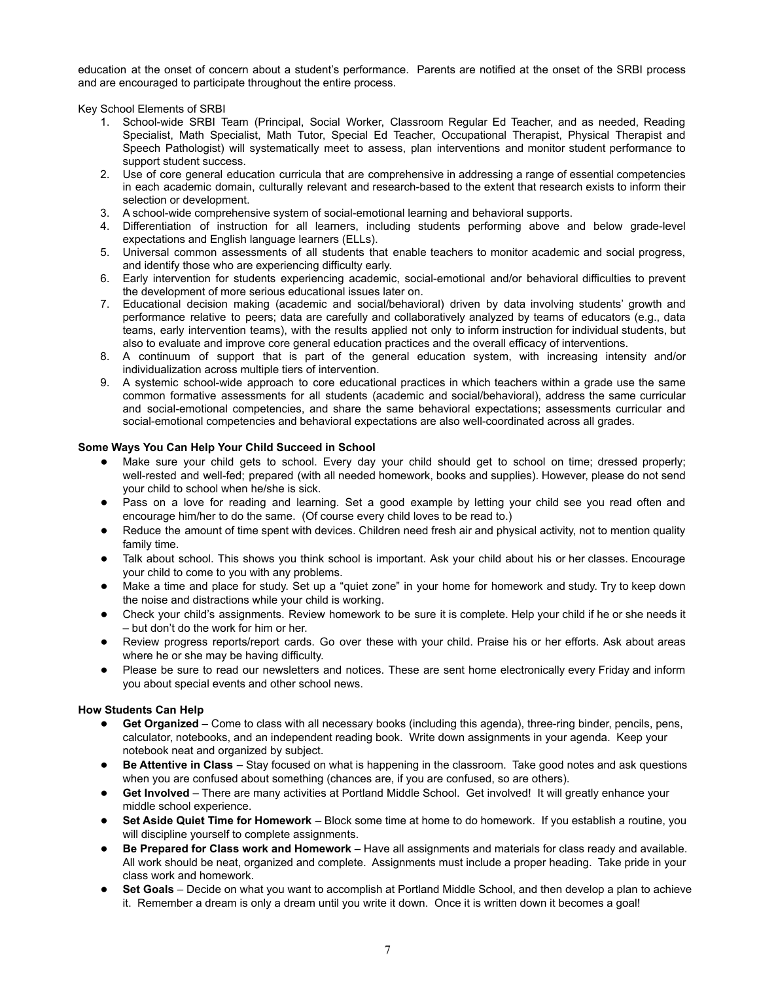education at the onset of concern about a student's performance. Parents are notified at the onset of the SRBI process and are encouraged to participate throughout the entire process.

Key School Elements of SRBI

- 1. School-wide SRBI Team (Principal, Social Worker, Classroom Regular Ed Teacher, and as needed, Reading Specialist, Math Specialist, Math Tutor, Special Ed Teacher, Occupational Therapist, Physical Therapist and Speech Pathologist) will systematically meet to assess, plan interventions and monitor student performance to support student success.
- 2. Use of core general education curricula that are comprehensive in addressing a range of essential competencies in each academic domain, culturally relevant and research-based to the extent that research exists to inform their selection or development.
- 3. A school-wide comprehensive system of social-emotional learning and behavioral supports.
- 4. Differentiation of instruction for all learners, including students performing above and below grade-level expectations and English language learners (ELLs).
- 5. Universal common assessments of all students that enable teachers to monitor academic and social progress, and identify those who are experiencing difficulty early.
- 6. Early intervention for students experiencing academic, social-emotional and/or behavioral difficulties to prevent the development of more serious educational issues later on.
- 7. Educational decision making (academic and social/behavioral) driven by data involving students' growth and performance relative to peers; data are carefully and collaboratively analyzed by teams of educators (e.g., data teams, early intervention teams), with the results applied not only to inform instruction for individual students, but also to evaluate and improve core general education practices and the overall efficacy of interventions.
- 8. A continuum of support that is part of the general education system, with increasing intensity and/or individualization across multiple tiers of intervention.
- 9. A systemic school-wide approach to core educational practices in which teachers within a grade use the same common formative assessments for all students (academic and social/behavioral), address the same curricular and social-emotional competencies, and share the same behavioral expectations; assessments curricular and social-emotional competencies and behavioral expectations are also well-coordinated across all grades.

#### **Some Ways You Can Help Your Child Succeed in School**

- Make sure your child gets to school. Every day your child should get to school on time; dressed properly; well-rested and well-fed; prepared (with all needed homework, books and supplies). However, please do not send your child to school when he/she is sick.
- Pass on a love for reading and learning. Set a good example by letting your child see you read often and encourage him/her to do the same. (Of course every child loves to be read to.)
- Reduce the amount of time spent with devices. Children need fresh air and physical activity, not to mention quality family time.
- Talk about school. This shows you think school is important. Ask your child about his or her classes. Encourage your child to come to you with any problems.
- Make a time and place for study. Set up a "quiet zone" in your home for homework and study. Try to keep down the noise and distractions while your child is working.
- Check your child's assignments. Review homework to be sure it is complete. Help your child if he or she needs it – but don't do the work for him or her.
- Review progress reports/report cards. Go over these with your child. Praise his or her efforts. Ask about areas where he or she may be having difficulty.
- Please be sure to read our newsletters and notices. These are sent home electronically every Friday and inform you about special events and other school news.

#### **How Students Can Help**

- Get Organized Come to class with all necessary books (including this agenda), three-ring binder, pencils, pens, calculator, notebooks, and an independent reading book. Write down assignments in your agenda. Keep your notebook neat and organized by subject.
- **Be Attentive in Class** Stay focused on what is happening in the classroom. Take good notes and ask questions when you are confused about something (chances are, if you are confused, so are others).
- Get Involved There are many activities at Portland Middle School. Get involved! It will greatly enhance your middle school experience.
- **Set Aside Quiet Time for Homework** Block some time at home to do homework. If you establish a routine, you will discipline yourself to complete assignments.
- **Be Prepared for Class work and Homework** Have all assignments and materials for class ready and available. All work should be neat, organized and complete. Assignments must include a proper heading. Take pride in your class work and homework.
- **Set Goals** Decide on what you want to accomplish at Portland Middle School, and then develop a plan to achieve it. Remember a dream is only a dream until you write it down. Once it is written down it becomes a goal!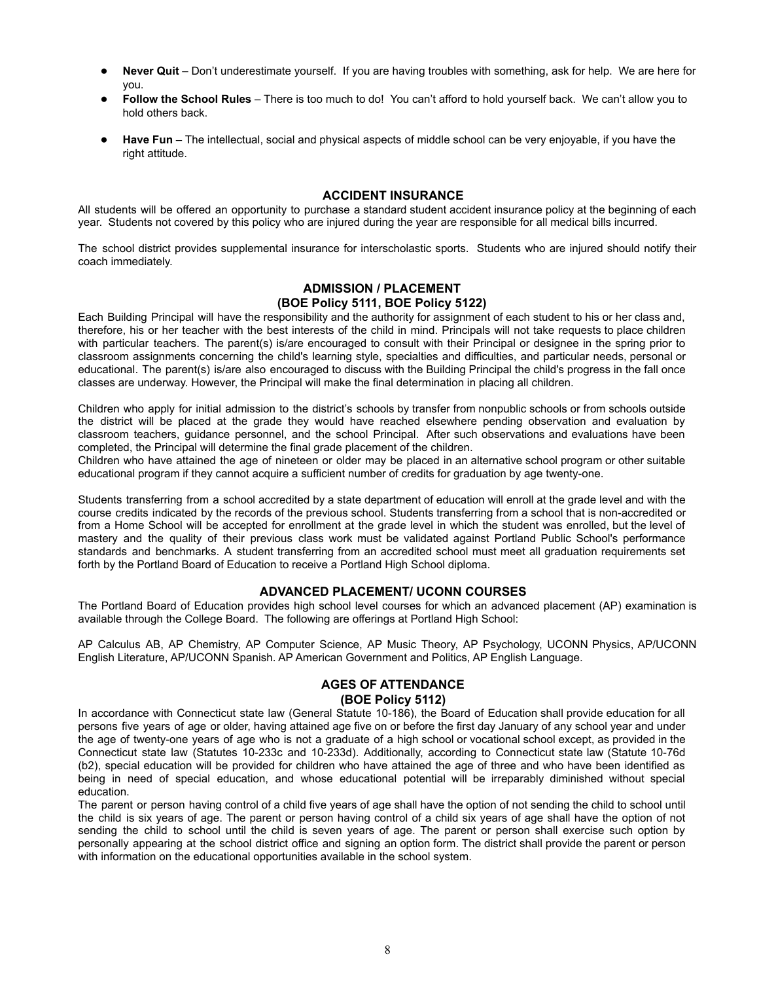- **Never Quit** Don't underestimate yourself. If you are having troubles with something, ask for help. We are here for you.
- **Follow the School Rules** There is too much to do! You can't afford to hold yourself back. We can't allow you to hold others back.
- **Have Fun** The intellectual, social and physical aspects of middle school can be very enjoyable, if you have the right attitude.

#### **ACCIDENT INSURANCE**

All students will be offered an opportunity to purchase a standard student accident insurance policy at the beginning of each year. Students not covered by this policy who are injured during the year are responsible for all medical bills incurred.

The school district provides supplemental insurance for interscholastic sports. Students who are injured should notify their coach immediately.

#### **ADMISSION / PLACEMENT (BOE Policy 5111, BOE Policy 5122)**

Each Building Principal will have the responsibility and the authority for assignment of each student to his or her class and, therefore, his or her teacher with the best interests of the child in mind. Principals will not take requests to place children with particular teachers. The parent(s) is/are encouraged to consult with their Principal or designee in the spring prior to classroom assignments concerning the child's learning style, specialties and difficulties, and particular needs, personal or educational. The parent(s) is/are also encouraged to discuss with the Building Principal the child's progress in the fall once classes are underway. However, the Principal will make the final determination in placing all children.

Children who apply for initial admission to the district's schools by transfer from nonpublic schools or from schools outside the district will be placed at the grade they would have reached elsewhere pending observation and evaluation by classroom teachers, guidance personnel, and the school Principal. After such observations and evaluations have been completed, the Principal will determine the final grade placement of the children.

Children who have attained the age of nineteen or older may be placed in an alternative school program or other suitable educational program if they cannot acquire a sufficient number of credits for graduation by age twenty-one.

Students transferring from a school accredited by a state department of education will enroll at the grade level and with the course credits indicated by the records of the previous school. Students transferring from a school that is non-accredited or from a Home School will be accepted for enrollment at the grade level in which the student was enrolled, but the level of mastery and the quality of their previous class work must be validated against Portland Public School's performance standards and benchmarks. A student transferring from an accredited school must meet all graduation requirements set forth by the Portland Board of Education to receive a Portland High School diploma.

#### **ADVANCED PLACEMENT/ UCONN COURSES**

The Portland Board of Education provides high school level courses for which an advanced placement (AP) examination is available through the College Board. The following are offerings at Portland High School:

AP Calculus AB, AP Chemistry, AP Computer Science, AP Music Theory, AP Psychology, UCONN Physics, AP/UCONN English Literature, AP/UCONN Spanish. AP American Government and Politics, AP English Language.

# **AGES OF ATTENDANCE**

# **(BOE Policy 5112)**

In accordance with Connecticut state law (General Statute 10-186), the Board of Education shall provide education for all persons five years of age or older, having attained age five on or before the first day January of any school year and under the age of twenty-one years of age who is not a graduate of a high school or vocational school except, as provided in the Connecticut state law (Statutes 10-233c and 10-233d). Additionally, according to Connecticut state law (Statute 10-76d (b2), special education will be provided for children who have attained the age of three and who have been identified as being in need of special education, and whose educational potential will be irreparably diminished without special education.

The parent or person having control of a child five years of age shall have the option of not sending the child to school until the child is six years of age. The parent or person having control of a child six years of age shall have the option of not sending the child to school until the child is seven years of age. The parent or person shall exercise such option by personally appearing at the school district office and signing an option form. The district shall provide the parent or person with information on the educational opportunities available in the school system.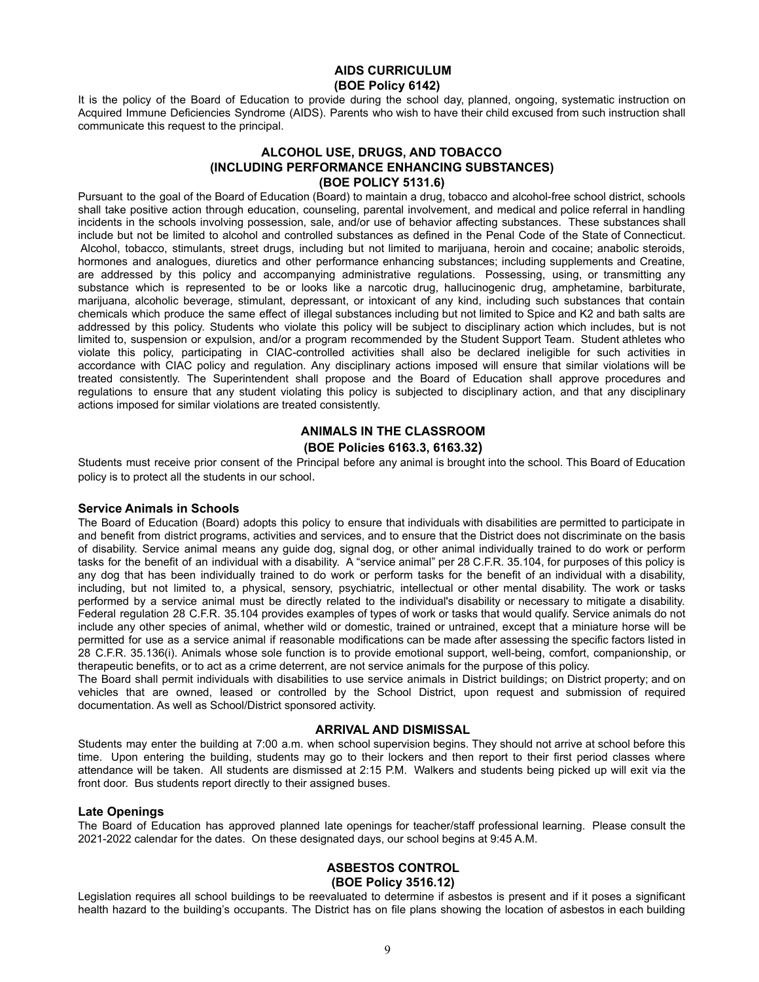# **AIDS CURRICULUM (BOE Policy 6142)**

It is the policy of the Board of Education to provide during the school day, planned, ongoing, systematic instruction on Acquired Immune Deficiencies Syndrome (AIDS). Parents who wish to have their child excused from such instruction shall communicate this request to the principal.

# **ALCOHOL USE, DRUGS, AND TOBACCO (INCLUDING PERFORMANCE ENHANCING SUBSTANCES) (BOE POLICY 5131.6)**

Pursuant to the goal of the Board of Education (Board) to maintain a drug, tobacco and alcohol-free school district, schools shall take positive action through education, counseling, parental involvement, and medical and police referral in handling incidents in the schools involving possession, sale, and/or use of behavior affecting substances. These substances shall include but not be limited to alcohol and controlled substances as defined in the Penal Code of the State of Connecticut. Alcohol, tobacco, stimulants, street drugs, including but not limited to marijuana, heroin and cocaine; anabolic steroids, hormones and analogues, diuretics and other performance enhancing substances; including supplements and Creatine, are addressed by this policy and accompanying administrative regulations. Possessing, using, or transmitting any substance which is represented to be or looks like a narcotic drug, hallucinogenic drug, amphetamine, barbiturate, marijuana, alcoholic beverage, stimulant, depressant, or intoxicant of any kind, including such substances that contain chemicals which produce the same effect of illegal substances including but not limited to Spice and K2 and bath salts are addressed by this policy. Students who violate this policy will be subject to disciplinary action which includes, but is not limited to, suspension or expulsion, and/or a program recommended by the Student Support Team. Student athletes who violate this policy, participating in CIAC-controlled activities shall also be declared ineligible for such activities in accordance with CIAC policy and regulation. Any disciplinary actions imposed will ensure that similar violations will be treated consistently. The Superintendent shall propose and the Board of Education shall approve procedures and regulations to ensure that any student violating this policy is subjected to disciplinary action, and that any disciplinary actions imposed for similar violations are treated consistently.

# **ANIMALS IN THE CLASSROOM (BOE Policies 6163.3, 6163.32)**

Students must receive prior consent of the Principal before any animal is brought into the school. This Board of Education policy is to protect all the students in our school.

#### **Service Animals in Schools**

The Board of Education (Board) adopts this policy to ensure that individuals with disabilities are permitted to participate in and benefit from district programs, activities and services, and to ensure that the District does not discriminate on the basis of disability. Service animal means any guide dog, signal dog, or other animal individually trained to do work or perform tasks for the benefit of an individual with a disability. A "service animal" per 28 C.F.R. 35.104, for purposes of this policy is any dog that has been individually trained to do work or perform tasks for the benefit of an individual with a disability, including, but not limited to, a physical, sensory, psychiatric, intellectual or other mental disability. The work or tasks performed by a service animal must be directly related to the individual's disability or necessary to mitigate a disability. Federal regulation 28 C.F.R. 35.104 provides examples of types of work or tasks that would qualify. Service animals do not include any other species of animal, whether wild or domestic, trained or untrained, except that a miniature horse will be permitted for use as a service animal if reasonable modifications can be made after assessing the specific factors listed in 28 C.F.R. 35.136(i). Animals whose sole function is to provide emotional support, well-being, comfort, companionship, or therapeutic benefits, or to act as a crime deterrent, are not service animals for the purpose of this policy.

The Board shall permit individuals with disabilities to use service animals in District buildings; on District property; and on vehicles that are owned, leased or controlled by the School District, upon request and submission of required documentation. As well as School/District sponsored activity.

#### **ARRIVAL AND DISMISSAL**

Students may enter the building at 7:00 a.m. when school supervision begins. They should not arrive at school before this time. Upon entering the building, students may go to their lockers and then report to their first period classes where attendance will be taken. All students are dismissed at 2:15 P.M. Walkers and students being picked up will exit via the front door. Bus students report directly to their assigned buses.

#### **Late Openings**

The Board of Education has approved planned late openings for teacher/staff professional learning. Please consult the 2021-2022 calendar for the dates. On these designated days, our school begins at 9:45 A.M.

#### **ASBESTOS CONTROL (BOE Policy 3516.12)**

Legislation requires all school buildings to be reevaluated to determine if asbestos is present and if it poses a significant health hazard to the building's occupants. The District has on file plans showing the location of asbestos in each building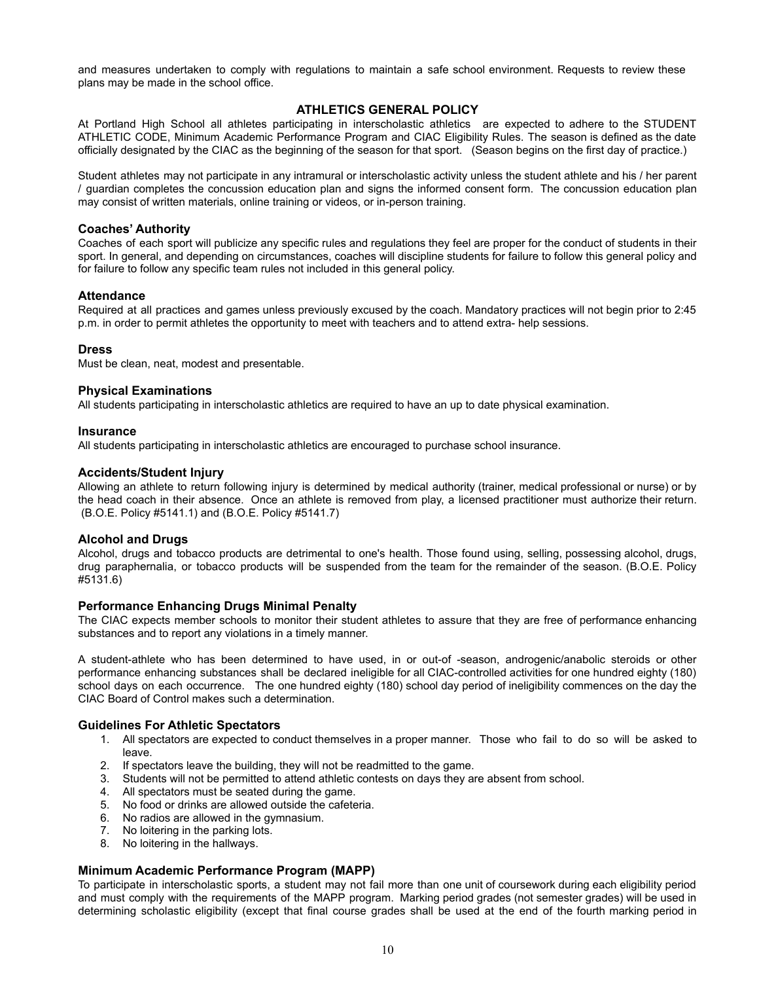and measures undertaken to comply with regulations to maintain a safe school environment. Requests to review these plans may be made in the school office.

# **ATHLETICS GENERAL POLICY**

At Portland High School all athletes participating in interscholastic athletics are expected to adhere to the STUDENT ATHLETIC CODE, Minimum Academic Performance Program and CIAC Eligibility Rules. The season is defined as the date officially designated by the CIAC as the beginning of the season for that sport. (Season begins on the first day of practice.)

Student athletes may not participate in any intramural or interscholastic activity unless the student athlete and his / her parent / guardian completes the concussion education plan and signs the informed consent form. The concussion education plan may consist of written materials, online training or videos, or in-person training.

#### **Coaches' Authority**

Coaches of each sport will publicize any specific rules and regulations they feel are proper for the conduct of students in their sport. In general, and depending on circumstances, coaches will discipline students for failure to follow this general policy and for failure to follow any specific team rules not included in this general policy.

#### **Attendance**

Required at all practices and games unless previously excused by the coach. Mandatory practices will not begin prior to 2:45 p.m. in order to permit athletes the opportunity to meet with teachers and to attend extra- help sessions.

#### **Dress**

Must be clean, neat, modest and presentable.

#### **Physical Examinations**

All students participating in interscholastic athletics are required to have an up to date physical examination.

#### **Insurance**

All students participating in interscholastic athletics are encouraged to purchase school insurance.

#### **Accidents/Student Injury**

Allowing an athlete to return following injury is determined by medical authority (trainer, medical professional or nurse) or by the head coach in their absence. Once an athlete is removed from play, a licensed practitioner must authorize their return. (B.O.E. Policy #5141.1) and (B.O.E. Policy #5141.7)

#### **Alcohol and Drugs**

Alcohol, drugs and tobacco products are detrimental to one's health. Those found using, selling, possessing alcohol, drugs, drug paraphernalia, or tobacco products will be suspended from the team for the remainder of the season. (B.O.E. Policy #5131.6)

#### **Performance Enhancing Drugs Minimal Penalty**

The CIAC expects member schools to monitor their student athletes to assure that they are free of performance enhancing substances and to report any violations in a timely manner.

A student-athlete who has been determined to have used, in or out-of -season, androgenic/anabolic steroids or other performance enhancing substances shall be declared ineligible for all CIAC-controlled activities for one hundred eighty (180) school days on each occurrence. The one hundred eighty (180) school day period of ineligibility commences on the day the CIAC Board of Control makes such a determination.

### **Guidelines For Athletic Spectators**

- 1. All spectators are expected to conduct themselves in a proper manner. Those who fail to do so will be asked to leave.
- 2. If spectators leave the building, they will not be readmitted to the game.
- 3. Students will not be permitted to attend athletic contests on days they are absent from school.
- 4. All spectators must be seated during the game.
- 5. No food or drinks are allowed outside the cafeteria.
- 6. No radios are allowed in the gymnasium.
- 7. No loitering in the parking lots.
- 8. No loitering in the hallways.

#### **Minimum Academic Performance Program (MAPP)**

To participate in interscholastic sports, a student may not fail more than one unit of coursework during each eligibility period and must comply with the requirements of the MAPP program. Marking period grades (not semester grades) will be used in determining scholastic eligibility (except that final course grades shall be used at the end of the fourth marking period in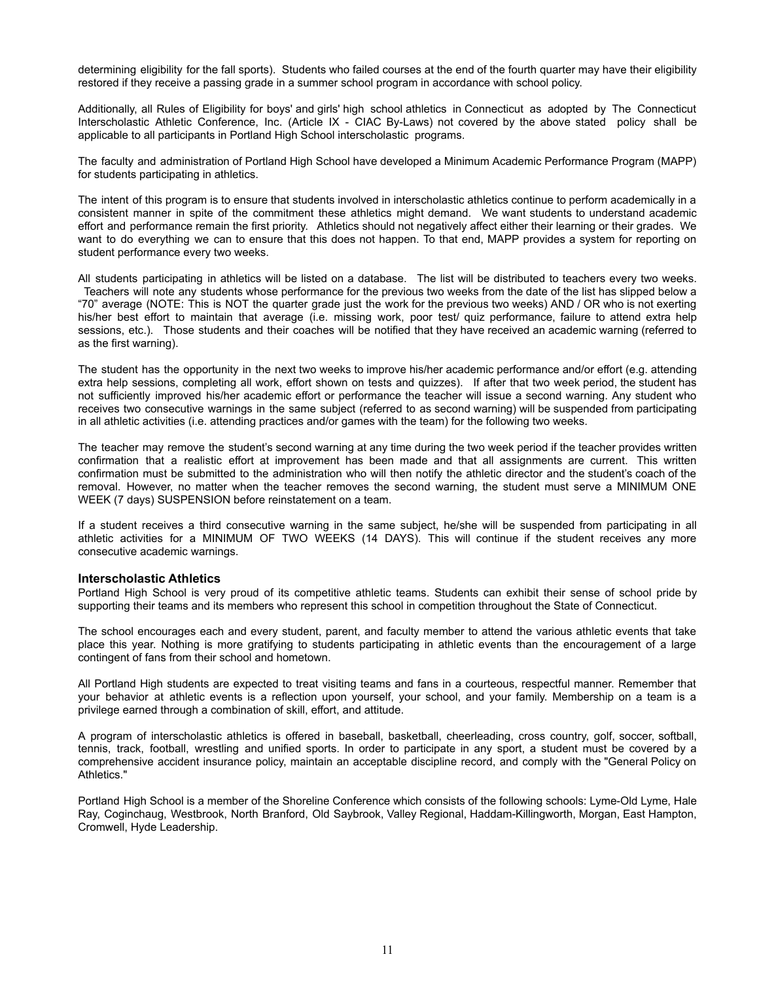determining eligibility for the fall sports). Students who failed courses at the end of the fourth quarter may have their eligibility restored if they receive a passing grade in a summer school program in accordance with school policy.

Additionally, all Rules of Eligibility for boys' and girls' high school athletics in Connecticut as adopted by The Connecticut Interscholastic Athletic Conference, Inc. (Article IX - CIAC By-Laws) not covered by the above stated policy shall be applicable to all participants in Portland High School interscholastic programs.

The faculty and administration of Portland High School have developed a Minimum Academic Performance Program (MAPP) for students participating in athletics.

The intent of this program is to ensure that students involved in interscholastic athletics continue to perform academically in a consistent manner in spite of the commitment these athletics might demand. We want students to understand academic effort and performance remain the first priority. Athletics should not negatively affect either their learning or their grades. We want to do everything we can to ensure that this does not happen. To that end, MAPP provides a system for reporting on student performance every two weeks.

All students participating in athletics will be listed on a database. The list will be distributed to teachers every two weeks. Teachers will note any students whose performance for the previous two weeks from the date of the list has slipped below a "70" average (NOTE: This is NOT the quarter grade just the work for the previous two weeks) AND / OR who is not exerting his/her best effort to maintain that average (i.e. missing work, poor test/ quiz performance, failure to attend extra help sessions, etc.). Those students and their coaches will be notified that they have received an academic warning (referred to as the first warning).

The student has the opportunity in the next two weeks to improve his/her academic performance and/or effort (e.g. attending extra help sessions, completing all work, effort shown on tests and quizzes). If after that two week period, the student has not sufficiently improved his/her academic effort or performance the teacher will issue a second warning. Any student who receives two consecutive warnings in the same subject (referred to as second warning) will be suspended from participating in all athletic activities (i.e. attending practices and/or games with the team) for the following two weeks.

The teacher may remove the student's second warning at any time during the two week period if the teacher provides written confirmation that a realistic effort at improvement has been made and that all assignments are current. This written confirmation must be submitted to the administration who will then notify the athletic director and the student's coach of the removal. However, no matter when the teacher removes the second warning, the student must serve a MINIMUM ONE WEEK (7 days) SUSPENSION before reinstatement on a team.

If a student receives a third consecutive warning in the same subject, he/she will be suspended from participating in all athletic activities for a MINIMUM OF TWO WEEKS (14 DAYS). This will continue if the student receives any more consecutive academic warnings.

#### **Interscholastic Athletics**

Portland High School is very proud of its competitive athletic teams. Students can exhibit their sense of school pride by supporting their teams and its members who represent this school in competition throughout the State of Connecticut.

The school encourages each and every student, parent, and faculty member to attend the various athletic events that take place this year. Nothing is more gratifying to students participating in athletic events than the encouragement of a large contingent of fans from their school and hometown.

All Portland High students are expected to treat visiting teams and fans in a courteous, respectful manner. Remember that your behavior at athletic events is a reflection upon yourself, your school, and your family. Membership on a team is a privilege earned through a combination of skill, effort, and attitude.

A program of interscholastic athletics is offered in baseball, basketball, cheerleading, cross country, golf, soccer, softball, tennis, track, football, wrestling and unified sports. In order to participate in any sport, a student must be covered by a comprehensive accident insurance policy, maintain an acceptable discipline record, and comply with the "General Policy on Athletics."

Portland High School is a member of the Shoreline Conference which consists of the following schools: Lyme-Old Lyme, Hale Ray, Coginchaug, Westbrook, North Branford, Old Saybrook, Valley Regional, Haddam-Killingworth, Morgan, East Hampton, Cromwell, Hyde Leadership.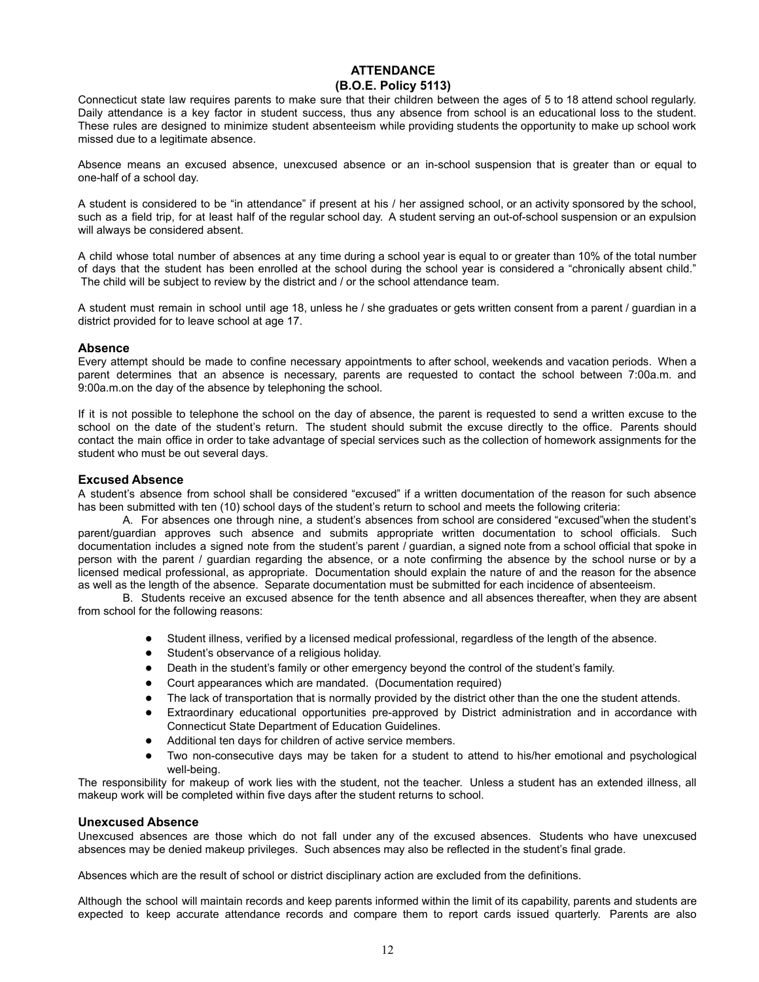# **ATTENDANCE (B.O.E. Policy 5113)**

Connecticut state law requires parents to make sure that their children between the ages of 5 to 18 attend school regularly. Daily attendance is a key factor in student success, thus any absence from school is an educational loss to the student. These rules are designed to minimize student absenteeism while providing students the opportunity to make up school work missed due to a legitimate absence.

Absence means an excused absence, unexcused absence or an in-school suspension that is greater than or equal to one-half of a school day.

A student is considered to be "in attendance" if present at his / her assigned school, or an activity sponsored by the school, such as a field trip, for at least half of the regular school day. A student serving an out-of-school suspension or an expulsion will always be considered absent.

A child whose total number of absences at any time during a school year is equal to or greater than 10% of the total number of days that the student has been enrolled at the school during the school year is considered a "chronically absent child." The child will be subject to review by the district and / or the school attendance team.

A student must remain in school until age 18, unless he / she graduates or gets written consent from a parent / guardian in a district provided for to leave school at age 17.

#### **Absence**

Every attempt should be made to confine necessary appointments to after school, weekends and vacation periods. When a parent determines that an absence is necessary, parents are requested to contact the school between 7:00a.m. and 9:00a.m.on the day of the absence by telephoning the school.

If it is not possible to telephone the school on the day of absence, the parent is requested to send a written excuse to the school on the date of the student's return. The student should submit the excuse directly to the office. Parents should contact the main office in order to take advantage of special services such as the collection of homework assignments for the student who must be out several days.

# **Excused Absence**

A student's absence from school shall be considered "excused" if a written documentation of the reason for such absence has been submitted with ten (10) school days of the student's return to school and meets the following criteria:

A. For absences one through nine, a student's absences from school are considered "excused"when the student's parent/guardian approves such absence and submits appropriate written documentation to school officials. Such documentation includes a signed note from the student's parent / guardian, a signed note from a school official that spoke in person with the parent / guardian regarding the absence, or a note confirming the absence by the school nurse or by a licensed medical professional, as appropriate. Documentation should explain the nature of and the reason for the absence as well as the length of the absence. Separate documentation must be submitted for each incidence of absenteeism.

B. Students receive an excused absence for the tenth absence and all absences thereafter, when they are absent from school for the following reasons:

- Student illness, verified by a licensed medical professional, regardless of the length of the absence.
- Student's observance of a religious holiday.
- Death in the student's family or other emergency beyond the control of the student's family.
- Court appearances which are mandated. (Documentation required)
- The lack of transportation that is normally provided by the district other than the one the student attends.
- Extraordinary educational opportunities pre-approved by District administration and in accordance with Connecticut State Department of Education Guidelines.
- Additional ten days for children of active service members.
- Two non-consecutive days may be taken for a student to attend to his/her emotional and psychological well-being.

The responsibility for makeup of work lies with the student, not the teacher. Unless a student has an extended illness, all makeup work will be completed within five days after the student returns to school.

#### **Unexcused Absence**

Unexcused absences are those which do not fall under any of the excused absences. Students who have unexcused absences may be denied makeup privileges. Such absences may also be reflected in the student's final grade.

Absences which are the result of school or district disciplinary action are excluded from the definitions.

Although the school will maintain records and keep parents informed within the limit of its capability, parents and students are expected to keep accurate attendance records and compare them to report cards issued quarterly. Parents are also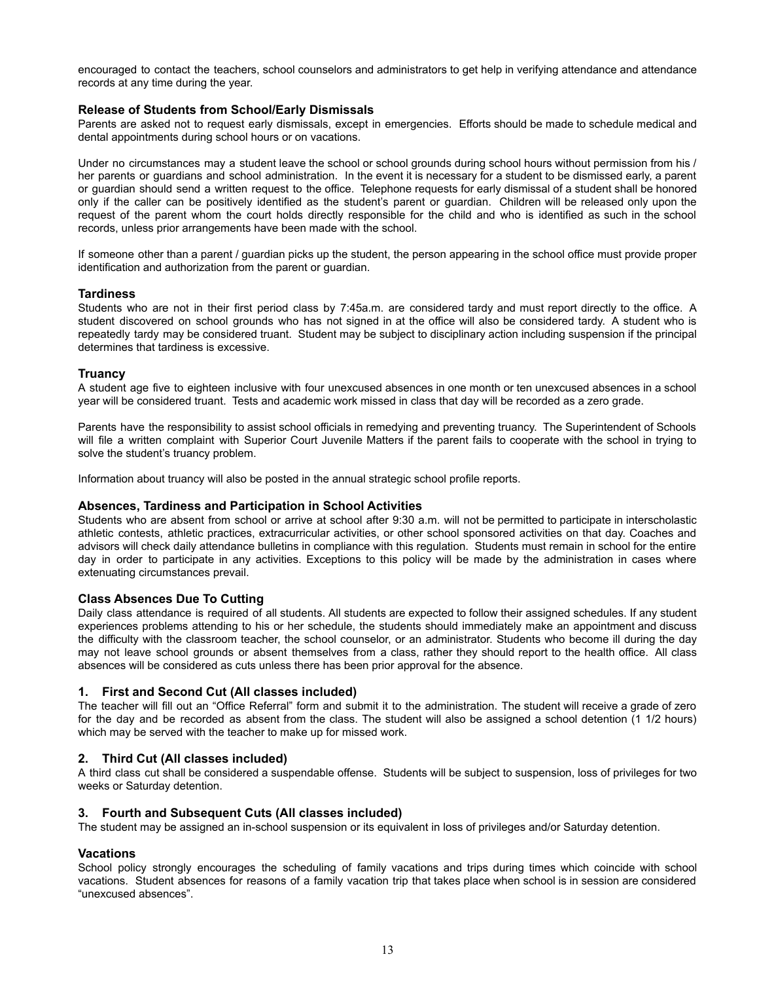encouraged to contact the teachers, school counselors and administrators to get help in verifying attendance and attendance records at any time during the year.

#### **Release of Students from School/Early Dismissals**

Parents are asked not to request early dismissals, except in emergencies. Efforts should be made to schedule medical and dental appointments during school hours or on vacations.

Under no circumstances may a student leave the school or school grounds during school hours without permission from his / her parents or guardians and school administration. In the event it is necessary for a student to be dismissed early, a parent or guardian should send a written request to the office. Telephone requests for early dismissal of a student shall be honored only if the caller can be positively identified as the student's parent or guardian. Children will be released only upon the request of the parent whom the court holds directly responsible for the child and who is identified as such in the school records, unless prior arrangements have been made with the school.

If someone other than a parent / guardian picks up the student, the person appearing in the school office must provide proper identification and authorization from the parent or guardian.

#### **Tardiness**

Students who are not in their first period class by 7:45a.m. are considered tardy and must report directly to the office. A student discovered on school grounds who has not signed in at the office will also be considered tardy. A student who is repeatedly tardy may be considered truant. Student may be subject to disciplinary action including suspension if the principal determines that tardiness is excessive.

#### **Truancy**

A student age five to eighteen inclusive with four unexcused absences in one month or ten unexcused absences in a school year will be considered truant. Tests and academic work missed in class that day will be recorded as a zero grade.

Parents have the responsibility to assist school officials in remedying and preventing truancy. The Superintendent of Schools will file a written complaint with Superior Court Juvenile Matters if the parent fails to cooperate with the school in trying to solve the student's truancy problem.

Information about truancy will also be posted in the annual strategic school profile reports.

#### **Absences, Tardiness and Participation in School Activities**

Students who are absent from school or arrive at school after 9:30 a.m. will not be permitted to participate in interscholastic athletic contests, athletic practices, extracurricular activities, or other school sponsored activities on that day. Coaches and advisors will check daily attendance bulletins in compliance with this regulation. Students must remain in school for the entire day in order to participate in any activities. Exceptions to this policy will be made by the administration in cases where extenuating circumstances prevail.

#### **Class Absences Due To Cutting**

Daily class attendance is required of all students. All students are expected to follow their assigned schedules. If any student experiences problems attending to his or her schedule, the students should immediately make an appointment and discuss the difficulty with the classroom teacher, the school counselor, or an administrator. Students who become ill during the day may not leave school grounds or absent themselves from a class, rather they should report to the health office. All class absences will be considered as cuts unless there has been prior approval for the absence.

#### **1. First and Second Cut (All classes included)**

The teacher will fill out an "Office Referral" form and submit it to the administration. The student will receive a grade of zero for the day and be recorded as absent from the class. The student will also be assigned a school detention (1 1/2 hours) which may be served with the teacher to make up for missed work.

#### **2. Third Cut (All classes included)**

A third class cut shall be considered a suspendable offense. Students will be subject to suspension, loss of privileges for two weeks or Saturday detention.

#### **3. Fourth and Subsequent Cuts (All classes included)**

The student may be assigned an in-school suspension or its equivalent in loss of privileges and/or Saturday detention.

#### **Vacations**

School policy strongly encourages the scheduling of family vacations and trips during times which coincide with school vacations. Student absences for reasons of a family vacation trip that takes place when school is in session are considered "unexcused absences".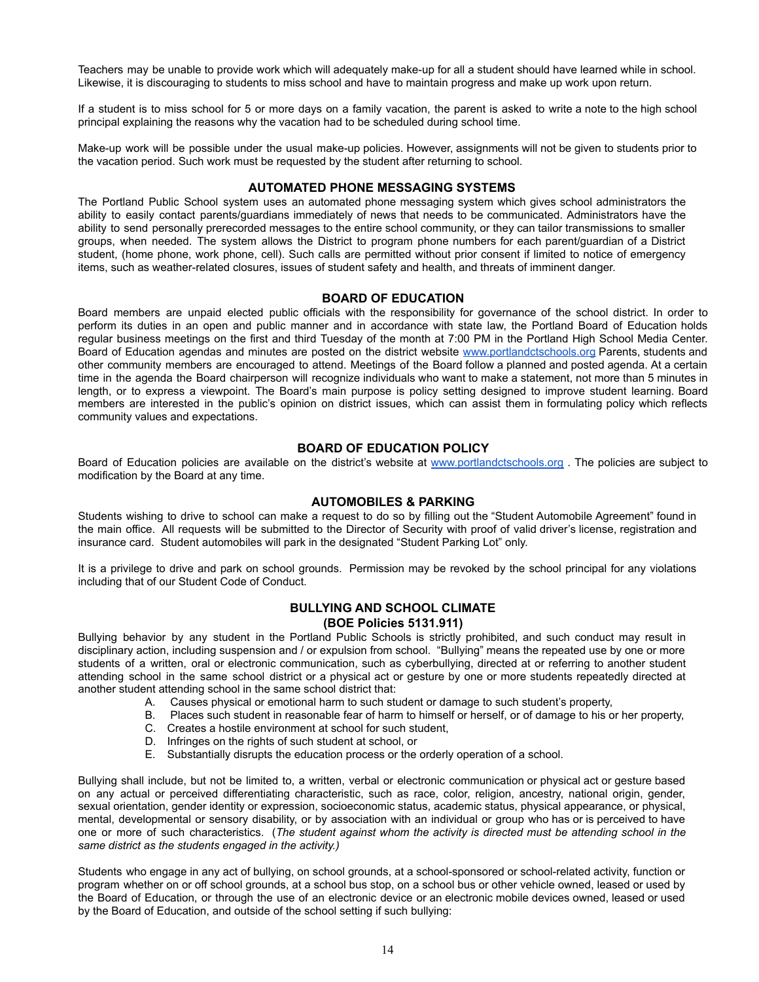Teachers may be unable to provide work which will adequately make-up for all a student should have learned while in school. Likewise, it is discouraging to students to miss school and have to maintain progress and make up work upon return.

If a student is to miss school for 5 or more days on a family vacation, the parent is asked to write a note to the high school principal explaining the reasons why the vacation had to be scheduled during school time.

Make-up work will be possible under the usual make-up policies. However, assignments will not be given to students prior to the vacation period. Such work must be requested by the student after returning to school.

# **AUTOMATED PHONE MESSAGING SYSTEMS**

The Portland Public School system uses an automated phone messaging system which gives school administrators the ability to easily contact parents/guardians immediately of news that needs to be communicated. Administrators have the ability to send personally prerecorded messages to the entire school community, or they can tailor transmissions to smaller groups, when needed. The system allows the District to program phone numbers for each parent/guardian of a District student, (home phone, work phone, cell). Such calls are permitted without prior consent if limited to notice of emergency items, such as weather-related closures, issues of student safety and health, and threats of imminent danger.

#### **BOARD OF EDUCATION**

Board members are unpaid elected public officials with the responsibility for governance of the school district. In order to perform its duties in an open and public manner and in accordance with state law, the Portland Board of Education holds regular business meetings on the first and third Tuesday of the month at 7:00 PM in the Portland High School Media Center. Board of Education agendas and minutes are posted on the district website [www.portlandctschools.org](http://www.portlandctschools.org) Parents, students and other community members are encouraged to attend. Meetings of the Board follow a planned and posted agenda. At a certain time in the agenda the Board chairperson will recognize individuals who want to make a statement, not more than 5 minutes in length, or to express a viewpoint. The Board's main purpose is policy setting designed to improve student learning. Board members are interested in the public's opinion on district issues, which can assist them in formulating policy which reflects community values and expectations.

# **BOARD OF EDUCATION POLICY**

Board of Education policies are available on the district's website at [www.portlandctschools.org](http://www.portlandctschools.org). The policies are subject to modification by the Board at any time.

#### **AUTOMOBILES & PARKING**

Students wishing to drive to school can make a request to do so by filling out the "Student Automobile Agreement" found in the main office. All requests will be submitted to the Director of Security with proof of valid driver's license, registration and insurance card. Student automobiles will park in the designated "Student Parking Lot" only.

It is a privilege to drive and park on school grounds. Permission may be revoked by the school principal for any violations including that of our Student Code of Conduct.

# **BULLYING AND SCHOOL CLIMATE**

# **(BOE Policies 5131.911)**

Bullying behavior by any student in the Portland Public Schools is strictly prohibited, and such conduct may result in disciplinary action, including suspension and / or expulsion from school. "Bullying" means the repeated use by one or more students of a written, oral or electronic communication, such as cyberbullying, directed at or referring to another student attending school in the same school district or a physical act or gesture by one or more students repeatedly directed at another student attending school in the same school district that:

- A. Causes physical or emotional harm to such student or damage to such student's property,
- B. Places such student in reasonable fear of harm to himself or herself, or of damage to his or her property,
- C. Creates a hostile environment at school for such student,
- D. Infringes on the rights of such student at school, or
- E. Substantially disrupts the education process or the orderly operation of a school.

Bullying shall include, but not be limited to, a written, verbal or electronic communication or physical act or gesture based on any actual or perceived differentiating characteristic, such as race, color, religion, ancestry, national origin, gender, sexual orientation, gender identity or expression, socioeconomic status, academic status, physical appearance, or physical, mental, developmental or sensory disability, or by association with an individual or group who has or is perceived to have one or more of such characteristics. (*The student against whom the activity is directed must be attending school in the same district as the students engaged in the activity.)*

Students who engage in any act of bullying, on school grounds, at a school-sponsored or school-related activity, function or program whether on or off school grounds, at a school bus stop, on a school bus or other vehicle owned, leased or used by the Board of Education, or through the use of an electronic device or an electronic mobile devices owned, leased or used by the Board of Education, and outside of the school setting if such bullying: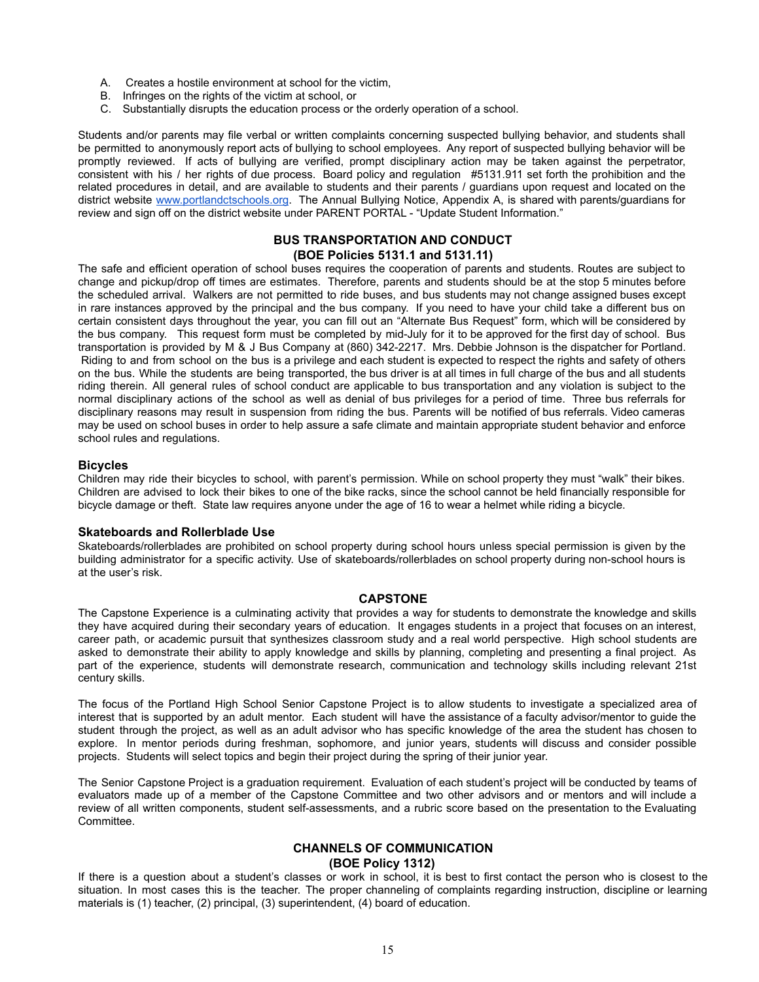- A. Creates a hostile environment at school for the victim,
- B. Infringes on the rights of the victim at school, or
- C. Substantially disrupts the education process or the orderly operation of a school.

Students and/or parents may file verbal or written complaints concerning suspected bullying behavior, and students shall be permitted to anonymously report acts of bullying to school employees. Any report of suspected bullying behavior will be promptly reviewed. If acts of bullying are verified, prompt disciplinary action may be taken against the perpetrator, consistent with his / her rights of due process. Board policy and regulation #5131.911 set forth the prohibition and the related procedures in detail, and are available to students and their parents / guardians upon request and located on the district website [www.portlandctschools.org](http://www.portlandctschools.org). The Annual Bullying Notice, Appendix A, is shared with parents/guardians for review and sign off on the district website under PARENT PORTAL - "Update Student Information."

# **BUS TRANSPORTATION AND CONDUCT**

### **(BOE Policies 5131.1 and 5131.11)**

The safe and efficient operation of school buses requires the cooperation of parents and students. Routes are subject to change and pickup/drop off times are estimates. Therefore, parents and students should be at the stop 5 minutes before the scheduled arrival. Walkers are not permitted to ride buses, and bus students may not change assigned buses except in rare instances approved by the principal and the bus company. If you need to have your child take a different bus on certain consistent days throughout the year, you can fill out an "Alternate Bus Request" form, which will be considered by the bus company. This request form must be completed by mid-July for it to be approved for the first day of school. Bus transportation is provided by M & J Bus Company at (860) 342-2217. Mrs. Debbie Johnson is the dispatcher for Portland. Riding to and from school on the bus is a privilege and each student is expected to respect the rights and safety of others on the bus. While the students are being transported, the bus driver is at all times in full charge of the bus and all students riding therein. All general rules of school conduct are applicable to bus transportation and any violation is subject to the normal disciplinary actions of the school as well as denial of bus privileges for a period of time. Three bus referrals for disciplinary reasons may result in suspension from riding the bus. Parents will be notified of bus referrals. Video cameras may be used on school buses in order to help assure a safe climate and maintain appropriate student behavior and enforce school rules and regulations.

# **Bicycles**

Children may ride their bicycles to school, with parent's permission. While on school property they must "walk" their bikes. Children are advised to lock their bikes to one of the bike racks, since the school cannot be held financially responsible for bicycle damage or theft. State law requires anyone under the age of 16 to wear a helmet while riding a bicycle.

#### **Skateboards and Rollerblade Use**

Skateboards/rollerblades are prohibited on school property during school hours unless special permission is given by the building administrator for a specific activity. Use of skateboards/rollerblades on school property during non-school hours is at the user's risk.

#### **CAPSTONE**

The Capstone Experience is a culminating activity that provides a way for students to demonstrate the knowledge and skills they have acquired during their secondary years of education. It engages students in a project that focuses on an interest, career path, or academic pursuit that synthesizes classroom study and a real world perspective. High school students are asked to demonstrate their ability to apply knowledge and skills by planning, completing and presenting a final project. As part of the experience, students will demonstrate research, communication and technology skills including relevant 21st century skills.

The focus of the Portland High School Senior Capstone Project is to allow students to investigate a specialized area of interest that is supported by an adult mentor. Each student will have the assistance of a faculty advisor/mentor to guide the student through the project, as well as an adult advisor who has specific knowledge of the area the student has chosen to explore. In mentor periods during freshman, sophomore, and junior years, students will discuss and consider possible projects. Students will select topics and begin their project during the spring of their junior year.

The Senior Capstone Project is a graduation requirement. Evaluation of each student's project will be conducted by teams of evaluators made up of a member of the Capstone Committee and two other advisors and or mentors and will include a review of all written components, student self-assessments, and a rubric score based on the presentation to the Evaluating Committee.

#### **CHANNELS OF COMMUNICATION (BOE Policy 1312)**

If there is a question about a student's classes or work in school, it is best to first contact the person who is closest to the situation. In most cases this is the teacher. The proper channeling of complaints regarding instruction, discipline or learning materials is (1) teacher, (2) principal, (3) superintendent, (4) board of education.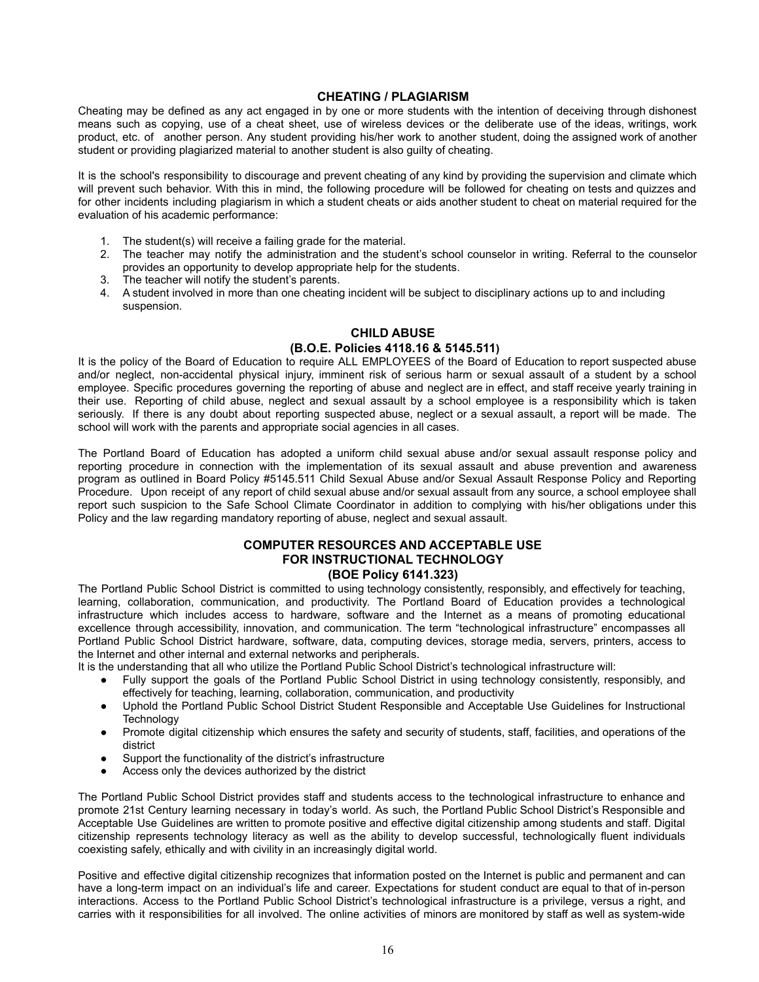# **CHEATING / PLAGIARISM**

Cheating may be defined as any act engaged in by one or more students with the intention of deceiving through dishonest means such as copying, use of a cheat sheet, use of wireless devices or the deliberate use of the ideas, writings, work product, etc. of another person. Any student providing his/her work to another student, doing the assigned work of another student or providing plagiarized material to another student is also guilty of cheating.

It is the school's responsibility to discourage and prevent cheating of any kind by providing the supervision and climate which will prevent such behavior. With this in mind, the following procedure will be followed for cheating on tests and quizzes and for other incidents including plagiarism in which a student cheats or aids another student to cheat on material required for the evaluation of his academic performance:

- 1. The student(s) will receive a failing grade for the material.
- 2. The teacher may notify the administration and the student's school counselor in writing. Referral to the counselor provides an opportunity to develop appropriate help for the students.
- 3. The teacher will notify the student's parents.
- 4. A student involved in more than one cheating incident will be subject to disciplinary actions up to and including suspension.

# **CHILD ABUSE**

# **(B.O.E. Policies 4118.16 & 5145.511)**

It is the policy of the Board of Education to require ALL EMPLOYEES of the Board of Education to report suspected abuse and/or neglect, non-accidental physical injury, imminent risk of serious harm or sexual assault of a student by a school employee. Specific procedures governing the reporting of abuse and neglect are in effect, and staff receive yearly training in their use. Reporting of child abuse, neglect and sexual assault by a school employee is a responsibility which is taken seriously. If there is any doubt about reporting suspected abuse, neglect or a sexual assault, a report will be made. The school will work with the parents and appropriate social agencies in all cases.

The Portland Board of Education has adopted a uniform child sexual abuse and/or sexual assault response policy and reporting procedure in connection with the implementation of its sexual assault and abuse prevention and awareness program as outlined in Board Policy #5145.511 Child Sexual Abuse and/or Sexual Assault Response Policy and Reporting Procedure. Upon receipt of any report of child sexual abuse and/or sexual assault from any source, a school employee shall report such suspicion to the Safe School Climate Coordinator in addition to complying with his/her obligations under this Policy and the law regarding mandatory reporting of abuse, neglect and sexual assault.

# **COMPUTER RESOURCES AND ACCEPTABLE USE FOR INSTRUCTIONAL TECHNOLOGY (BOE Policy 6141.323)**

The Portland Public School District is committed to using technology consistently, responsibly, and effectively for teaching, learning, collaboration, communication, and productivity. The Portland Board of Education provides a technological infrastructure which includes access to hardware, software and the Internet as a means of promoting educational excellence through accessibility, innovation, and communication. The term "technological infrastructure" encompasses all Portland Public School District hardware, software, data, computing devices, storage media, servers, printers, access to the Internet and other internal and external networks and peripherals.

It is the understanding that all who utilize the Portland Public School District's technological infrastructure will:

- Fully support the goals of the Portland Public School District in using technology consistently, responsibly, and effectively for teaching, learning, collaboration, communication, and productivity
- Uphold the Portland Public School District Student Responsible and Acceptable Use Guidelines for Instructional **Technology**
- Promote digital citizenship which ensures the safety and security of students, staff, facilities, and operations of the district
- Support the functionality of the district's infrastructure
- Access only the devices authorized by the district

The Portland Public School District provides staff and students access to the technological infrastructure to enhance and promote 21st Century learning necessary in today's world. As such, the Portland Public School District's Responsible and Acceptable Use Guidelines are written to promote positive and effective digital citizenship among students and staff. Digital citizenship represents technology literacy as well as the ability to develop successful, technologically fluent individuals coexisting safely, ethically and with civility in an increasingly digital world.

Positive and effective digital citizenship recognizes that information posted on the Internet is public and permanent and can have a long-term impact on an individual's life and career. Expectations for student conduct are equal to that of in-person interactions. Access to the Portland Public School District's technological infrastructure is a privilege, versus a right, and carries with it responsibilities for all involved. The online activities of minors are monitored by staff as well as system-wide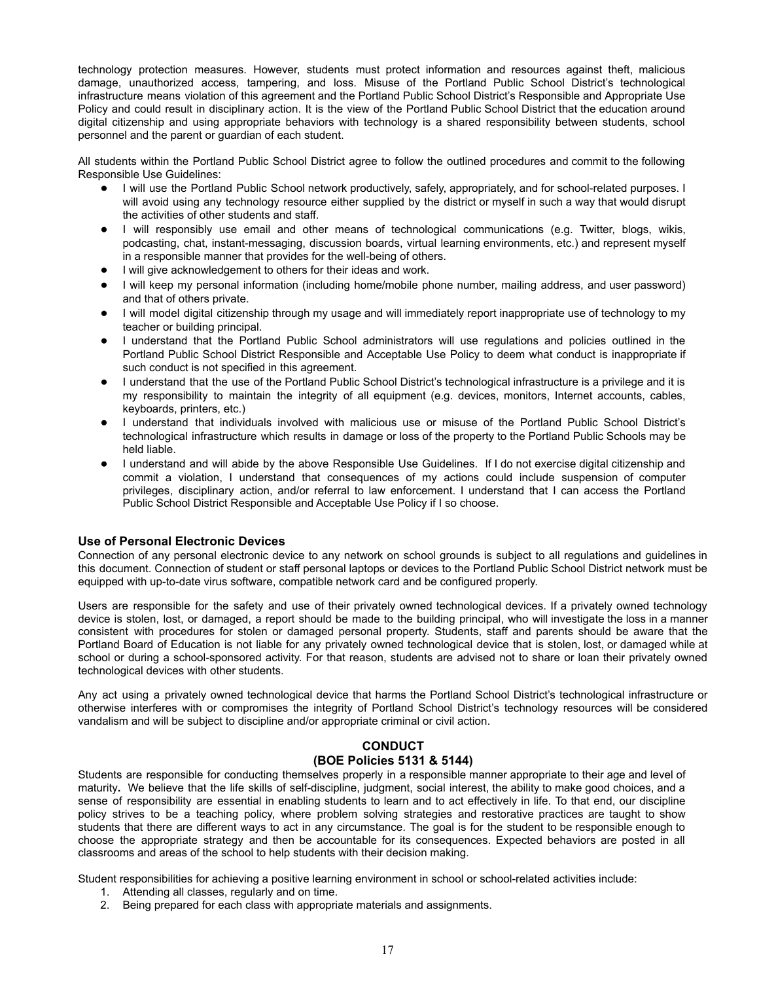technology protection measures. However, students must protect information and resources against theft, malicious damage, unauthorized access, tampering, and loss. Misuse of the Portland Public School District's technological infrastructure means violation of this agreement and the Portland Public School District's Responsible and Appropriate Use Policy and could result in disciplinary action. It is the view of the Portland Public School District that the education around digital citizenship and using appropriate behaviors with technology is a shared responsibility between students, school personnel and the parent or guardian of each student.

All students within the Portland Public School District agree to follow the outlined procedures and commit to the following Responsible Use Guidelines:

- I will use the Portland Public School network productively, safely, appropriately, and for school-related purposes. I will avoid using any technology resource either supplied by the district or myself in such a way that would disrupt the activities of other students and staff.
- I will responsibly use email and other means of technological communications (e.g. Twitter, blogs, wikis, podcasting, chat, instant-messaging, discussion boards, virtual learning environments, etc.) and represent myself in a responsible manner that provides for the well-being of others.
- I will give acknowledgement to others for their ideas and work.
- I will keep my personal information (including home/mobile phone number, mailing address, and user password) and that of others private.
- I will model digital citizenship through my usage and will immediately report inappropriate use of technology to my teacher or building principal.
- I understand that the Portland Public School administrators will use regulations and policies outlined in the Portland Public School District Responsible and Acceptable Use Policy to deem what conduct is inappropriate if such conduct is not specified in this agreement.
- I understand that the use of the Portland Public School District's technological infrastructure is a privilege and it is my responsibility to maintain the integrity of all equipment (e.g. devices, monitors, Internet accounts, cables, keyboards, printers, etc.)
- I understand that individuals involved with malicious use or misuse of the Portland Public School District's technological infrastructure which results in damage or loss of the property to the Portland Public Schools may be held liable.
- I understand and will abide by the above Responsible Use Guidelines. If I do not exercise digital citizenship and commit a violation, I understand that consequences of my actions could include suspension of computer privileges, disciplinary action, and/or referral to law enforcement. I understand that I can access the Portland Public School District Responsible and Acceptable Use Policy if I so choose.

# **Use of Personal Electronic Devices**

Connection of any personal electronic device to any network on school grounds is subject to all regulations and guidelines in this document. Connection of student or staff personal laptops or devices to the Portland Public School District network must be equipped with up-to-date virus software, compatible network card and be configured properly.

Users are responsible for the safety and use of their privately owned technological devices. If a privately owned technology device is stolen, lost, or damaged, a report should be made to the building principal, who will investigate the loss in a manner consistent with procedures for stolen or damaged personal property. Students, staff and parents should be aware that the Portland Board of Education is not liable for any privately owned technological device that is stolen, lost, or damaged while at school or during a school-sponsored activity. For that reason, students are advised not to share or loan their privately owned technological devices with other students.

Any act using a privately owned technological device that harms the Portland School District's technological infrastructure or otherwise interferes with or compromises the integrity of Portland School District's technology resources will be considered vandalism and will be subject to discipline and/or appropriate criminal or civil action.

# **CONDUCT (BOE Policies 5131 & 5144)**

Students are responsible for conducting themselves properly in a responsible manner appropriate to their age and level of maturity**.** We believe that the life skills of self-discipline, judgment, social interest, the ability to make good choices, and a sense of responsibility are essential in enabling students to learn and to act effectively in life. To that end, our discipline policy strives to be a teaching policy, where problem solving strategies and restorative practices are taught to show students that there are different ways to act in any circumstance. The goal is for the student to be responsible enough to choose the appropriate strategy and then be accountable for its consequences. Expected behaviors are posted in all classrooms and areas of the school to help students with their decision making.

Student responsibilities for achieving a positive learning environment in school or school-related activities include:

- 1. Attending all classes, regularly and on time.
- 2. Being prepared for each class with appropriate materials and assignments.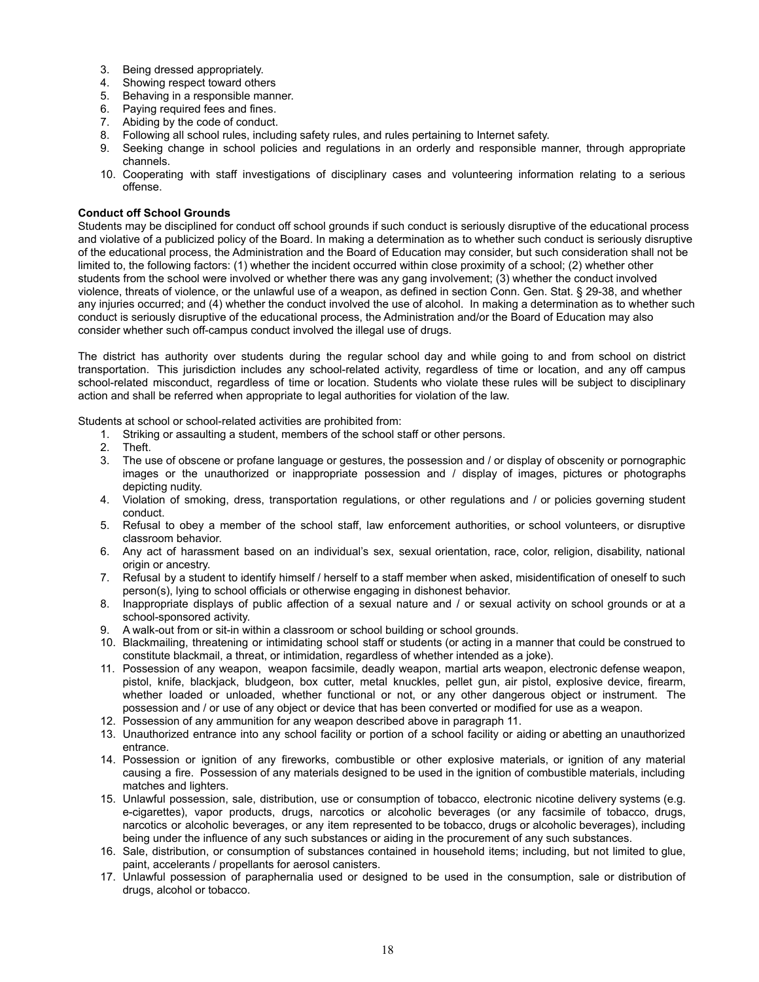- 3. Being dressed appropriately.
- 4. Showing respect toward others
- 5. Behaving in a responsible manner.
- 6. Paying required fees and fines.
- 7. Abiding by the code of conduct.
- 8. Following all school rules, including safety rules, and rules pertaining to Internet safety.
- 9. Seeking change in school policies and regulations in an orderly and responsible manner, through appropriate channels.
- 10. Cooperating with staff investigations of disciplinary cases and volunteering information relating to a serious offense.

#### **Conduct off School Grounds**

Students may be disciplined for conduct off school grounds if such conduct is seriously disruptive of the educational process and violative of a publicized policy of the Board. In making a determination as to whether such conduct is seriously disruptive of the educational process, the Administration and the Board of Education may consider, but such consideration shall not be limited to, the following factors: (1) whether the incident occurred within close proximity of a school; (2) whether other students from the school were involved or whether there was any gang involvement; (3) whether the conduct involved violence, threats of violence, or the unlawful use of a weapon, as defined in section Conn. Gen. Stat. § 29-38, and whether any injuries occurred; and (4) whether the conduct involved the use of alcohol. In making a determination as to whether such conduct is seriously disruptive of the educational process, the Administration and/or the Board of Education may also consider whether such off-campus conduct involved the illegal use of drugs.

The district has authority over students during the regular school day and while going to and from school on district transportation. This jurisdiction includes any school-related activity, regardless of time or location, and any off campus school-related misconduct, regardless of time or location. Students who violate these rules will be subject to disciplinary action and shall be referred when appropriate to legal authorities for violation of the law.

Students at school or school-related activities are prohibited from:

- 1. Striking or assaulting a student, members of the school staff or other persons.
- 2. Theft.
- 3. The use of obscene or profane language or gestures, the possession and / or display of obscenity or pornographic images or the unauthorized or inappropriate possession and / display of images, pictures or photographs depicting nudity.
- 4. Violation of smoking, dress, transportation regulations, or other regulations and / or policies governing student conduct.
- 5. Refusal to obey a member of the school staff, law enforcement authorities, or school volunteers, or disruptive classroom behavior.
- 6. Any act of harassment based on an individual's sex, sexual orientation, race, color, religion, disability, national origin or ancestry.
- 7. Refusal by a student to identify himself / herself to a staff member when asked, misidentification of oneself to such person(s), lying to school officials or otherwise engaging in dishonest behavior.
- 8. Inappropriate displays of public affection of a sexual nature and / or sexual activity on school grounds or at a school-sponsored activity.
- 9. A walk-out from or sit-in within a classroom or school building or school grounds.
- 10. Blackmailing, threatening or intimidating school staff or students (or acting in a manner that could be construed to constitute blackmail, a threat, or intimidation, regardless of whether intended as a joke).
- 11. Possession of any weapon, weapon facsimile, deadly weapon, martial arts weapon, electronic defense weapon, pistol, knife, blackjack, bludgeon, box cutter, metal knuckles, pellet gun, air pistol, explosive device, firearm, whether loaded or unloaded, whether functional or not, or any other dangerous object or instrument. The possession and / or use of any object or device that has been converted or modified for use as a weapon.
- 12. Possession of any ammunition for any weapon described above in paragraph 11.
- 13. Unauthorized entrance into any school facility or portion of a school facility or aiding or abetting an unauthorized entrance.
- 14. Possession or ignition of any fireworks, combustible or other explosive materials, or ignition of any material causing a fire. Possession of any materials designed to be used in the ignition of combustible materials, including matches and lighters.
- 15. Unlawful possession, sale, distribution, use or consumption of tobacco, electronic nicotine delivery systems (e.g. e-cigarettes), vapor products, drugs, narcotics or alcoholic beverages (or any facsimile of tobacco, drugs, narcotics or alcoholic beverages, or any item represented to be tobacco, drugs or alcoholic beverages), including being under the influence of any such substances or aiding in the procurement of any such substances.
- 16. Sale, distribution, or consumption of substances contained in household items; including, but not limited to glue, paint, accelerants / propellants for aerosol canisters.
- 17. Unlawful possession of paraphernalia used or designed to be used in the consumption, sale or distribution of drugs, alcohol or tobacco.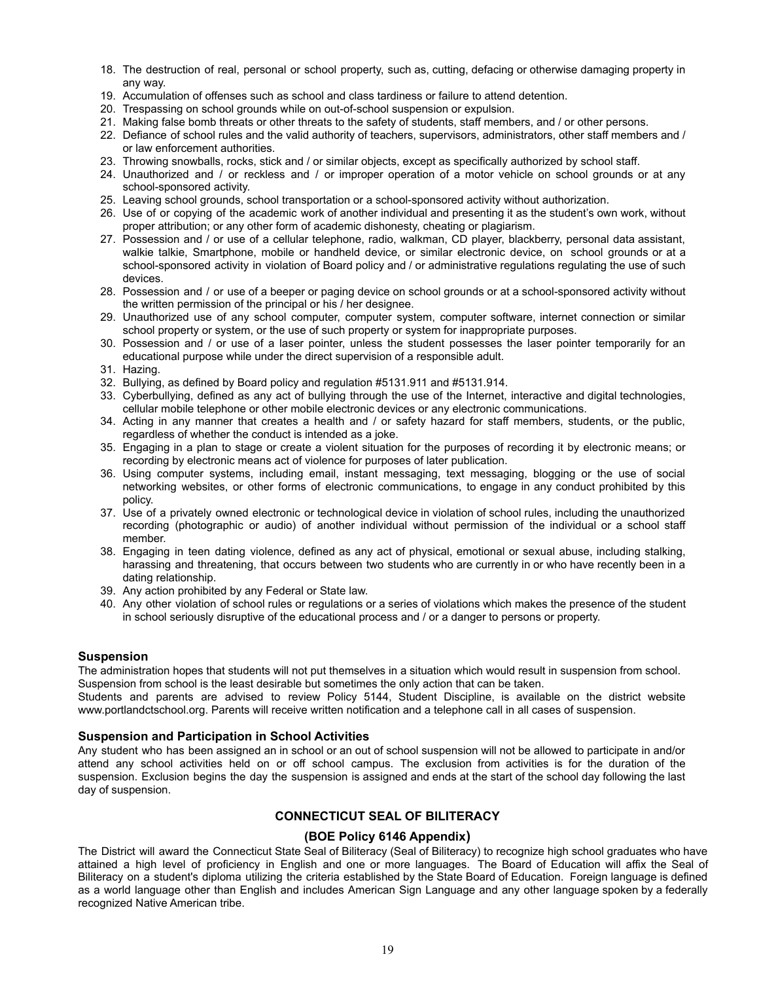- 18. The destruction of real, personal or school property, such as, cutting, defacing or otherwise damaging property in any way.
- 19. Accumulation of offenses such as school and class tardiness or failure to attend detention.
- 20. Trespassing on school grounds while on out-of-school suspension or expulsion.
- 21. Making false bomb threats or other threats to the safety of students, staff members, and / or other persons.
- 22. Defiance of school rules and the valid authority of teachers, supervisors, administrators, other staff members and / or law enforcement authorities.
- 23. Throwing snowballs, rocks, stick and / or similar objects, except as specifically authorized by school staff.
- 24. Unauthorized and / or reckless and / or improper operation of a motor vehicle on school grounds or at any school-sponsored activity.
- 25. Leaving school grounds, school transportation or a school-sponsored activity without authorization.
- 26. Use of or copying of the academic work of another individual and presenting it as the student's own work, without proper attribution; or any other form of academic dishonesty, cheating or plagiarism.
- 27. Possession and / or use of a cellular telephone, radio, walkman, CD player, blackberry, personal data assistant, walkie talkie, Smartphone, mobile or handheld device, or similar electronic device, on school grounds or at a school-sponsored activity in violation of Board policy and / or administrative regulations regulating the use of such devices.
- 28. Possession and / or use of a beeper or paging device on school grounds or at a school-sponsored activity without the written permission of the principal or his / her designee.
- 29. Unauthorized use of any school computer, computer system, computer software, internet connection or similar school property or system, or the use of such property or system for inappropriate purposes.
- 30. Possession and / or use of a laser pointer, unless the student possesses the laser pointer temporarily for an educational purpose while under the direct supervision of a responsible adult.
- 31. Hazing.
- 32. Bullying, as defined by Board policy and regulation #5131.911 and #5131.914.
- 33. Cyberbullying, defined as any act of bullying through the use of the Internet, interactive and digital technologies, cellular mobile telephone or other mobile electronic devices or any electronic communications.
- 34. Acting in any manner that creates a health and / or safety hazard for staff members, students, or the public, regardless of whether the conduct is intended as a joke.
- 35. Engaging in a plan to stage or create a violent situation for the purposes of recording it by electronic means; or recording by electronic means act of violence for purposes of later publication.
- 36. Using computer systems, including email, instant messaging, text messaging, blogging or the use of social networking websites, or other forms of electronic communications, to engage in any conduct prohibited by this policy.
- 37. Use of a privately owned electronic or technological device in violation of school rules, including the unauthorized recording (photographic or audio) of another individual without permission of the individual or a school staff member.
- 38. Engaging in teen dating violence, defined as any act of physical, emotional or sexual abuse, including stalking, harassing and threatening, that occurs between two students who are currently in or who have recently been in a dating relationship.
- 39. Any action prohibited by any Federal or State law.
- 40. Any other violation of school rules or regulations or a series of violations which makes the presence of the student in school seriously disruptive of the educational process and / or a danger to persons or property.

#### **Suspension**

The administration hopes that students will not put themselves in a situation which would result in suspension from school. Suspension from school is the least desirable but sometimes the only action that can be taken.

Students and parents are advised to review Policy 5144, Student Discipline, is available on the district website www.portlandctschool.org. Parents will receive written notification and a telephone call in all cases of suspension.

#### **Suspension and Participation in School Activities**

Any student who has been assigned an in school or an out of school suspension will not be allowed to participate in and/or attend any school activities held on or off school campus. The exclusion from activities is for the duration of the suspension. Exclusion begins the day the suspension is assigned and ends at the start of the school day following the last day of suspension.

#### **CONNECTICUT SEAL OF BILITERACY**

#### **(BOE Policy 6146 Appendix)**

The District will award the Connecticut State Seal of Biliteracy (Seal of Biliteracy) to recognize high school graduates who have attained a high level of proficiency in English and one or more languages. The Board of Education will affix the Seal of Biliteracy on a student's diploma utilizing the criteria established by the State Board of Education. Foreign language is defined as a world language other than English and includes American Sign Language and any other language spoken by a federally recognized Native American tribe.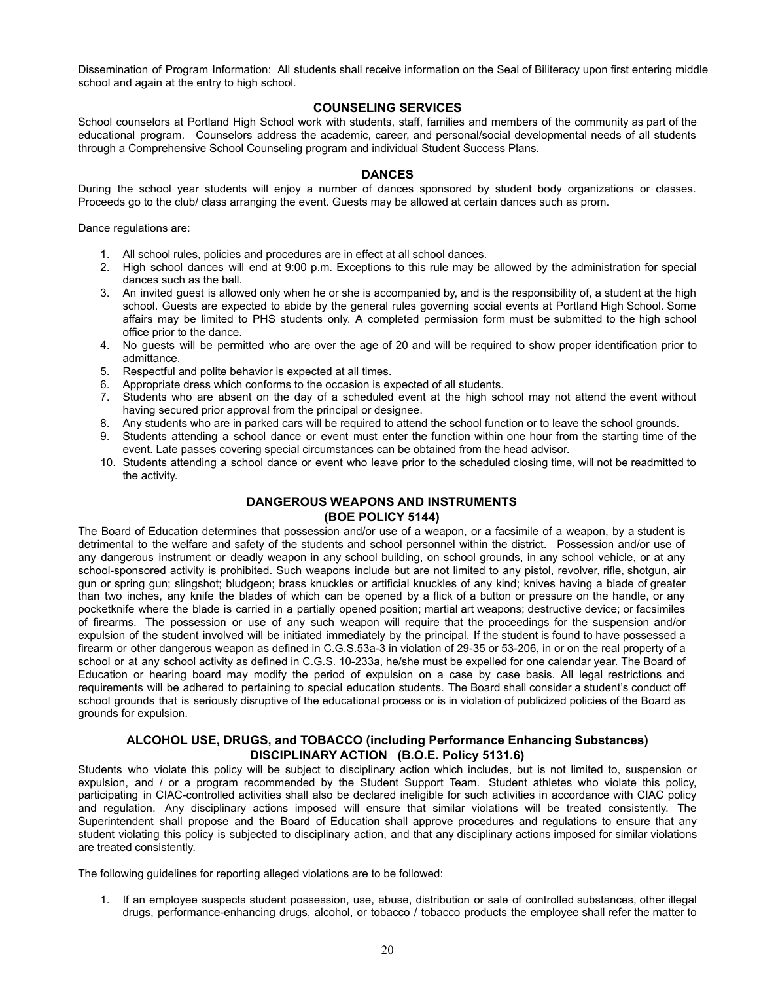Dissemination of Program Information: All students shall receive information on the Seal of Biliteracy upon first entering middle school and again at the entry to high school.

# **COUNSELING SERVICES**

School counselors at Portland High School work with students, staff, families and members of the community as part of the educational program. Counselors address the academic, career, and personal/social developmental needs of all students through a Comprehensive School Counseling program and individual Student Success Plans.

# **DANCES**

During the school year students will enjoy a number of dances sponsored by student body organizations or classes. Proceeds go to the club/ class arranging the event. Guests may be allowed at certain dances such as prom.

Dance regulations are:

- 1. All school rules, policies and procedures are in effect at all school dances.
- 2. High school dances will end at 9:00 p.m. Exceptions to this rule may be allowed by the administration for special dances such as the ball.
- 3. An invited guest is allowed only when he or she is accompanied by, and is the responsibility of, a student at the high school. Guests are expected to abide by the general rules governing social events at Portland High School. Some affairs may be limited to PHS students only. A completed permission form must be submitted to the high school office prior to the dance.
- 4. No guests will be permitted who are over the age of 20 and will be required to show proper identification prior to admittance.
- 5. Respectful and polite behavior is expected at all times.
- 6. Appropriate dress which conforms to the occasion is expected of all students.
- 7. Students who are absent on the day of a scheduled event at the high school may not attend the event without having secured prior approval from the principal or designee.
- 8. Any students who are in parked cars will be required to attend the school function or to leave the school grounds.
- 9. Students attending a school dance or event must enter the function within one hour from the starting time of the event. Late passes covering special circumstances can be obtained from the head advisor.
- 10. Students attending a school dance or event who leave prior to the scheduled closing time, will not be readmitted to the activity.

# **DANGEROUS WEAPONS AND INSTRUMENTS (BOE POLICY 5144)**

The Board of Education determines that possession and/or use of a weapon, or a facsimile of a weapon, by a student is detrimental to the welfare and safety of the students and school personnel within the district. Possession and/or use of any dangerous instrument or deadly weapon in any school building, on school grounds, in any school vehicle, or at any school-sponsored activity is prohibited. Such weapons include but are not limited to any pistol, revolver, rifle, shotgun, air gun or spring gun; slingshot; bludgeon; brass knuckles or artificial knuckles of any kind; knives having a blade of greater than two inches, any knife the blades of which can be opened by a flick of a button or pressure on the handle, or any pocketknife where the blade is carried in a partially opened position; martial art weapons; destructive device; or facsimiles of firearms. The possession or use of any such weapon will require that the proceedings for the suspension and/or expulsion of the student involved will be initiated immediately by the principal. If the student is found to have possessed a firearm or other dangerous weapon as defined in C.G.S.53a-3 in violation of 29-35 or 53-206, in or on the real property of a school or at any school activity as defined in C.G.S. 10-233a, he/she must be expelled for one calendar year. The Board of Education or hearing board may modify the period of expulsion on a case by case basis. All legal restrictions and requirements will be adhered to pertaining to special education students. The Board shall consider a student's conduct off school grounds that is seriously disruptive of the educational process or is in violation of publicized policies of the Board as grounds for expulsion.

# **ALCOHOL USE, DRUGS, and TOBACCO (including Performance Enhancing Substances) DISCIPLINARY ACTION (B.O.E. Policy 5131.6)**

Students who violate this policy will be subject to disciplinary action which includes, but is not limited to, suspension or expulsion, and / or a program recommended by the Student Support Team. Student athletes who violate this policy, participating in CIAC-controlled activities shall also be declared ineligible for such activities in accordance with CIAC policy and regulation. Any disciplinary actions imposed will ensure that similar violations will be treated consistently. The Superintendent shall propose and the Board of Education shall approve procedures and regulations to ensure that any student violating this policy is subjected to disciplinary action, and that any disciplinary actions imposed for similar violations are treated consistently.

The following guidelines for reporting alleged violations are to be followed:

1. If an employee suspects student possession, use, abuse, distribution or sale of controlled substances, other illegal drugs, performance-enhancing drugs, alcohol, or tobacco / tobacco products the employee shall refer the matter to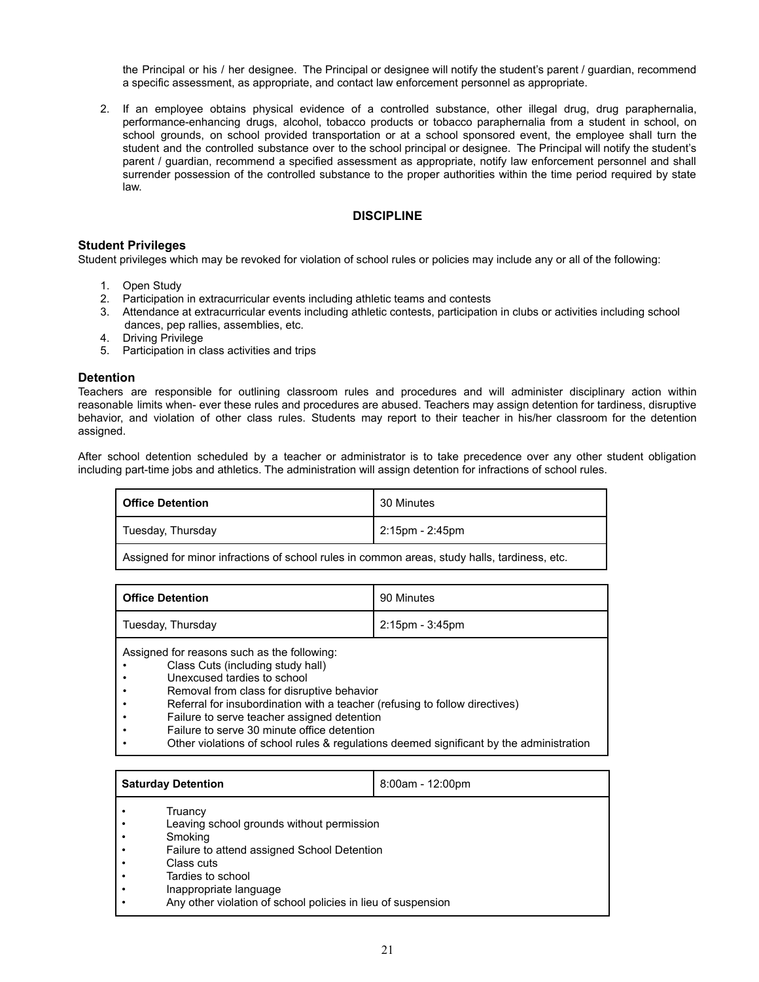the Principal or his / her designee. The Principal or designee will notify the student's parent / guardian, recommend a specific assessment, as appropriate, and contact law enforcement personnel as appropriate.

2. If an employee obtains physical evidence of a controlled substance, other illegal drug, drug paraphernalia, performance-enhancing drugs, alcohol, tobacco products or tobacco paraphernalia from a student in school, on school grounds, on school provided transportation or at a school sponsored event, the employee shall turn the student and the controlled substance over to the school principal or designee. The Principal will notify the student's parent / guardian, recommend a specified assessment as appropriate, notify law enforcement personnel and shall surrender possession of the controlled substance to the proper authorities within the time period required by state law.

# **DISCIPLINE**

#### **Student Privileges**

Student privileges which may be revoked for violation of school rules or policies may include any or all of the following:

- 1. Open Study
- 2. Participation in extracurricular events including athletic teams and contests
- 3. Attendance at extracurricular events including athletic contests, participation in clubs or activities including school dances, pep rallies, assemblies, etc.
- 4. Driving Privilege
- 5. Participation in class activities and trips

#### **Detention**

Teachers are responsible for outlining classroom rules and procedures and will administer disciplinary action within reasonable limits when- ever these rules and procedures are abused. Teachers may assign detention for tardiness, disruptive behavior, and violation of other class rules. Students may report to their teacher in his/her classroom for the detention assigned.

After school detention scheduled by a teacher or administrator is to take precedence over any other student obligation including part-time jobs and athletics. The administration will assign detention for infractions of school rules.

| <b>Office Detention</b> | 30 Minutes      |  |
|-------------------------|-----------------|--|
| Tuesday, Thursday       | 2:15pm - 2:45pm |  |
| .                       | .               |  |

Assigned for minor infractions of school rules in common areas, study halls, tardiness, etc.

| <b>Office Detention</b>                                                                                         | 90 Minutes            |  |
|-----------------------------------------------------------------------------------------------------------------|-----------------------|--|
| Tuesday, Thursday                                                                                               | $2:15$ pm - $3:45$ pm |  |
| Assigned for reasons such as the following:<br>Class Cuts (including study hall)<br>Unexcused tardies to school |                       |  |

- Removal from class for disruptive behavior
- Referral for insubordination with a teacher (refusing to follow directives)
- Failure to serve teacher assigned detention
- Failure to serve 30 minute office detention
- Other violations of school rules & regulations deemed significant by the administration

|   | <b>Saturday Detention</b>                                    | $8:00am - 12:00pm$ |
|---|--------------------------------------------------------------|--------------------|
|   | Truancy                                                      |                    |
|   | Leaving school grounds without permission                    |                    |
|   | Smoking                                                      |                    |
|   | Failure to attend assigned School Detention                  |                    |
|   | Class cuts                                                   |                    |
|   | Tardies to school                                            |                    |
| ٠ | Inappropriate language                                       |                    |
|   | Any other violation of school policies in lieu of suspension |                    |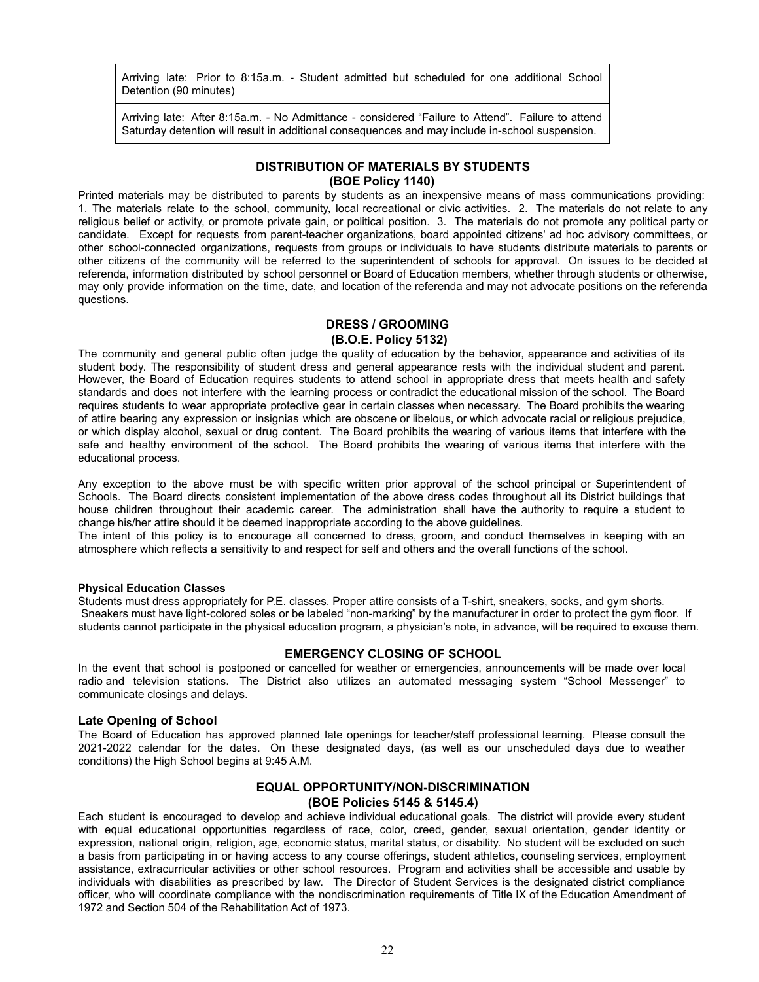Arriving late: Prior to 8:15a.m. - Student admitted but scheduled for one additional School Detention (90 minutes)

Arriving late: After 8:15a.m. - No Admittance - considered "Failure to Attend". Failure to attend Saturday detention will result in additional consequences and may include in-school suspension.

# **DISTRIBUTION OF MATERIALS BY STUDENTS (BOE Policy 1140)**

Printed materials may be distributed to parents by students as an inexpensive means of mass communications providing: 1. The materials relate to the school, community, local recreational or civic activities. 2. The materials do not relate to any religious belief or activity, or promote private gain, or political position. 3. The materials do not promote any political party or candidate. Except for requests from parent-teacher organizations, board appointed citizens' ad hoc advisory committees, or other school-connected organizations, requests from groups or individuals to have students distribute materials to parents or other citizens of the community will be referred to the superintendent of schools for approval. On issues to be decided at referenda, information distributed by school personnel or Board of Education members, whether through students or otherwise, may only provide information on the time, date, and location of the referenda and may not advocate positions on the referenda questions.

# **DRESS / GROOMING**

**(B.O.E. Policy 5132)**

The community and general public often judge the quality of education by the behavior, appearance and activities of its student body. The responsibility of student dress and general appearance rests with the individual student and parent. However, the Board of Education requires students to attend school in appropriate dress that meets health and safety standards and does not interfere with the learning process or contradict the educational mission of the school. The Board requires students to wear appropriate protective gear in certain classes when necessary. The Board prohibits the wearing of attire bearing any expression or insignias which are obscene or libelous, or which advocate racial or religious prejudice, or which display alcohol, sexual or drug content. The Board prohibits the wearing of various items that interfere with the safe and healthy environment of the school. The Board prohibits the wearing of various items that interfere with the educational process.

Any exception to the above must be with specific written prior approval of the school principal or Superintendent of Schools. The Board directs consistent implementation of the above dress codes throughout all its District buildings that house children throughout their academic career. The administration shall have the authority to require a student to change his/her attire should it be deemed inappropriate according to the above guidelines.

The intent of this policy is to encourage all concerned to dress, groom, and conduct themselves in keeping with an atmosphere which reflects a sensitivity to and respect for self and others and the overall functions of the school.

#### **Physical Education Classes**

Students must dress appropriately for P.E. classes. Proper attire consists of a T-shirt, sneakers, socks, and gym shorts. Sneakers must have light-colored soles or be labeled "non-marking" by the manufacturer in order to protect the gym floor. If students cannot participate in the physical education program, a physician's note, in advance, will be required to excuse them.

#### **EMERGENCY CLOSING OF SCHOOL**

In the event that school is postponed or cancelled for weather or emergencies, announcements will be made over local radio and television stations. The District also utilizes an automated messaging system "School Messenger" to communicate closings and delays.

#### **Late Opening of School**

The Board of Education has approved planned late openings for teacher/staff professional learning. Please consult the 2021-2022 calendar for the dates. On these designated days, (as well as our unscheduled days due to weather conditions) the High School begins at 9:45 A.M.

# **EQUAL OPPORTUNITY/NON-DISCRIMINATION (BOE Policies 5145 & 5145.4)**

Each student is encouraged to develop and achieve individual educational goals. The district will provide every student with equal educational opportunities regardless of race, color, creed, gender, sexual orientation, gender identity or expression, national origin, religion, age, economic status, marital status, or disability. No student will be excluded on such a basis from participating in or having access to any course offerings, student athletics, counseling services, employment assistance, extracurricular activities or other school resources. Program and activities shall be accessible and usable by individuals with disabilities as prescribed by law. The Director of Student Services is the designated district compliance officer, who will coordinate compliance with the nondiscrimination requirements of Title IX of the Education Amendment of 1972 and Section 504 of the Rehabilitation Act of 1973.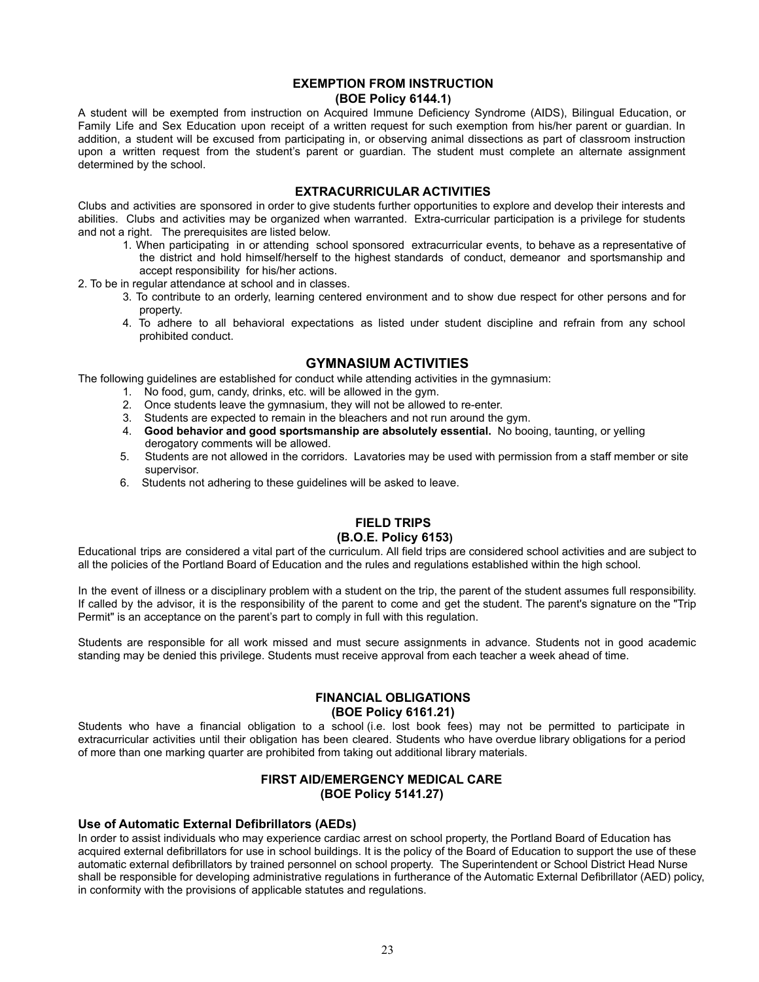# **EXEMPTION FROM INSTRUCTION (BOE Policy 6144.1)**

A student will be exempted from instruction on Acquired Immune Deficiency Syndrome (AIDS), Bilingual Education, or Family Life and Sex Education upon receipt of a written request for such exemption from his/her parent or guardian. In addition, a student will be excused from participating in, or observing animal dissections as part of classroom instruction upon a written request from the student's parent or guardian. The student must complete an alternate assignment determined by the school.

# **EXTRACURRICULAR ACTIVITIES**

Clubs and activities are sponsored in order to give students further opportunities to explore and develop their interests and abilities. Clubs and activities may be organized when warranted. Extra-curricular participation is a privilege for students and not a right. The prerequisites are listed below.

1. When participating in or attending school sponsored extracurricular events, to behave as a representative of the district and hold himself/herself to the highest standards of conduct, demeanor and sportsmanship and accept responsibility for his/her actions.

2. To be in regular attendance at school and in classes.

- 3. To contribute to an orderly, learning centered environment and to show due respect for other persons and for property.
- 4. To adhere to all behavioral expectations as listed under student discipline and refrain from any school prohibited conduct.

# **GYMNASIUM ACTIVITIES**

The following guidelines are established for conduct while attending activities in the gymnasium:

- 1. No food, gum, candy, drinks, etc. will be allowed in the gym.
- 2. Once students leave the gymnasium, they will not be allowed to re-enter.
- 3. Students are expected to remain in the bleachers and not run around the gym.
- 4. **Good behavior and good sportsmanship are absolutely essential.** No booing, taunting, or yelling derogatory comments will be allowed.
- 5. Students are not allowed in the corridors. Lavatories may be used with permission from a staff member or site supervisor.
- 6. Students not adhering to these guidelines will be asked to leave.

# **FIELD TRIPS (B.O.E. Policy 6153)**

# Educational trips are considered a vital part of the curriculum. All field trips are considered school activities and are subject to all the policies of the Portland Board of Education and the rules and regulations established within the high school.

In the event of illness or a disciplinary problem with a student on the trip, the parent of the student assumes full responsibility. If called by the advisor, it is the responsibility of the parent to come and get the student. The parent's signature on the "Trip Permit" is an acceptance on the parent's part to comply in full with this regulation.

Students are responsible for all work missed and must secure assignments in advance. Students not in good academic standing may be denied this privilege. Students must receive approval from each teacher a week ahead of time.

### **FINANCIAL OBLIGATIONS (BOE Policy 6161.21)**

Students who have a financial obligation to a school (i.e. lost book fees) may not be permitted to participate in extracurricular activities until their obligation has been cleared. Students who have overdue library obligations for a period of more than one marking quarter are prohibited from taking out additional library materials.

# **FIRST AID/EMERGENCY MEDICAL CARE (BOE Policy 5141.27)**

#### **Use of Automatic External Defibrillators (AEDs)**

In order to assist individuals who may experience cardiac arrest on school property, the Portland Board of Education has acquired external defibrillators for use in school buildings. It is the policy of the Board of Education to support the use of these automatic external defibrillators by trained personnel on school property. The Superintendent or School District Head Nurse shall be responsible for developing administrative regulations in furtherance of the Automatic External Defibrillator (AED) policy, in conformity with the provisions of applicable statutes and regulations.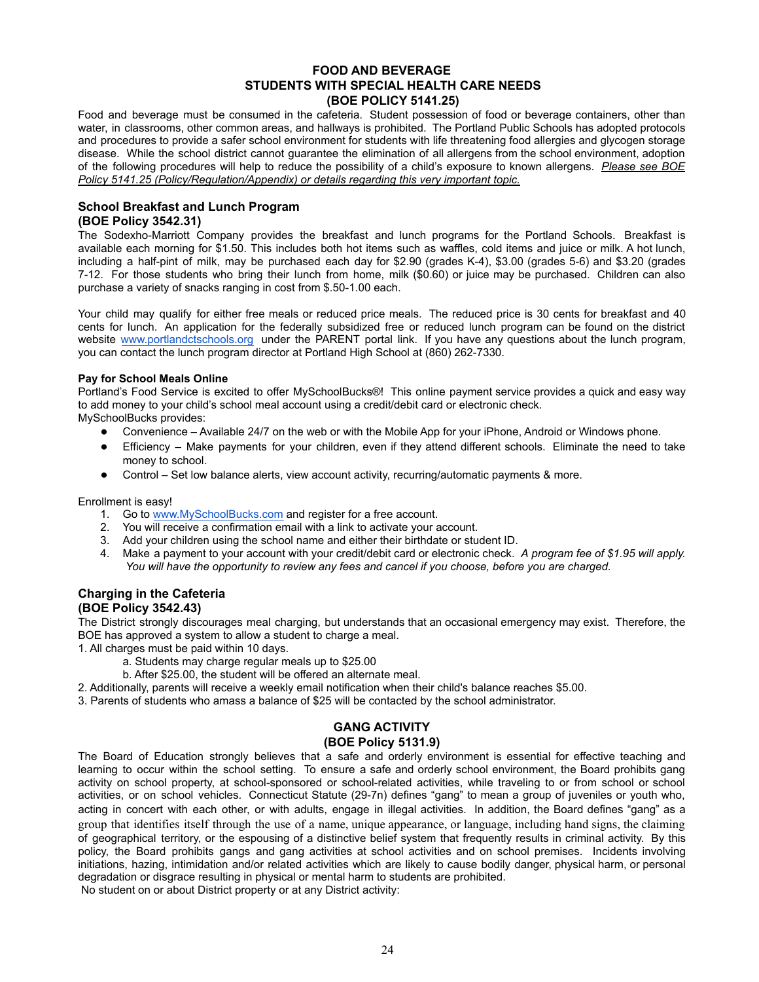# **FOOD AND BEVERAGE STUDENTS WITH SPECIAL HEALTH CARE NEEDS (BOE POLICY 5141.25)**

Food and beverage must be consumed in the cafeteria. Student possession of food or beverage containers, other than water, in classrooms, other common areas, and hallways is prohibited. The Portland Public Schools has adopted protocols and procedures to provide a safer school environment for students with life threatening food allergies and glycogen storage disease. While the school district cannot guarantee the elimination of all allergens from the school environment, adoption of the following procedures will help to reduce the possibility of a child's exposure to known allergens. *Please see BOE Policy 5141.25 (Policy/Regulation/Appendix) or details regarding this very important topic.*

# **School Breakfast and Lunch Program (BOE Policy 3542.31)**

The Sodexho-Marriott Company provides the breakfast and lunch programs for the Portland Schools. Breakfast is available each morning for \$1.50. This includes both hot items such as waffles, cold items and juice or milk. A hot lunch, including a half-pint of milk, may be purchased each day for \$2.90 (grades K-4), \$3.00 (grades 5-6) and \$3.20 (grades 7-12. For those students who bring their lunch from home, milk (\$0.60) or juice may be purchased. Children can also purchase a variety of snacks ranging in cost from \$.50-1.00 each.

Your child may qualify for either free meals or reduced price meals. The reduced price is 30 cents for breakfast and 40 cents for lunch. An application for the federally subsidized free or reduced lunch program can be found on the district website [www.portlandctschools.org](http://www.portlandctschools.org) under the PARENT portal link. If you have any questions about the lunch program, you can contact the lunch program director at Portland High School at (860) 262-7330.

# **Pay for School Meals Online**

Portland's Food Service is excited to offer MySchoolBucks®! This online payment service provides a quick and easy way to add money to your child's school meal account using a credit/debit card or electronic check.

MySchoolBucks provides:

- Convenience Available 24/7 on the web or with the Mobile App for your iPhone, Android or Windows phone.
- Efficiency Make payments for your children, even if they attend different schools. Eliminate the need to take money to school.
- Control Set low balance alerts, view account activity, recurring/automatic payments & more.

Enrollment is easy!

- 1. Go to [www.MySchoolBucks.com](http://www.myschoolbucks.com) and register for a free account.
- 2. You will receive a confirmation email with a link to activate your account.
- 3. Add your children using the school name and either their birthdate or student ID.
- 4. Make a payment to your account with your credit/debit card or electronic check. *A program fee of \$1.95 will apply. You will have the opportunity to review any fees and cancel if you choose, before you are charged.*

# **Charging in the Cafeteria (BOE Policy 3542.43)**

The District strongly discourages meal charging, but understands that an occasional emergency may exist. Therefore, the BOE has approved a system to allow a student to charge a meal.

- 1. All charges must be paid within 10 days.
	- a. Students may charge regular meals up to \$25.00
	- b. After \$25.00, the student will be offered an alternate meal.
- 2. Additionally, parents will receive a weekly email notification when their child's balance reaches \$5.00.

3. Parents of students who amass a balance of \$25 will be contacted by the school administrator.

# **GANG ACTIVITY**

# **(BOE Policy 5131.9)**

The Board of Education strongly believes that a safe and orderly environment is essential for effective teaching and learning to occur within the school setting. To ensure a safe and orderly school environment, the Board prohibits gang activity on school property, at school-sponsored or school-related activities, while traveling to or from school or school activities, or on school vehicles. Connecticut Statute (29-7n) defines "gang" to mean a group of juveniles or youth who, acting in concert with each other, or with adults, engage in illegal activities. In addition, the Board defines "gang" as a group that identifies itself through the use of a name, unique appearance, or language, including hand signs, the claiming of geographical territory, or the espousing of a distinctive belief system that frequently results in criminal activity. By this policy, the Board prohibits gangs and gang activities at school activities and on school premises. Incidents involving initiations, hazing, intimidation and/or related activities which are likely to cause bodily danger, physical harm, or personal degradation or disgrace resulting in physical or mental harm to students are prohibited.

No student on or about District property or at any District activity: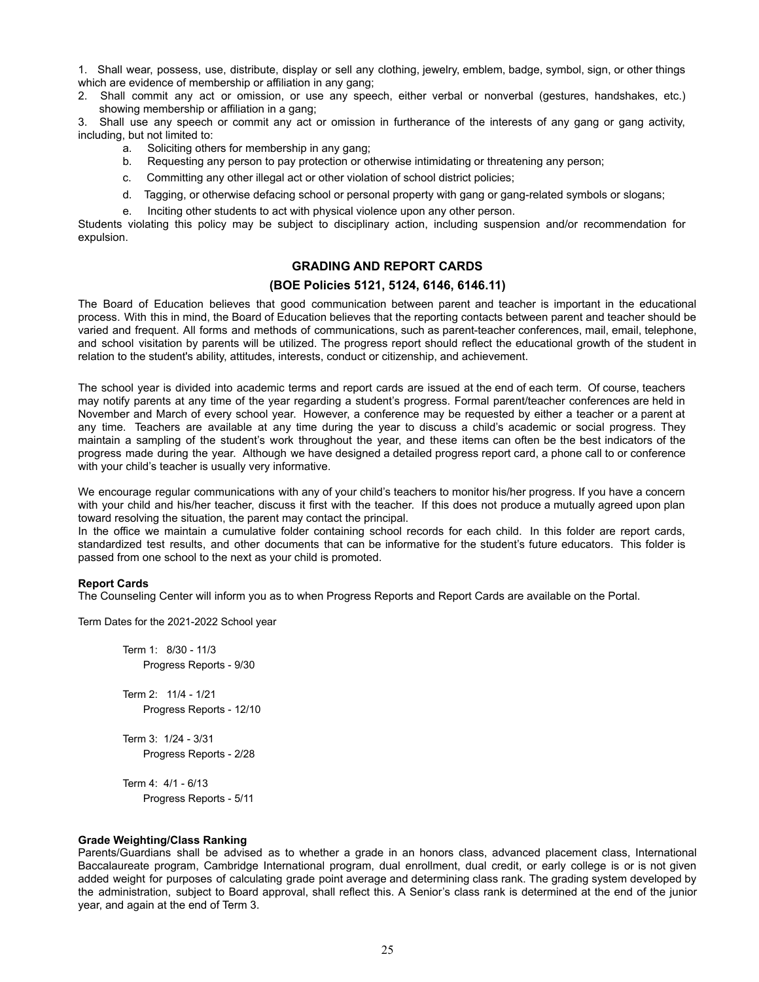1. Shall wear, possess, use, distribute, display or sell any clothing, jewelry, emblem, badge, symbol, sign, or other things which are evidence of membership or affiliation in any gang;

2. Shall commit any act or omission, or use any speech, either verbal or nonverbal (gestures, handshakes, etc.) showing membership or affiliation in a gang;

3. Shall use any speech or commit any act or omission in furtherance of the interests of any gang or gang activity, including, but not limited to:

- a. Soliciting others for membership in any gang;
- b. Requesting any person to pay protection or otherwise intimidating or threatening any person;
- c. Committing any other illegal act or other violation of school district policies;
- d. Tagging, or otherwise defacing school or personal property with gang or gang-related symbols or slogans;
- e. Inciting other students to act with physical violence upon any other person.

Students violating this policy may be subject to disciplinary action, including suspension and/or recommendation for expulsion.

# **GRADING AND REPORT CARDS**

# **(BOE Policies 5121, 5124, 6146, 6146.11)**

The Board of Education believes that good communication between parent and teacher is important in the educational process. With this in mind, the Board of Education believes that the reporting contacts between parent and teacher should be varied and frequent. All forms and methods of communications, such as parent-teacher conferences, mail, email, telephone, and school visitation by parents will be utilized. The progress report should reflect the educational growth of the student in relation to the student's ability, attitudes, interests, conduct or citizenship, and achievement.

The school year is divided into academic terms and report cards are issued at the end of each term. Of course, teachers may notify parents at any time of the year regarding a student's progress. Formal parent/teacher conferences are held in November and March of every school year. However, a conference may be requested by either a teacher or a parent at any time. Teachers are available at any time during the year to discuss a child's academic or social progress. They maintain a sampling of the student's work throughout the year, and these items can often be the best indicators of the progress made during the year. Although we have designed a detailed progress report card, a phone call to or conference with your child's teacher is usually very informative.

We encourage regular communications with any of your child's teachers to monitor his/her progress. If you have a concern with your child and his/her teacher, discuss it first with the teacher. If this does not produce a mutually agreed upon plan toward resolving the situation, the parent may contact the principal.

In the office we maintain a cumulative folder containing school records for each child. In this folder are report cards, standardized test results, and other documents that can be informative for the student's future educators. This folder is passed from one school to the next as your child is promoted.

#### **Report Cards**

The Counseling Center will inform you as to when Progress Reports and Report Cards are available on the Portal.

Term Dates for the 2021-2022 School year

Term 1: 8/30 - 11/3 Progress Reports - 9/30

Term 2: 11/4 - 1/21 Progress Reports - 12/10

Term 3: 1/24 - 3/31 Progress Reports - 2/28

Term 4: 4/1 - 6/13 Progress Reports - 5/11

#### **Grade Weighting/Class Ranking**

Parents/Guardians shall be advised as to whether a grade in an honors class, advanced placement class, International Baccalaureate program, Cambridge International program, dual enrollment, dual credit, or early college is or is not given added weight for purposes of calculating grade point average and determining class rank. The grading system developed by the administration, subject to Board approval, shall reflect this. A Senior's class rank is determined at the end of the junior year, and again at the end of Term 3.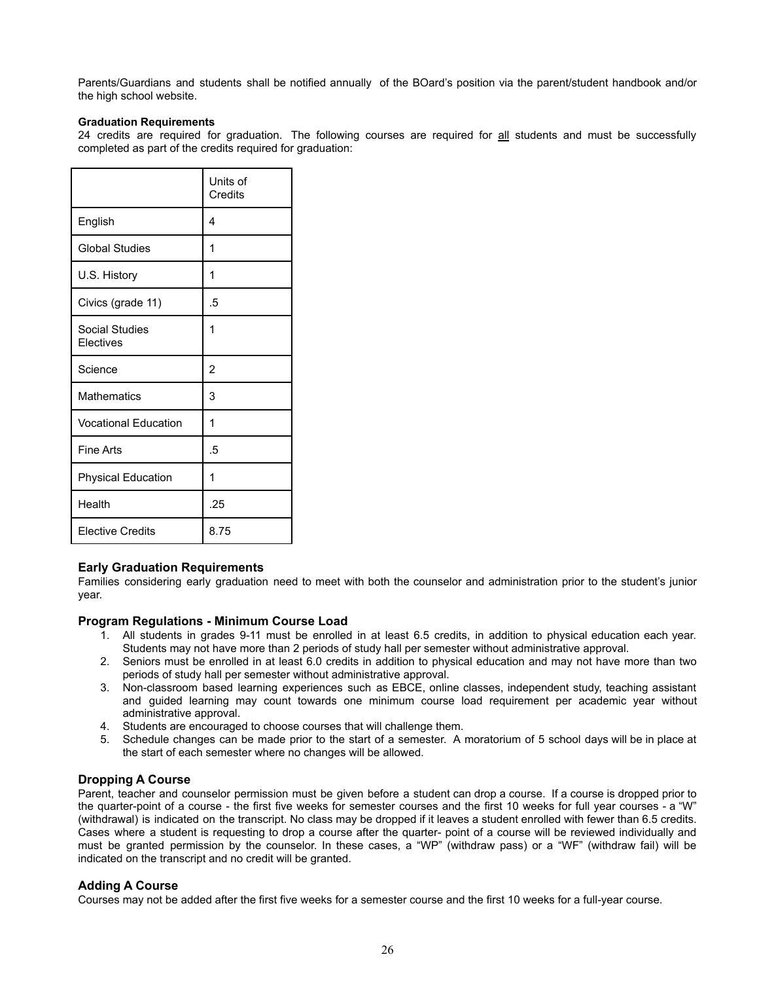Parents/Guardians and students shall be notified annually of the BOard's position via the parent/student handbook and/or the high school website.

#### **Graduation Requirements**

24 credits are required for graduation. The following courses are required for all students and must be successfully completed as part of the credits required for graduation:

|                                    | Units of<br>Credits |
|------------------------------------|---------------------|
| English                            | 4                   |
| <b>Global Studies</b>              | 1                   |
| U.S. History                       | 1                   |
| Civics (grade 11)                  | .5                  |
| <b>Social Studies</b><br>Electives | 1                   |
| Science                            | $\overline{2}$      |
| <b>Mathematics</b>                 | 3                   |
| <b>Vocational Education</b>        | 1                   |
| Fine Arts                          | .5                  |
| <b>Physical Education</b>          | 1                   |
| Health                             | .25                 |
| <b>Elective Credits</b>            | 8.75                |

#### **Early Graduation Requirements**

Families considering early graduation need to meet with both the counselor and administration prior to the student's junior year.

#### **Program Regulations - Minimum Course Load**

- 1. All students in grades 9-11 must be enrolled in at least 6.5 credits, in addition to physical education each year. Students may not have more than 2 periods of study hall per semester without administrative approval.
- 2. Seniors must be enrolled in at least 6.0 credits in addition to physical education and may not have more than two periods of study hall per semester without administrative approval.
- 3. Non-classroom based learning experiences such as EBCE, online classes, independent study, teaching assistant and guided learning may count towards one minimum course load requirement per academic year without administrative approval.
- 4. Students are encouraged to choose courses that will challenge them.
- 5. Schedule changes can be made prior to the start of a semester. A moratorium of 5 school days will be in place at the start of each semester where no changes will be allowed.

#### **Dropping A Course**

Parent, teacher and counselor permission must be given before a student can drop a course. If a course is dropped prior to the quarter-point of a course - the first five weeks for semester courses and the first 10 weeks for full year courses - a "W" (withdrawal) is indicated on the transcript. No class may be dropped if it leaves a student enrolled with fewer than 6.5 credits. Cases where a student is requesting to drop a course after the quarter- point of a course will be reviewed individually and must be granted permission by the counselor. In these cases, a "WP" (withdraw pass) or a "WF" (withdraw fail) will be indicated on the transcript and no credit will be granted.

#### **Adding A Course**

Courses may not be added after the first five weeks for a semester course and the first 10 weeks for a full-year course.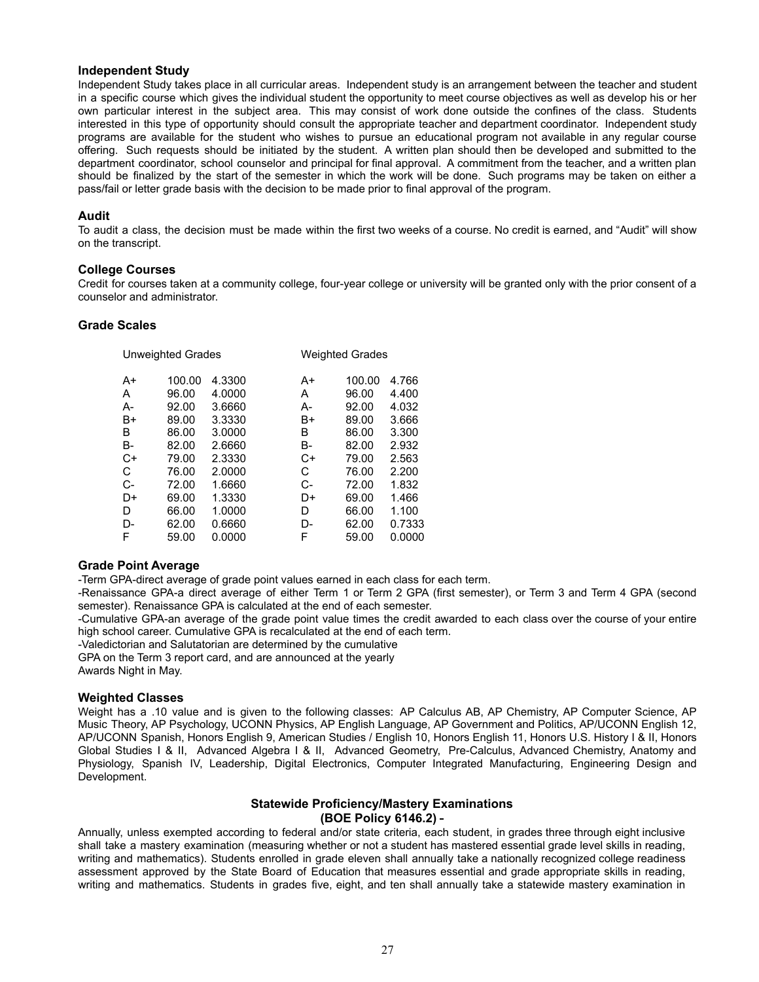#### **Independent Study**

Independent Study takes place in all curricular areas. Independent study is an arrangement between the teacher and student in a specific course which gives the individual student the opportunity to meet course objectives as well as develop his or her own particular interest in the subject area. This may consist of work done outside the confines of the class. Students interested in this type of opportunity should consult the appropriate teacher and department coordinator. Independent study programs are available for the student who wishes to pursue an educational program not available in any regular course offering. Such requests should be initiated by the student. A written plan should then be developed and submitted to the department coordinator, school counselor and principal for final approval. A commitment from the teacher, and a written plan should be finalized by the start of the semester in which the work will be done. Such programs may be taken on either a pass/fail or letter grade basis with the decision to be made prior to final approval of the program.

#### **Audit**

To audit a class, the decision must be made within the first two weeks of a course. No credit is earned, and "Audit" will show on the transcript.

#### **College Courses**

Credit for courses taken at a community college, four-year college or university will be granted only with the prior consent of a counselor and administrator.

#### **Grade Scales**

|           | Univergnied Grades |        |    | <i>vveignted</i> Grades |        |
|-----------|--------------------|--------|----|-------------------------|--------|
| A+        | 100.00             | 4.3300 | A+ | 100.00                  | 4.766  |
| A         | 96.00              | 4.0000 | A  | 96.00                   | 4.400  |
| A-        | 92.00              | 3.6660 | А- | 92.00                   | 4.032  |
| B+        | 89.00              | 3.3330 | B+ | 89.00                   | 3.666  |
| B         | 86.00              | 3.0000 | в  | 86.00                   | 3.300  |
| <b>B-</b> | 82.00              | 2.6660 | B- | 82.00                   | 2.932  |
| $C+$      | 79.00              | 2.3330 | C+ | 79.00                   | 2.563  |
| C         | 76.00              | 2.0000 | С  | 76.00                   | 2.200  |
| $C-$      | 72.00              | 1.6660 | C- | 72.00                   | 1.832  |
| D+        | 69.00              | 1.3330 | D+ | 69.00                   | 1.466  |
| D         | 66.00              | 1.0000 | D  | 66.00                   | 1.100  |
| D-        | 62.00              | 0.6660 | D- | 62.00                   | 0.7333 |
| F         | 59.00              | 0.0000 | F  | 59.00                   | 0.0000 |
|           |                    |        |    |                         |        |

Unweighted Grades Weighted Grades

#### **Grade Point Average**

-Term GPA-direct average of grade point values earned in each class for each term.

-Renaissance GPA-a direct average of either Term 1 or Term 2 GPA (first semester), or Term 3 and Term 4 GPA (second semester). Renaissance GPA is calculated at the end of each semester.

-Cumulative GPA-an average of the grade point value times the credit awarded to each class over the course of your entire high school career. Cumulative GPA is recalculated at the end of each term.

-Valedictorian and Salutatorian are determined by the cumulative

GPA on the Term 3 report card, and are announced at the yearly

Awards Night in May.

#### **Weighted Classes**

Weight has a .10 value and is given to the following classes: AP Calculus AB, AP Chemistry, AP Computer Science, AP Music Theory, AP Psychology, UCONN Physics, AP English Language, AP Government and Politics, AP/UCONN English 12, AP/UCONN Spanish, Honors English 9, American Studies / English 10, Honors English 11, Honors U.S. History I & II, Honors Global Studies I & II, Advanced Algebra I & II, Advanced Geometry, Pre-Calculus, Advanced Chemistry, Anatomy and Physiology, Spanish IV, Leadership, Digital Electronics, Computer Integrated Manufacturing, Engineering Design and Development.

# **Statewide Proficiency/Mastery Examinations (BOE Policy 6146.2)**

Annually, unless exempted according to federal and/or state criteria, each student, in grades three through eight inclusive shall take a mastery examination (measuring whether or not a student has mastered essential grade level skills in reading, writing and mathematics). Students enrolled in grade eleven shall annually take a nationally recognized college readiness assessment approved by the State Board of Education that measures essential and grade appropriate skills in reading, writing and mathematics. Students in grades five, eight, and ten shall annually take a statewide mastery examination in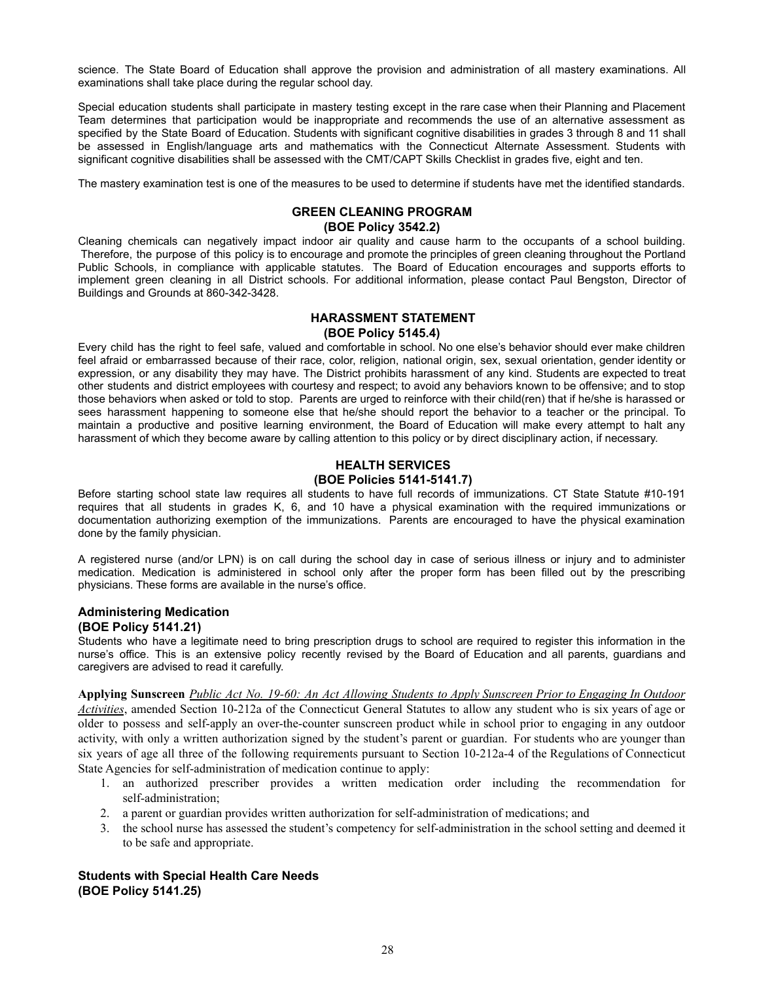science. The State Board of Education shall approve the provision and administration of all mastery examinations. All examinations shall take place during the regular school day.

Special education students shall participate in mastery testing except in the rare case when their Planning and Placement Team determines that participation would be inappropriate and recommends the use of an alternative assessment as specified by the State Board of Education. Students with significant cognitive disabilities in grades 3 through 8 and 11 shall be assessed in English/language arts and mathematics with the Connecticut Alternate Assessment. Students with significant cognitive disabilities shall be assessed with the CMT/CAPT Skills Checklist in grades five, eight and ten.

The mastery examination test is one of the measures to be used to determine if students have met the identified standards.

# **GREEN CLEANING PROGRAM**

# **(BOE Policy 3542.2)**

Cleaning chemicals can negatively impact indoor air quality and cause harm to the occupants of a school building. Therefore, the purpose of this policy is to encourage and promote the principles of green cleaning throughout the Portland Public Schools, in compliance with applicable statutes. The Board of Education encourages and supports efforts to implement green cleaning in all District schools. For additional information, please contact Paul Bengston, Director of Buildings and Grounds at 860-342-3428.

# **HARASSMENT STATEMENT (BOE Policy 5145.4)**

Every child has the right to feel safe, valued and comfortable in school. No one else's behavior should ever make children feel afraid or embarrassed because of their race, color, religion, national origin, sex, sexual orientation, gender identity or expression, or any disability they may have. The District prohibits harassment of any kind. Students are expected to treat other students and district employees with courtesy and respect; to avoid any behaviors known to be offensive; and to stop those behaviors when asked or told to stop. Parents are urged to reinforce with their child(ren) that if he/she is harassed or sees harassment happening to someone else that he/she should report the behavior to a teacher or the principal. To maintain a productive and positive learning environment, the Board of Education will make every attempt to halt any harassment of which they become aware by calling attention to this policy or by direct disciplinary action, if necessary.

# **HEALTH SERVICES (BOE Policies 5141-5141.7)**

Before starting school state law requires all students to have full records of immunizations. CT State Statute #10-191 requires that all students in grades K, 6, and 10 have a physical examination with the required immunizations or documentation authorizing exemption of the immunizations. Parents are encouraged to have the physical examination done by the family physician.

A registered nurse (and/or LPN) is on call during the school day in case of serious illness or injury and to administer medication. Medication is administered in school only after the proper form has been filled out by the prescribing physicians. These forms are available in the nurse's office.

# **Administering Medication (BOE Policy 5141.21)**

Students who have a legitimate need to bring prescription drugs to school are required to register this information in the nurse's office. This is an extensive policy recently revised by the Board of Education and all parents, guardians and caregivers are advised to read it carefully.

Applying Sunscreen Public Act No. 19-60: An Act Allowing Students to Apply Sunscreen Prior to Engaging In Outdoor *Activities*, amended Section 10-212a of the Connecticut General Statutes to allow any student who is six years of age or older to possess and self-apply an over-the-counter sunscreen product while in school prior to engaging in any outdoor activity, with only a written authorization signed by the student's parent or guardian. For students who are younger than six years of age all three of the following requirements pursuant to Section 10-212a-4 of the Regulations of Connecticut State Agencies for self-administration of medication continue to apply:

- 1. an authorized prescriber provides a written medication order including the recommendation for self-administration;
- 2. a parent or guardian provides written authorization for self-administration of medications; and
- 3. the school nurse has assessed the student's competency for self-administration in the school setting and deemed it to be safe and appropriate.

# **Students with Special Health Care Needs (BOE Policy 5141.25)**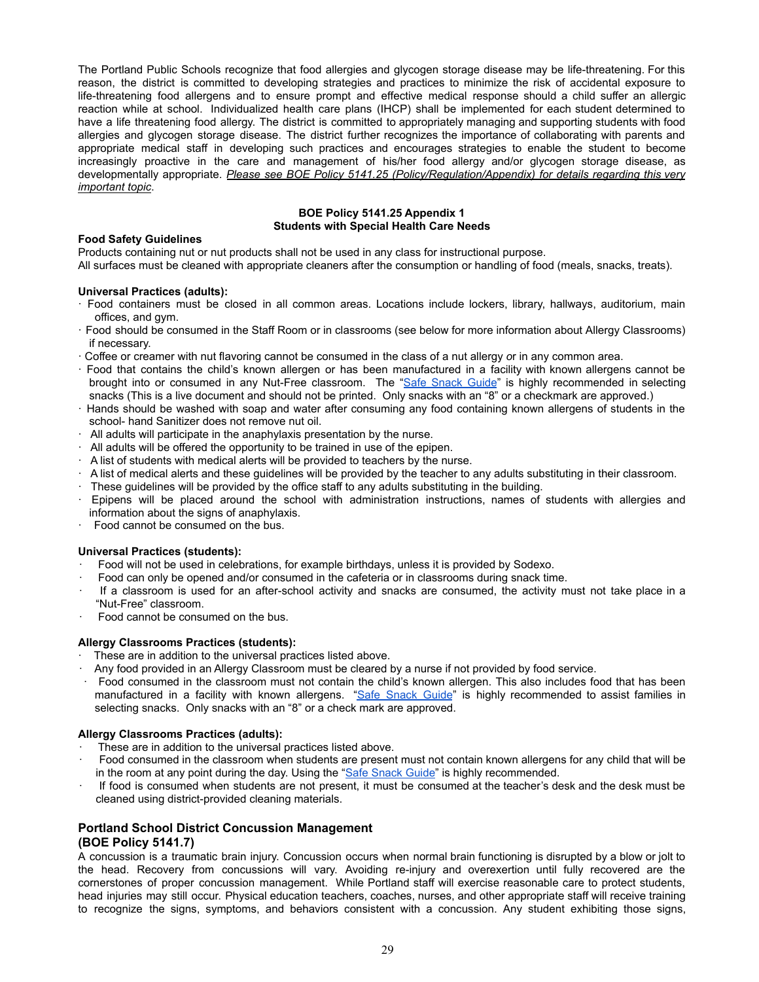The Portland Public Schools recognize that food allergies and glycogen storage disease may be life-threatening. For this reason, the district is committed to developing strategies and practices to minimize the risk of accidental exposure to life-threatening food allergens and to ensure prompt and effective medical response should a child suffer an allergic reaction while at school. Individualized health care plans (IHCP) shall be implemented for each student determined to have a life threatening food allergy. The district is committed to appropriately managing and supporting students with food allergies and glycogen storage disease. The district further recognizes the importance of collaborating with parents and appropriate medical staff in developing such practices and encourages strategies to enable the student to become increasingly proactive in the care and management of his/her food allergy and/or glycogen storage disease, as developmentally appropriate. *Please see BOE Policy 5141.25 (Policy/Regulation/Appendix) for details regarding this very important topic*.

#### **BOE Policy 5141.25 Appendix 1 Students with Special Health Care Needs**

#### **Food Safety Guidelines**

Products containing nut or nut products shall not be used in any class for instructional purpose. All surfaces must be cleaned with appropriate cleaners after the consumption or handling of food (meals, snacks, treats).

#### **Universal Practices (adults):**

- · Food containers must be closed in all common areas. Locations include lockers, library, hallways, auditorium, main offices, and gym.
- · Food should be consumed in the Staff Room or in classrooms (see below for more information about Allergy Classrooms) if necessary.
- · Coffee or creamer with nut flavoring cannot be consumed in the class of a nut allergy *o*r in any common area.
- · Food that contains the child's known allergen or has been manufactured in a facility with known allergens cannot be brought into or consumed in any Nut-Free classroom. The "Safe [Snack](https://snacksafely.com/safe-snack-guide/) Guide" is highly recommended in selecting snacks (This is a live document and should not be printed. Only snacks with an "8" or a checkmark are approved.)
- · Hands should be washed with soap and water after consuming any food containing known allergens of students in the school- hand Sanitizer does not remove nut oil.
- · All adults will participate in the anaphylaxis presentation by the nurse.
- $\cdot$  All adults will be offered the opportunity to be trained in use of the epipen.
- $\cdot$  A list of students with medical alerts will be provided to teachers by the nurse.
- $\cdot$  A list of medical alerts and these guidelines will be provided by the teacher to any adults substituting in their classroom.
- · These guidelines will be provided by the office staff to any adults substituting in the building.
- · Epipens will be placed around the school with administration instructions, names of students with allergies and information about the signs of anaphylaxis.
- · Food cannot be consumed on the bus.

#### **Universal Practices (students):**

- · Food will not be used in celebrations, for example birthdays, unless it is provided by Sodexo.
- Food can only be opened and/or consumed in the cafeteria or in classrooms during snack time.
- If a classroom is used for an after-school activity and snacks are consumed, the activity must not take place in a "Nut-Free" classroom.
- Food cannot be consumed on the bus.

#### **Allergy Classrooms Practices (students):**

- These are in addition to the universal practices listed above.
- · Any food provided in an Allergy Classroom must be cleared by a nurse if not provided by food service.
- · Food consumed in the classroom must not contain the child's known allergen. This also includes food that has been manufactured in a facility with known allergens. "Safe [Snack](https://snacksafely.com/safe-snack-guide/) Guide" is highly recommended to assist families in selecting snacks. Only snacks with an "8" or a check mark are approved.

#### **Allergy Classrooms Practices (adults):**

- These are in addition to the universal practices listed above.
- · Food consumed in the classroom when students are present must not contain known allergens for any child that will be in the room at any point during the day. Using the "[Safe Snack Guide](https://snacksafely.com/safe-snack-guide/)" is highly recommended.
- If food is consumed when students are not present, it must be consumed at the teacher's desk and the desk must be cleaned using district-provided cleaning materials.

# **Portland School District Concussion Management (BOE Policy 5141.7)**

A concussion is a traumatic brain injury. Concussion occurs when normal brain functioning is disrupted by a blow or jolt to the head. Recovery from concussions will vary. Avoiding re-injury and overexertion until fully recovered are the cornerstones of proper concussion management. While Portland staff will exercise reasonable care to protect students, head injuries may still occur. Physical education teachers, coaches, nurses, and other appropriate staff will receive training to recognize the signs, symptoms, and behaviors consistent with a concussion. Any student exhibiting those signs,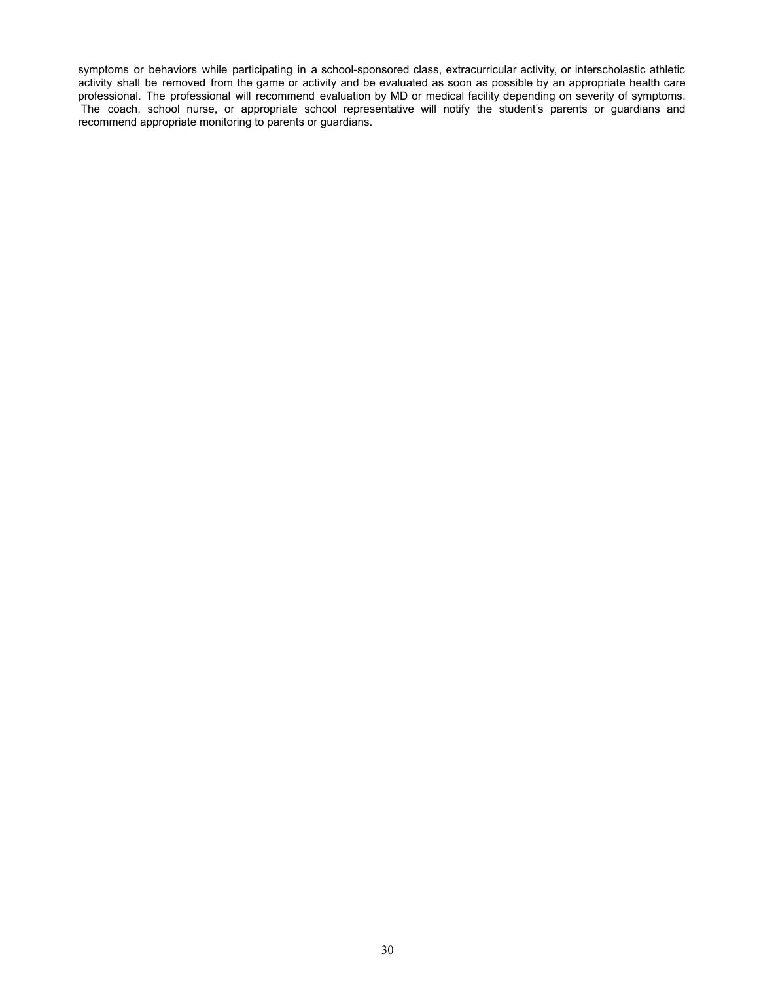symptoms or behaviors while participating in a school-sponsored class, extracurricular activity, or interscholastic athletic activity shall be removed from the game or activity and be evaluated as soon as possible by an appropriate health care professional. The professional will recommend evaluation by MD or medical facility depending on severity of symptoms. The coach, school nurse, or appropriate school representative will notify the student's parents or guardians and recommend appropriate monitoring to parents or guardians.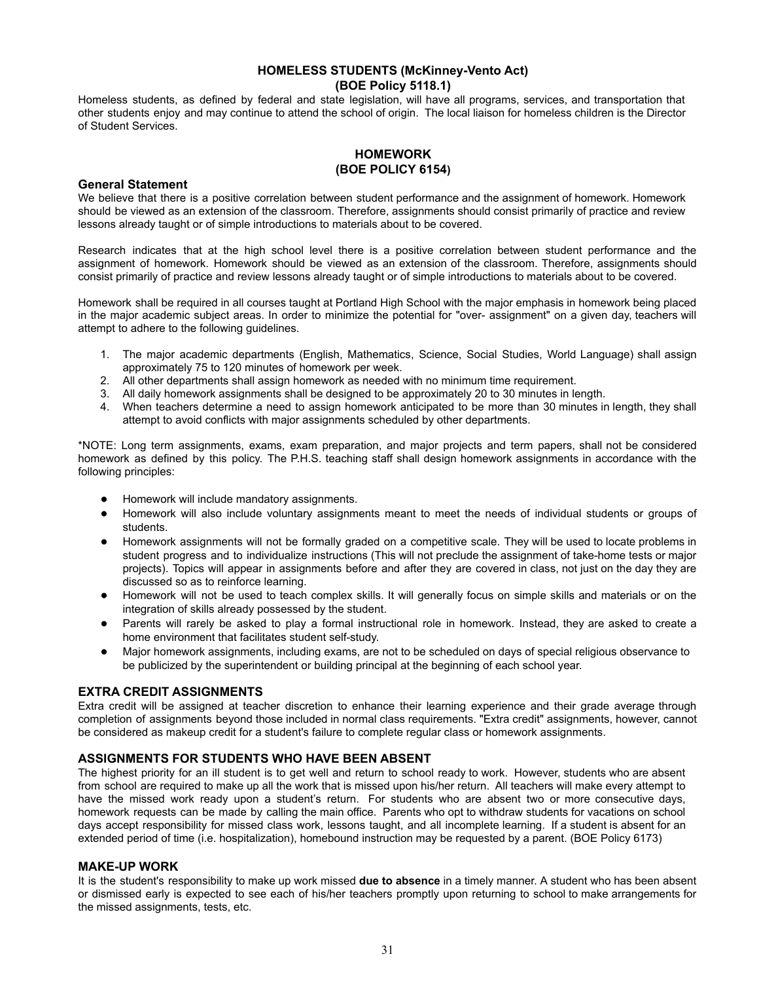# **HOMELESS STUDENTS (McKinney-Vento Act) (BOE Policy 5118.1)**

Homeless students, as defined by federal and state legislation, will have all programs, services, and transportation that other students enjoy and may continue to attend the school of origin. The local liaison for homeless children is the Director of Student Services.

# **HOMEWORK (BOE POLICY 6154)**

# **General Statement**

We believe that there is a positive correlation between student performance and the assignment of homework. Homework should be viewed as an extension of the classroom. Therefore, assignments should consist primarily of practice and review lessons already taught or of simple introductions to materials about to be covered.

Research indicates that at the high school level there is a positive correlation between student performance and the assignment of homework. Homework should be viewed as an extension of the classroom. Therefore, assignments should consist primarily of practice and review lessons already taught or of simple introductions to materials about to be covered.

Homework shall be required in all courses taught at Portland High School with the major emphasis in homework being placed in the major academic subject areas. In order to minimize the potential for "over- assignment" on a given day, teachers will attempt to adhere to the following guidelines.

- 1. The major academic departments (English, Mathematics, Science, Social Studies, World Language) shall assign approximately 75 to 120 minutes of homework per week.
- 2. All other departments shall assign homework as needed with no minimum time requirement.
- 3. All daily homework assignments shall be designed to be approximately 20 to 30 minutes in length.
- 4. When teachers determine a need to assign homework anticipated to be more than 30 minutes in length, they shall attempt to avoid conflicts with major assignments scheduled by other departments.

\*NOTE: Long term assignments, exams, exam preparation, and major projects and term papers, shall not be considered homework as defined by this policy. The P.H.S. teaching staff shall design homework assignments in accordance with the following principles:

- Homework will include mandatory assignments.
- Homework will also include voluntary assignments meant to meet the needs of individual students or groups of students.
- Homework assignments will not be formally graded on a competitive scale. They will be used to locate problems in student progress and to individualize instructions (This will not preclude the assignment of take-home tests or major projects). Topics will appear in assignments before and after they are covered in class, not just on the day they are discussed so as to reinforce learning.
- Homework will not be used to teach complex skills. It will generally focus on simple skills and materials or on the integration of skills already possessed by the student.
- Parents will rarely be asked to play a formal instructional role in homework. Instead, they are asked to create a home environment that facilitates student self-study.
- Major homework assignments, including exams, are not to be scheduled on days of special religious observance to be publicized by the superintendent or building principal at the beginning of each school year.

# **EXTRA CREDIT ASSIGNMENTS**

Extra credit will be assigned at teacher discretion to enhance their learning experience and their grade average through completion of assignments beyond those included in normal class requirements. "Extra credit" assignments, however, cannot be considered as makeup credit for a student's failure to complete regular class or homework assignments.

# **ASSIGNMENTS FOR STUDENTS WHO HAVE BEEN ABSENT**

The highest priority for an ill student is to get well and return to school ready to work. However, students who are absent from school are required to make up all the work that is missed upon his/her return. All teachers will make every attempt to have the missed work ready upon a student's return. For students who are absent two or more consecutive days, homework requests can be made by calling the main office. Parents who opt to withdraw students for vacations on school days accept responsibility for missed class work, lessons taught, and all incomplete learning. If a student is absent for an extended period of time (i.e. hospitalization), homebound instruction may be requested by a parent. (BOE Policy 6173)

# **MAKE-UP WORK**

It is the student's responsibility to make up work missed **due to absence** in a timely manner. A student who has been absent or dismissed early is expected to see each of his/her teachers promptly upon returning to school to make arrangements for the missed assignments, tests, etc.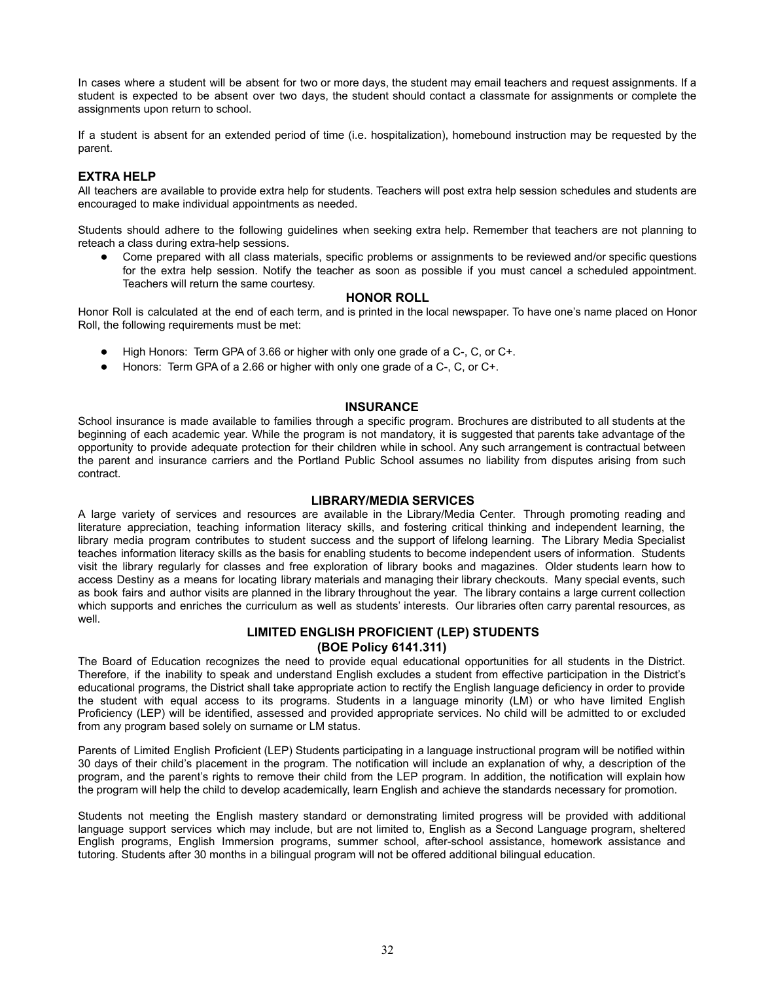In cases where a student will be absent for two or more days, the student may email teachers and request assignments. If a student is expected to be absent over two days, the student should contact a classmate for assignments or complete the assignments upon return to school.

If a student is absent for an extended period of time (i.e. hospitalization), homebound instruction may be requested by the parent.

# **EXTRA HELP**

All teachers are available to provide extra help for students. Teachers will post extra help session schedules and students are encouraged to make individual appointments as needed.

Students should adhere to the following guidelines when seeking extra help. Remember that teachers are not planning to reteach a class during extra-help sessions.

● Come prepared with all class materials, specific problems or assignments to be reviewed and/or specific questions for the extra help session. Notify the teacher as soon as possible if you must cancel a scheduled appointment. Teachers will return the same courtesy.

#### **HONOR ROLL**

Honor Roll is calculated at the end of each term, and is printed in the local newspaper. To have one's name placed on Honor Roll, the following requirements must be met:

- High Honors: Term GPA of 3.66 or higher with only one grade of a C-, C, or C+.
- Honors: Term GPA of a 2.66 or higher with only one grade of a C-, C, or C+.

#### **INSURANCE**

School insurance is made available to families through a specific program. Brochures are distributed to all students at the beginning of each academic year. While the program is not mandatory, it is suggested that parents take advantage of the opportunity to provide adequate protection for their children while in school. Any such arrangement is contractual between the parent and insurance carriers and the Portland Public School assumes no liability from disputes arising from such contract.

#### **LIBRARY/MEDIA SERVICES**

A large variety of services and resources are available in the Library/Media Center. Through promoting reading and literature appreciation, teaching information literacy skills, and fostering critical thinking and independent learning, the library media program contributes to student success and the support of lifelong learning. The Library Media Specialist teaches information literacy skills as the basis for enabling students to become independent users of information. Students visit the library regularly for classes and free exploration of library books and magazines. Older students learn how to access Destiny as a means for locating library materials and managing their library checkouts. Many special events, such as book fairs and author visits are planned in the library throughout the year. The library contains a large current collection which supports and enriches the curriculum as well as students' interests. Our libraries often carry parental resources, as well.

#### **LIMITED ENGLISH PROFICIENT (LEP) STUDENTS (BOE Policy 6141.311)**

The Board of Education recognizes the need to provide equal educational opportunities for all students in the District. Therefore, if the inability to speak and understand English excludes a student from effective participation in the District's educational programs, the District shall take appropriate action to rectify the English language deficiency in order to provide the student with equal access to its programs. Students in a language minority (LM) or who have limited English Proficiency (LEP) will be identified, assessed and provided appropriate services. No child will be admitted to or excluded from any program based solely on surname or LM status.

Parents of Limited English Proficient (LEP) Students participating in a language instructional program will be notified within 30 days of their child's placement in the program. The notification will include an explanation of why, a description of the program, and the parent's rights to remove their child from the LEP program. In addition, the notification will explain how the program will help the child to develop academically, learn English and achieve the standards necessary for promotion.

Students not meeting the English mastery standard or demonstrating limited progress will be provided with additional language support services which may include, but are not limited to, English as a Second Language program, sheltered English programs, English Immersion programs, summer school, after-school assistance, homework assistance and tutoring. Students after 30 months in a bilingual program will not be offered additional bilingual education.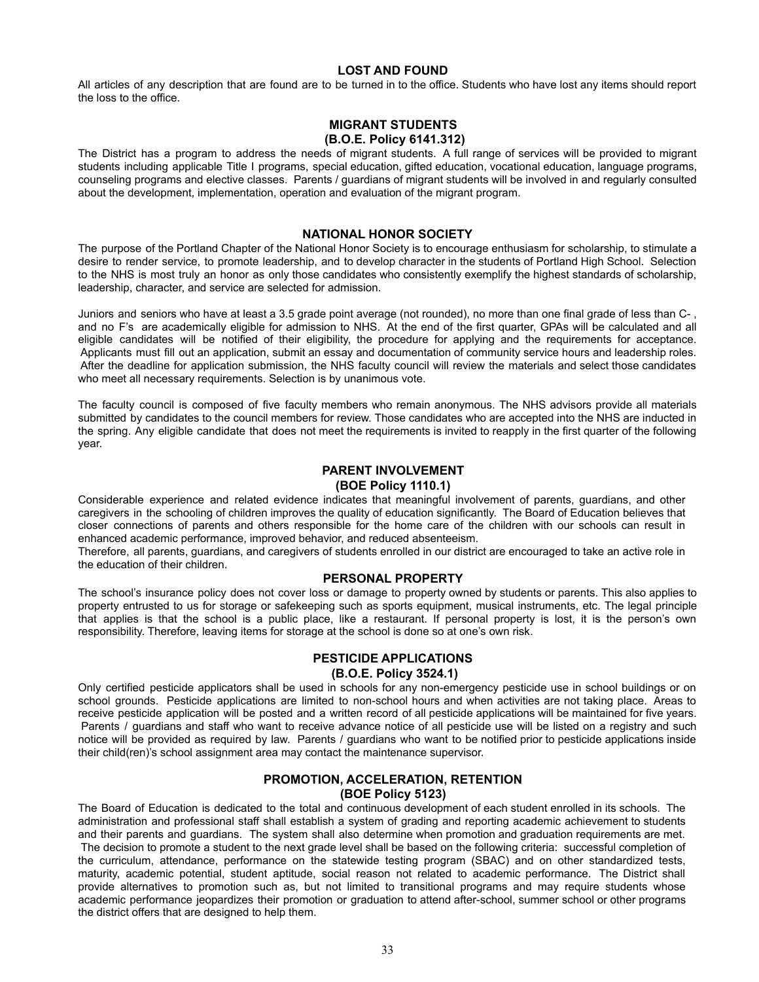#### **LOST AND FOUND**

All articles of any description that are found are to be turned in to the office. Students who have lost any items should report the loss to the office.

# **MIGRANT STUDENTS (B.O.E. Policy 6141.312)**

The District has a program to address the needs of migrant students. A full range of services will be provided to migrant students including applicable Title I programs, special education, gifted education, vocational education, language programs, counseling programs and elective classes. Parents / guardians of migrant students will be involved in and regularly consulted about the development, implementation, operation and evaluation of the migrant program.

# **NATIONAL HONOR SOCIETY**

The purpose of the Portland Chapter of the National Honor Society is to encourage enthusiasm for scholarship, to stimulate a desire to render service, to promote leadership, and to develop character in the students of Portland High School. Selection to the NHS is most truly an honor as only those candidates who consistently exemplify the highest standards of scholarship, leadership, character, and service are selected for admission.

Juniors and seniors who have at least a 3.5 grade point average (not rounded), no more than one final grade of less than C- , and no F's are academically eligible for admission to NHS. At the end of the first quarter, GPAs will be calculated and all eligible candidates will be notified of their eligibility, the procedure for applying and the requirements for acceptance. Applicants must fill out an application, submit an essay and documentation of community service hours and leadership roles. After the deadline for application submission, the NHS faculty council will review the materials and select those candidates who meet all necessary requirements. Selection is by unanimous vote.

The faculty council is composed of five faculty members who remain anonymous. The NHS advisors provide all materials submitted by candidates to the council members for review. Those candidates who are accepted into the NHS are inducted in the spring. Any eligible candidate that does not meet the requirements is invited to reapply in the first quarter of the following year.

# **PARENT INVOLVEMENT**

# **(BOE Policy 1110.1)**

Considerable experience and related evidence indicates that meaningful involvement of parents, guardians, and other caregivers in the schooling of children improves the quality of education significantly. The Board of Education believes that closer connections of parents and others responsible for the home care of the children with our schools can result in enhanced academic performance, improved behavior, and reduced absenteeism.

Therefore, all parents, guardians, and caregivers of students enrolled in our district are encouraged to take an active role in the education of their children.

#### **PERSONAL PROPERTY**

The school's insurance policy does not cover loss or damage to property owned by students or parents. This also applies to property entrusted to us for storage or safekeeping such as sports equipment, musical instruments, etc. The legal principle that applies is that the school is a public place, like a restaurant. If personal property is lost, it is the person's own responsibility. Therefore, leaving items for storage at the school is done so at one's own risk.

# **PESTICIDE APPLICATIONS**

# **(B.O.E. Policy 3524.1)**

Only certified pesticide applicators shall be used in schools for any non-emergency pesticide use in school buildings or on school grounds. Pesticide applications are limited to non-school hours and when activities are not taking place. Areas to receive pesticide application will be posted and a written record of all pesticide applications will be maintained for five years. Parents / guardians and staff who want to receive advance notice of all pesticide use will be listed on a registry and such notice will be provided as required by law. Parents / guardians who want to be notified prior to pesticide applications inside their child(ren)'s school assignment area may contact the maintenance supervisor.

# **PROMOTION, ACCELERATION, RETENTION**

#### **(BOE Policy 5123)**

The Board of Education is dedicated to the total and continuous development of each student enrolled in its schools. The administration and professional staff shall establish a system of grading and reporting academic achievement to students and their parents and guardians. The system shall also determine when promotion and graduation requirements are met. The decision to promote a student to the next grade level shall be based on the following criteria: successful completion of the curriculum, attendance, performance on the statewide testing program (SBAC) and on other standardized tests, maturity, academic potential, student aptitude, social reason not related to academic performance. The District shall provide alternatives to promotion such as, but not limited to transitional programs and may require students whose academic performance jeopardizes their promotion or graduation to attend after-school, summer school or other programs the district offers that are designed to help them.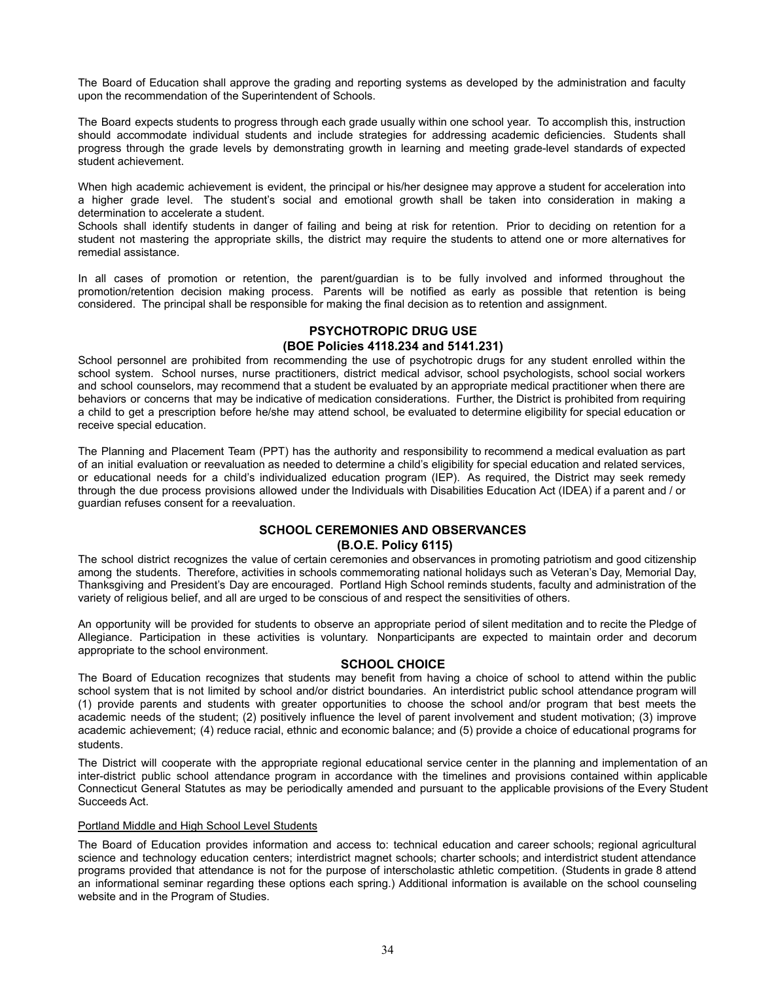The Board of Education shall approve the grading and reporting systems as developed by the administration and faculty upon the recommendation of the Superintendent of Schools.

The Board expects students to progress through each grade usually within one school year. To accomplish this, instruction should accommodate individual students and include strategies for addressing academic deficiencies. Students shall progress through the grade levels by demonstrating growth in learning and meeting grade-level standards of expected student achievement.

When high academic achievement is evident, the principal or his/her designee may approve a student for acceleration into a higher grade level. The student's social and emotional growth shall be taken into consideration in making a determination to accelerate a student.

Schools shall identify students in danger of failing and being at risk for retention. Prior to deciding on retention for a student not mastering the appropriate skills, the district may require the students to attend one or more alternatives for remedial assistance.

In all cases of promotion or retention, the parent/guardian is to be fully involved and informed throughout the promotion/retention decision making process. Parents will be notified as early as possible that retention is being considered. The principal shall be responsible for making the final decision as to retention and assignment.

# **PSYCHOTROPIC DRUG USE (BOE Policies 4118.234 and 5141.231)**

School personnel are prohibited from recommending the use of psychotropic drugs for any student enrolled within the school system. School nurses, nurse practitioners, district medical advisor, school psychologists, school social workers and school counselors, may recommend that a student be evaluated by an appropriate medical practitioner when there are behaviors or concerns that may be indicative of medication considerations. Further, the District is prohibited from requiring a child to get a prescription before he/she may attend school, be evaluated to determine eligibility for special education or receive special education.

The Planning and Placement Team (PPT) has the authority and responsibility to recommend a medical evaluation as part of an initial evaluation or reevaluation as needed to determine a child's eligibility for special education and related services, or educational needs for a child's individualized education program (IEP). As required, the District may seek remedy through the due process provisions allowed under the Individuals with Disabilities Education Act (IDEA) if a parent and / or guardian refuses consent for a reevaluation.

# **SCHOOL CEREMONIES AND OBSERVANCES (B.O.E. Policy 6115)**

The school district recognizes the value of certain ceremonies and observances in promoting patriotism and good citizenship among the students. Therefore, activities in schools commemorating national holidays such as Veteran's Day, Memorial Day, Thanksgiving and President's Day are encouraged. Portland High School reminds students, faculty and administration of the variety of religious belief, and all are urged to be conscious of and respect the sensitivities of others.

An opportunity will be provided for students to observe an appropriate period of silent meditation and to recite the Pledge of Allegiance. Participation in these activities is voluntary. Nonparticipants are expected to maintain order and decorum appropriate to the school environment.

#### **SCHOOL CHOICE**

The Board of Education recognizes that students may benefit from having a choice of school to attend within the public school system that is not limited by school and/or district boundaries. An interdistrict public school attendance program will (1) provide parents and students with greater opportunities to choose the school and/or program that best meets the academic needs of the student; (2) positively influence the level of parent involvement and student motivation; (3) improve academic achievement; (4) reduce racial, ethnic and economic balance; and (5) provide a choice of educational programs for students.

The District will cooperate with the appropriate regional educational service center in the planning and implementation of an inter-district public school attendance program in accordance with the timelines and provisions contained within applicable Connecticut General Statutes as may be periodically amended and pursuant to the applicable provisions of the Every Student Succeeds Act.

#### Portland Middle and High School Level Students

The Board of Education provides information and access to: technical education and career schools; regional agricultural science and technology education centers; interdistrict magnet schools; charter schools; and interdistrict student attendance programs provided that attendance is not for the purpose of interscholastic athletic competition. (Students in grade 8 attend an informational seminar regarding these options each spring.) Additional information is available on the school counseling website and in the Program of Studies.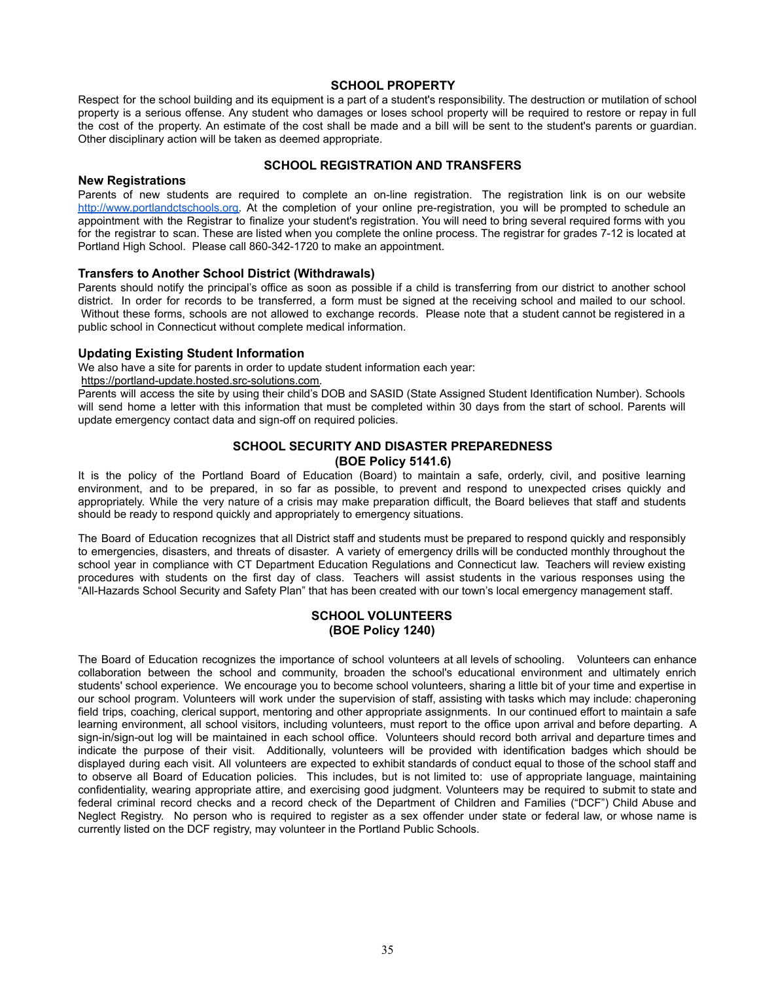# **SCHOOL PROPERTY**

Respect for the school building and its equipment is a part of a student's responsibility. The destruction or mutilation of school property is a serious offense. Any student who damages or loses school property will be required to restore or repay in full the cost of the property. An estimate of the cost shall be made and a bill will be sent to the student's parents or guardian. Other disciplinary action will be taken as deemed appropriate.

#### **SCHOOL REGISTRATION AND TRANSFERS**

#### **New Registrations**

Parents of new students are required to complete an on-line registration. The registration link is on our websit[e](http://www.portlandctschools.org) [http://www.portlandctschools.org.](http://www.portlandctschools.org) At the completion of your online pre-registration, you will be prompted to schedule an appointment with the Registrar to finalize your student's registration. You will need to bring several required forms with you for the registrar to scan. These are listed when you complete the online process. The registrar for grades 7-12 is located at Portland High School. Please call 860-342-1720 to make an appointment.

#### **Transfers to Another School District (Withdrawals)**

Parents should notify the principal's office as soon as possible if a child is transferring from our district to another school district. In order for records to be transferred, a form must be signed at the receiving school and mailed to our school. Without these forms, schools are not allowed to exchange records. Please note that a student cannot be registered in a public school in Connecticut without complete medical information.

#### **Updating Existing Student Information**

We also have a site for parents in order to update [student information each year:](https://portland-update.hosted.src-solutions.com)

[https://portland-update.hosted.src-solutions.com.](https://portland-update.hosted.src-solutions.com)

Parents will access the site by using their child's DOB and SASID (State Assigned Student Identification Number). Schools will send home a letter with this information that must be completed within 30 days from the start of school. Parents will update emergency contact data and sign-off on required policies.

# **SCHOOL SECURITY AND DISASTER PREPAREDNESS (BOE Policy 5141.6)**

It is the policy of the Portland Board of Education (Board) to maintain a safe, orderly, civil, and positive learning environment, and to be prepared, in so far as possible, to prevent and respond to unexpected crises quickly and appropriately. While the very nature of a crisis may make preparation difficult, the Board believes that staff and students should be ready to respond quickly and appropriately to emergency situations.

The Board of Education recognizes that all District staff and students must be prepared to respond quickly and responsibly to emergencies, disasters, and threats of disaster. A variety of emergency drills will be conducted monthly throughout the school year in compliance with CT Department Education Regulations and Connecticut law. Teachers will review existing procedures with students on the first day of class. Teachers will assist students in the various responses using the "All-Hazards School Security and Safety Plan" that has been created with our town's local emergency management staff.

# **SCHOOL VOLUNTEERS (BOE Policy 1240)**

The Board of Education recognizes the importance of school volunteers at all levels of schooling. Volunteers can enhance collaboration between the school and community, broaden the school's educational environment and ultimately enrich students' school experience. We encourage you to become school volunteers, sharing a little bit of your time and expertise in our school program. Volunteers will work under the supervision of staff, assisting with tasks which may include: chaperoning field trips, coaching, clerical support, mentoring and other appropriate assignments. In our continued effort to maintain a safe learning environment, all school visitors, including volunteers, must report to the office upon arrival and before departing. A sign-in/sign-out log will be maintained in each school office. Volunteers should record both arrival and departure times and indicate the purpose of their visit. Additionally, volunteers will be provided with identification badges which should be displayed during each visit. All volunteers are expected to exhibit standards of conduct equal to those of the school staff and to observe all Board of Education policies. This includes, but is not limited to: use of appropriate language, maintaining confidentiality, wearing appropriate attire, and exercising good judgment. Volunteers may be required to submit to state and federal criminal record checks and a record check of the Department of Children and Families ("DCF") Child Abuse and Neglect Registry. No person who is required to register as a sex offender under state or federal law, or whose name is currently listed on the DCF registry, may volunteer in the Portland Public Schools.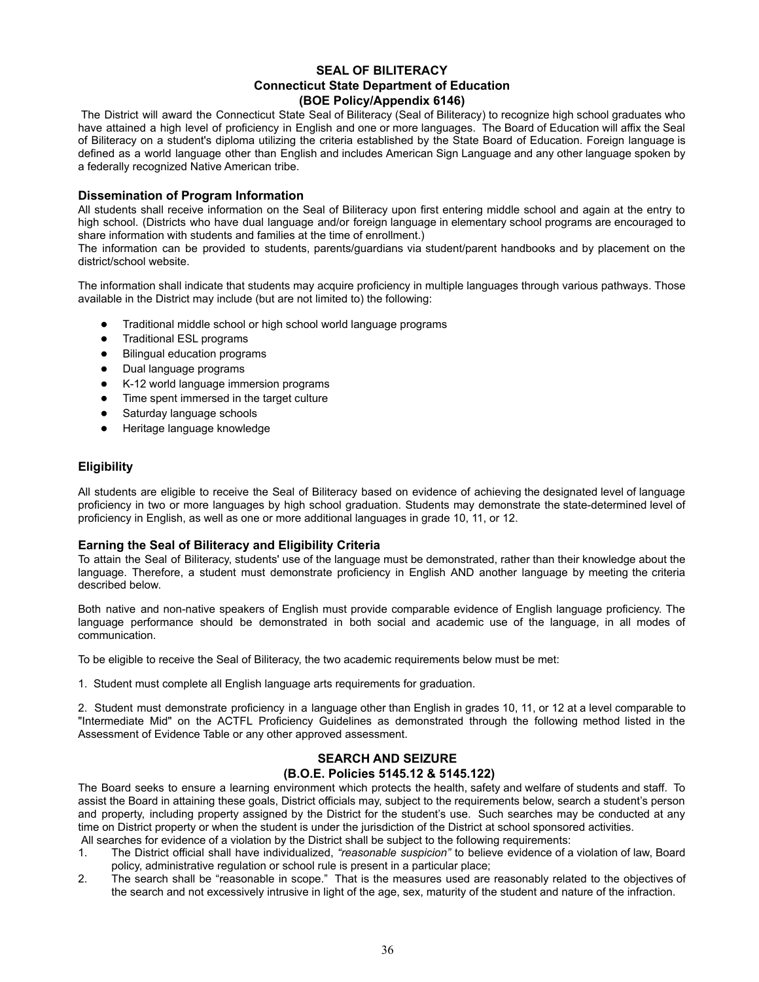# **SEAL OF BILITERACY Connecticut State Department of Education (BOE Policy/Appendix 6146)**

The District will award the Connecticut State Seal of Biliteracy (Seal of Biliteracy) to recognize high school graduates who have attained a high level of proficiency in English and one or more languages. The Board of Education will affix the Seal of Biliteracy on a student's diploma utilizing the criteria established by the State Board of Education. Foreign language is defined as a world language other than English and includes American Sign Language and any other language spoken by a federally recognized Native American tribe.

# **Dissemination of Program Information**

All students shall receive information on the Seal of Biliteracy upon first entering middle school and again at the entry to high school. (Districts who have dual language and/or foreign language in elementary school programs are encouraged to share information with students and families at the time of enrollment.)

The information can be provided to students, parents/guardians via student/parent handbooks and by placement on the district/school website.

The information shall indicate that students may acquire proficiency in multiple languages through various pathways. Those available in the District may include (but are not limited to) the following:

- Traditional middle school or high school world language programs
- Traditional ESL programs
- Bilingual education programs
- Dual language programs
- K-12 world language immersion programs
- Time spent immersed in the target culture
- Saturday language schools
- Heritage language knowledge

# **Eligibility**

All students are eligible to receive the Seal of Biliteracy based on evidence of achieving the designated level of language proficiency in two or more languages by high school graduation. Students may demonstrate the state-determined level of proficiency in English, as well as one or more additional languages in grade 10, 11, or 12.

# **Earning the Seal of Biliteracy and Eligibility Criteria**

To attain the Seal of Biliteracy, students' use of the language must be demonstrated, rather than their knowledge about the language. Therefore, a student must demonstrate proficiency in English AND another language by meeting the criteria described below.

Both native and non-native speakers of English must provide comparable evidence of English language proficiency. The language performance should be demonstrated in both social and academic use of the language, in all modes of communication.

To be eligible to receive the Seal of Biliteracy, the two academic requirements below must be met:

1. Student must complete all English language arts requirements for graduation.

2. Student must demonstrate proficiency in a language other than English in grades 10, 11, or 12 at a level comparable to "Intermediate Mid" on the ACTFL Proficiency Guidelines as demonstrated through the following method listed in the Assessment of Evidence Table or any other approved assessment.

# **SEARCH AND SEIZURE**

#### **(B.O.E. Policies 5145.12 & 5145.122)**

The Board seeks to ensure a learning environment which protects the health, safety and welfare of students and staff. To assist the Board in attaining these goals, District officials may, subject to the requirements below, search a student's person and property, including property assigned by the District for the student's use. Such searches may be conducted at any time on District property or when the student is under the jurisdiction of the District at school sponsored activities. All searches for evidence of a violation by the District shall be subject to the following requirements:

- 1. The District official shall have individualized, *"reasonable suspicion"* to believe evidence of a violation of law, Board policy, administrative regulation or school rule is present in a particular place;
- 2. The search shall be "reasonable in scope." That is the measures used are reasonably related to the objectives of the search and not excessively intrusive in light of the age, sex, maturity of the student and nature of the infraction.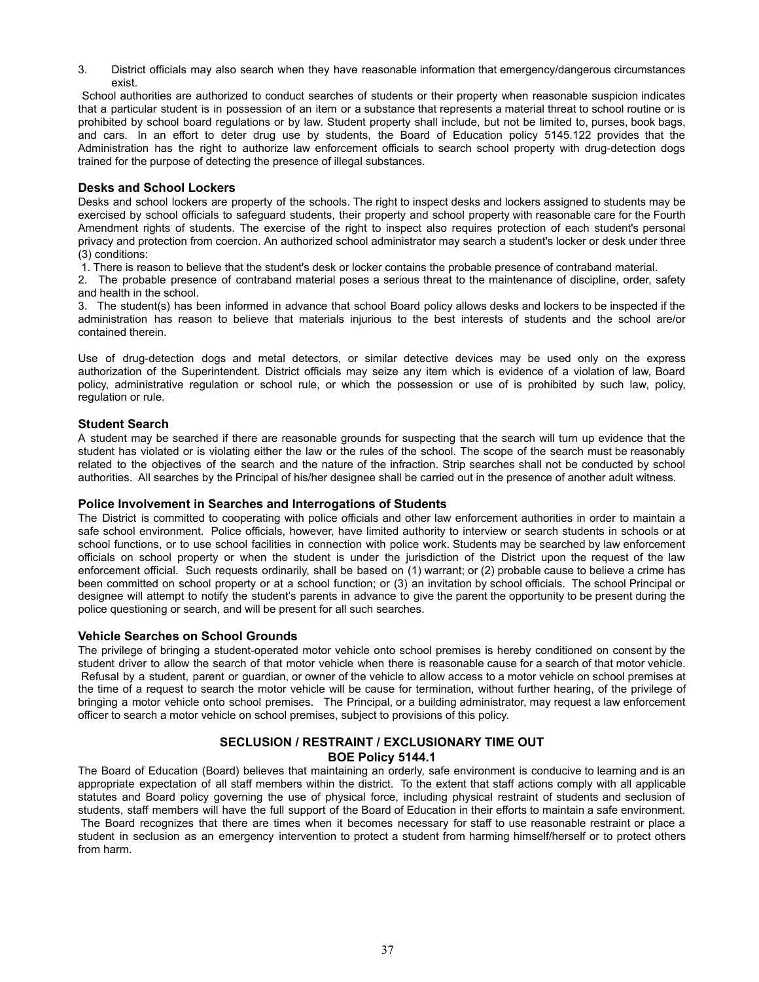3. District officials may also search when they have reasonable information that emergency/dangerous circumstances exist.

School authorities are authorized to conduct searches of students or their property when reasonable suspicion indicates that a particular student is in possession of an item or a substance that represents a material threat to school routine or is prohibited by school board regulations or by law. Student property shall include, but not be limited to, purses, book bags, and cars. In an effort to deter drug use by students, the Board of Education policy 5145.122 provides that the Administration has the right to authorize law enforcement officials to search school property with drug-detection dogs trained for the purpose of detecting the presence of illegal substances.

# **Desks and School Lockers**

Desks and school lockers are property of the schools. The right to inspect desks and lockers assigned to students may be exercised by school officials to safeguard students, their property and school property with reasonable care for the Fourth Amendment rights of students. The exercise of the right to inspect also requires protection of each student's personal privacy and protection from coercion. An authorized school administrator may search a student's locker or desk under three (3) conditions:

1. There is reason to believe that the student's desk or locker contains the probable presence of contraband material.

2. The probable presence of contraband material poses a serious threat to the maintenance of discipline, order, safety and health in the school.

3. The student(s) has been informed in advance that school Board policy allows desks and lockers to be inspected if the administration has reason to believe that materials injurious to the best interests of students and the school are/or contained therein.

Use of drug-detection dogs and metal detectors, or similar detective devices may be used only on the express authorization of the Superintendent. District officials may seize any item which is evidence of a violation of law, Board policy, administrative regulation or school rule, or which the possession or use of is prohibited by such law, policy, regulation or rule.

#### **Student Search**

A student may be searched if there are reasonable grounds for suspecting that the search will turn up evidence that the student has violated or is violating either the law or the rules of the school. The scope of the search must be reasonably related to the objectives of the search and the nature of the infraction. Strip searches shall not be conducted by school authorities. All searches by the Principal of his/her designee shall be carried out in the presence of another adult witness.

#### **Police Involvement in Searches and Interrogations of Students**

The District is committed to cooperating with police officials and other law enforcement authorities in order to maintain a safe school environment. Police officials, however, have limited authority to interview or search students in schools or at school functions, or to use school facilities in connection with police work. Students may be searched by law enforcement officials on school property or when the student is under the jurisdiction of the District upon the request of the law enforcement official. Such requests ordinarily, shall be based on (1) warrant; or (2) probable cause to believe a crime has been committed on school property or at a school function; or (3) an invitation by school officials. The school Principal or designee will attempt to notify the student's parents in advance to give the parent the opportunity to be present during the police questioning or search, and will be present for all such searches.

#### **Vehicle Searches on School Grounds**

The privilege of bringing a student-operated motor vehicle onto school premises is hereby conditioned on consent by the student driver to allow the search of that motor vehicle when there is reasonable cause for a search of that motor vehicle. Refusal by a student, parent or guardian, or owner of the vehicle to allow access to a motor vehicle on school premises at the time of a request to search the motor vehicle will be cause for termination, without further hearing, of the privilege of bringing a motor vehicle onto school premises. The Principal, or a building administrator, may request a law enforcement officer to search a motor vehicle on school premises, subject to provisions of this policy.

# **SECLUSION / RESTRAINT / EXCLUSIONARY TIME OUT BOE Policy 5144.1**

The Board of Education (Board) believes that maintaining an orderly, safe environment is conducive to learning and is an appropriate expectation of all staff members within the district. To the extent that staff actions comply with all applicable statutes and Board policy governing the use of physical force, including physical restraint of students and seclusion of students, staff members will have the full support of the Board of Education in their efforts to maintain a safe environment. The Board recognizes that there are times when it becomes necessary for staff to use reasonable restraint or place a student in seclusion as an emergency intervention to protect a student from harming himself/herself or to protect others from harm.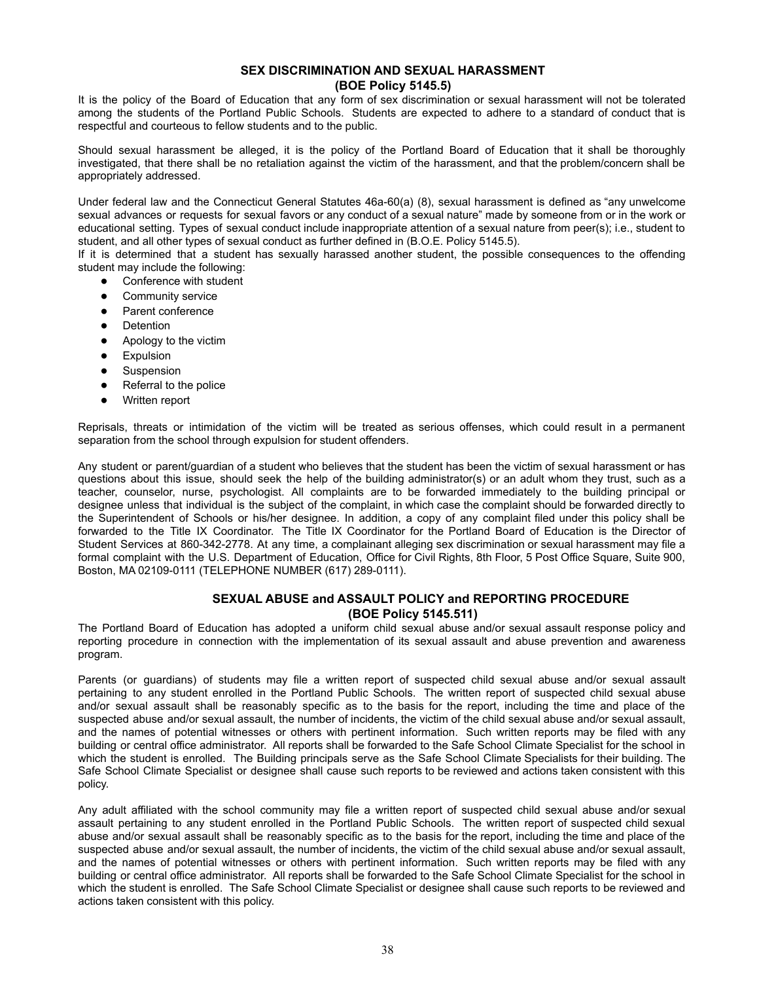# **SEX DISCRIMINATION AND SEXUAL HARASSMENT (BOE Policy 5145.5)**

It is the policy of the Board of Education that any form of sex discrimination or sexual harassment will not be tolerated among the students of the Portland Public Schools. Students are expected to adhere to a standard of conduct that is respectful and courteous to fellow students and to the public.

Should sexual harassment be alleged, it is the policy of the Portland Board of Education that it shall be thoroughly investigated, that there shall be no retaliation against the victim of the harassment, and that the problem/concern shall be appropriately addressed.

Under federal law and the Connecticut General Statutes 46a-60(a) (8), sexual harassment is defined as "any unwelcome sexual advances or requests for sexual favors or any conduct of a sexual nature" made by someone from or in the work or educational setting. Types of sexual conduct include inappropriate attention of a sexual nature from peer(s); i.e., student to student, and all other types of sexual conduct as further defined in (B.O.E. Policy 5145.5).

If it is determined that a student has sexually harassed another student, the possible consequences to the offending student may include the following:

- Conference with student
- Community service
- Parent conference
- Detention
- Apology to the victim
- Expulsion
- Suspension
- Referral to the police
- Written report

Reprisals, threats or intimidation of the victim will be treated as serious offenses, which could result in a permanent separation from the school through expulsion for student offenders.

Any student or parent/guardian of a student who believes that the student has been the victim of sexual harassment or has questions about this issue, should seek the help of the building administrator(s) or an adult whom they trust, such as a teacher, counselor, nurse, psychologist. All complaints are to be forwarded immediately to the building principal or designee unless that individual is the subject of the complaint, in which case the complaint should be forwarded directly to the Superintendent of Schools or his/her designee. In addition, a copy of any complaint filed under this policy shall be forwarded to the Title IX Coordinator. The Title IX Coordinator for the Portland Board of Education is the Director of Student Services at 860-342-2778. At any time, a complainant alleging sex discrimination or sexual harassment may file a formal complaint with the U.S. Department of Education, Office for Civil Rights, 8th Floor, 5 Post Office Square, Suite 900, Boston, MA 02109-0111 (TELEPHONE NUMBER (617) 289-0111).

# **SEXUAL ABUSE and ASSAULT POLICY and REPORTING PROCEDURE (BOE Policy 5145.511)**

The Portland Board of Education has adopted a uniform child sexual abuse and/or sexual assault response policy and reporting procedure in connection with the implementation of its sexual assault and abuse prevention and awareness program.

Parents (or guardians) of students may file a written report of suspected child sexual abuse and/or sexual assault pertaining to any student enrolled in the Portland Public Schools. The written report of suspected child sexual abuse and/or sexual assault shall be reasonably specific as to the basis for the report, including the time and place of the suspected abuse and/or sexual assault, the number of incidents, the victim of the child sexual abuse and/or sexual assault, and the names of potential witnesses or others with pertinent information. Such written reports may be filed with any building or central office administrator. All reports shall be forwarded to the Safe School Climate Specialist for the school in which the student is enrolled. The Building principals serve as the Safe School Climate Specialists for their building. The Safe School Climate Specialist or designee shall cause such reports to be reviewed and actions taken consistent with this policy.

Any adult affiliated with the school community may file a written report of suspected child sexual abuse and/or sexual assault pertaining to any student enrolled in the Portland Public Schools. The written report of suspected child sexual abuse and/or sexual assault shall be reasonably specific as to the basis for the report, including the time and place of the suspected abuse and/or sexual assault, the number of incidents, the victim of the child sexual abuse and/or sexual assault, and the names of potential witnesses or others with pertinent information. Such written reports may be filed with any building or central office administrator. All reports shall be forwarded to the Safe School Climate Specialist for the school in which the student is enrolled. The Safe School Climate Specialist or designee shall cause such reports to be reviewed and actions taken consistent with this policy.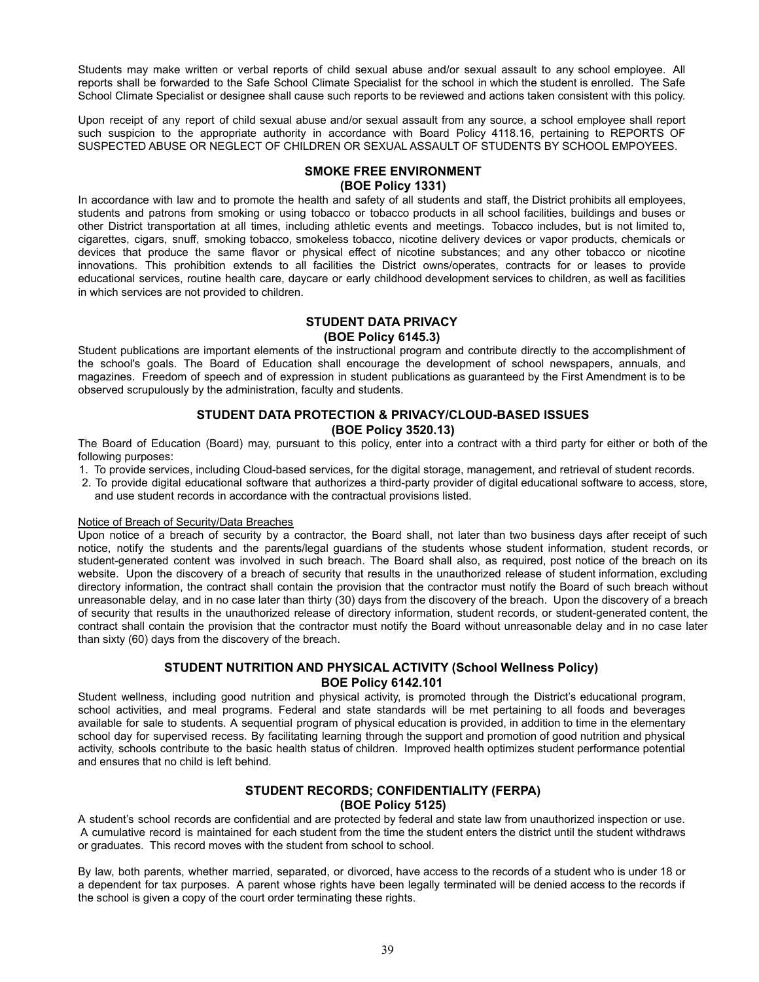Students may make written or verbal reports of child sexual abuse and/or sexual assault to any school employee. All reports shall be forwarded to the Safe School Climate Specialist for the school in which the student is enrolled. The Safe School Climate Specialist or designee shall cause such reports to be reviewed and actions taken consistent with this policy.

Upon receipt of any report of child sexual abuse and/or sexual assault from any source, a school employee shall report such suspicion to the appropriate authority in accordance with Board Policy 4118.16, pertaining to REPORTS OF SUSPECTED ABUSE OR NEGLECT OF CHILDREN OR SEXUAL ASSAULT OF STUDENTS BY SCHOOL EMPOYEES.

# **SMOKE FREE ENVIRONMENT (BOE Policy 1331)**

In accordance with law and to promote the health and safety of all students and staff, the District prohibits all employees, students and patrons from smoking or using tobacco or tobacco products in all school facilities, buildings and buses or other District transportation at all times, including athletic events and meetings. Tobacco includes, but is not limited to, cigarettes, cigars, snuff, smoking tobacco, smokeless tobacco, nicotine delivery devices or vapor products, chemicals or devices that produce the same flavor or physical effect of nicotine substances; and any other tobacco or nicotine innovations. This prohibition extends to all facilities the District owns/operates, contracts for or leases to provide educational services, routine health care, daycare or early childhood development services to children, as well as facilities in which services are not provided to children.

# **STUDENT DATA PRIVACY**

#### **(BOE Policy 6145.3)**

Student publications are important elements of the instructional program and contribute directly to the accomplishment of the school's goals. The Board of Education shall encourage the development of school newspapers, annuals, and magazines. Freedom of speech and of expression in student publications as guaranteed by the First Amendment is to be observed scrupulously by the administration, faculty and students.

# **STUDENT DATA PROTECTION & PRIVACY/CLOUD-BASED ISSUES (BOE Policy 3520.13)**

The Board of Education (Board) may, pursuant to this policy, enter into a contract with a third party for either or both of the following purposes:

- 1. To provide services, including Cloud-based services, for the digital storage, management, and retrieval of student records.
- 2. To provide digital educational software that authorizes a third-party provider of digital educational software to access, store, and use student records in accordance with the contractual provisions listed.

#### Notice of Breach of Security/Data Breaches

Upon notice of a breach of security by a contractor, the Board shall, not later than two business days after receipt of such notice, notify the students and the parents/legal guardians of the students whose student information, student records, or student-generated content was involved in such breach. The Board shall also, as required, post notice of the breach on its website. Upon the discovery of a breach of security that results in the unauthorized release of student information, excluding directory information, the contract shall contain the provision that the contractor must notify the Board of such breach without unreasonable delay, and in no case later than thirty (30) days from the discovery of the breach. Upon the discovery of a breach of security that results in the unauthorized release of directory information, student records, or student-generated content, the contract shall contain the provision that the contractor must notify the Board without unreasonable delay and in no case later than sixty (60) days from the discovery of the breach.

# **STUDENT NUTRITION AND PHYSICAL ACTIVITY (School Wellness Policy) BOE Policy 6142.101**

Student wellness, including good nutrition and physical activity, is promoted through the District's educational program, school activities, and meal programs. Federal and state standards will be met pertaining to all foods and beverages available for sale to students. A sequential program of physical education is provided, in addition to time in the elementary school day for supervised recess. By facilitating learning through the support and promotion of good nutrition and physical activity, schools contribute to the basic health status of children. Improved health optimizes student performance potential and ensures that no child is left behind.

# **STUDENT RECORDS; CONFIDENTIALITY (FERPA) (BOE Policy 5125)**

A student's school records are confidential and are protected by federal and state law from unauthorized inspection or use. A cumulative record is maintained for each student from the time the student enters the district until the student withdraws or graduates. This record moves with the student from school to school.

By law, both parents, whether married, separated, or divorced, have access to the records of a student who is under 18 or a dependent for tax purposes. A parent whose rights have been legally terminated will be denied access to the records if the school is given a copy of the court order terminating these rights.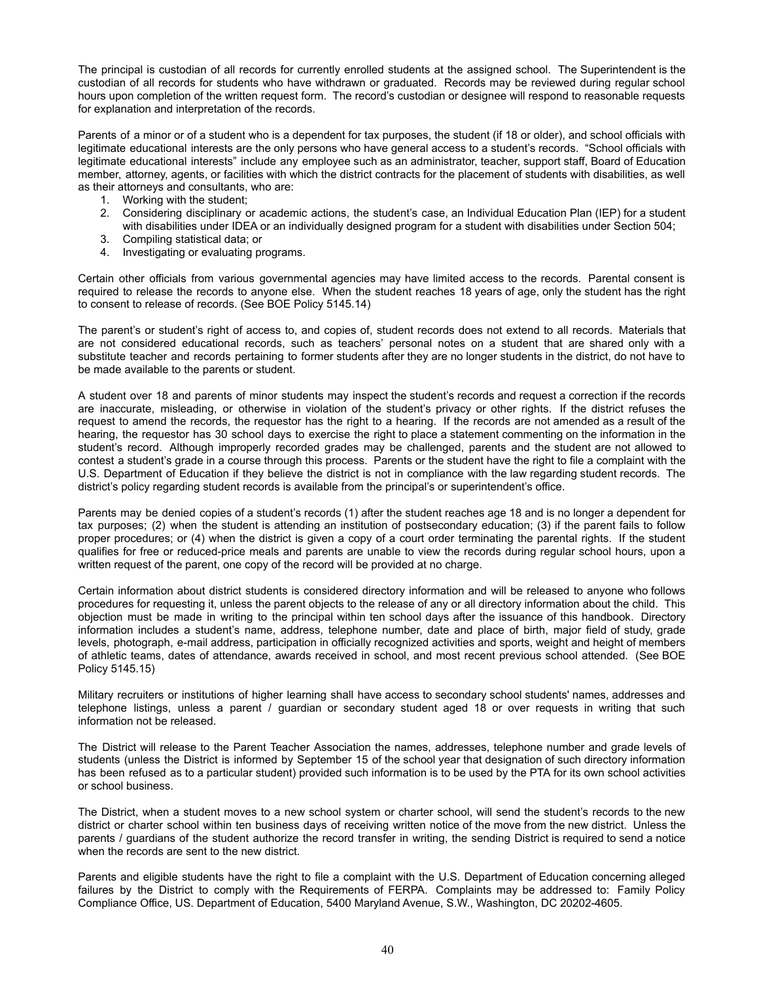The principal is custodian of all records for currently enrolled students at the assigned school. The Superintendent is the custodian of all records for students who have withdrawn or graduated. Records may be reviewed during regular school hours upon completion of the written request form. The record's custodian or designee will respond to reasonable requests for explanation and interpretation of the records.

Parents of a minor or of a student who is a dependent for tax purposes, the student (if 18 or older), and school officials with legitimate educational interests are the only persons who have general access to a student's records. "School officials with legitimate educational interests" include any employee such as an administrator, teacher, support staff, Board of Education member, attorney, agents, or facilities with which the district contracts for the placement of students with disabilities, as well as their attorneys and consultants, who are:

- 1. Working with the student;
- 2. Considering disciplinary or academic actions, the student's case, an Individual Education Plan (IEP) for a student with disabilities under IDEA or an individually designed program for a student with disabilities under Section 504;
- 3. Compiling statistical data; or
- 4. Investigating or evaluating programs.

Certain other officials from various governmental agencies may have limited access to the records. Parental consent is required to release the records to anyone else. When the student reaches 18 years of age, only the student has the right to consent to release of records. (See BOE Policy 5145.14)

The parent's or student's right of access to, and copies of, student records does not extend to all records. Materials that are not considered educational records, such as teachers' personal notes on a student that are shared only with a substitute teacher and records pertaining to former students after they are no longer students in the district, do not have to be made available to the parents or student.

A student over 18 and parents of minor students may inspect the student's records and request a correction if the records are inaccurate, misleading, or otherwise in violation of the student's privacy or other rights. If the district refuses the request to amend the records, the requestor has the right to a hearing. If the records are not amended as a result of the hearing, the requestor has 30 school days to exercise the right to place a statement commenting on the information in the student's record. Although improperly recorded grades may be challenged, parents and the student are not allowed to contest a student's grade in a course through this process. Parents or the student have the right to file a complaint with the U.S. Department of Education if they believe the district is not in compliance with the law regarding student records. The district's policy regarding student records is available from the principal's or superintendent's office.

Parents may be denied copies of a student's records (1) after the student reaches age 18 and is no longer a dependent for tax purposes; (2) when the student is attending an institution of postsecondary education; (3) if the parent fails to follow proper procedures; or (4) when the district is given a copy of a court order terminating the parental rights. If the student qualifies for free or reduced-price meals and parents are unable to view the records during regular school hours, upon a written request of the parent, one copy of the record will be provided at no charge.

Certain information about district students is considered directory information and will be released to anyone who follows procedures for requesting it, unless the parent objects to the release of any or all directory information about the child. This objection must be made in writing to the principal within ten school days after the issuance of this handbook. Directory information includes a student's name, address, telephone number, date and place of birth, major field of study, grade levels, photograph, e-mail address, participation in officially recognized activities and sports, weight and height of members of athletic teams, dates of attendance, awards received in school, and most recent previous school attended. (See BOE Policy 5145.15)

Military recruiters or institutions of higher learning shall have access to secondary school students' names, addresses and telephone listings, unless a parent / guardian or secondary student aged 18 or over requests in writing that such information not be released.

The District will release to the Parent Teacher Association the names, addresses, telephone number and grade levels of students (unless the District is informed by September 15 of the school year that designation of such directory information has been refused as to a particular student) provided such information is to be used by the PTA for its own school activities or school business.

The District, when a student moves to a new school system or charter school, will send the student's records to the new district or charter school within ten business days of receiving written notice of the move from the new district. Unless the parents / guardians of the student authorize the record transfer in writing, the sending District is required to send a notice when the records are sent to the new district.

Parents and eligible students have the right to file a complaint with the U.S. Department of Education concerning alleged failures by the District to comply with the Requirements of FERPA. Complaints may be addressed to: Family Policy Compliance Office, US. Department of Education, 5400 Maryland Avenue, S.W., Washington, DC 20202-4605.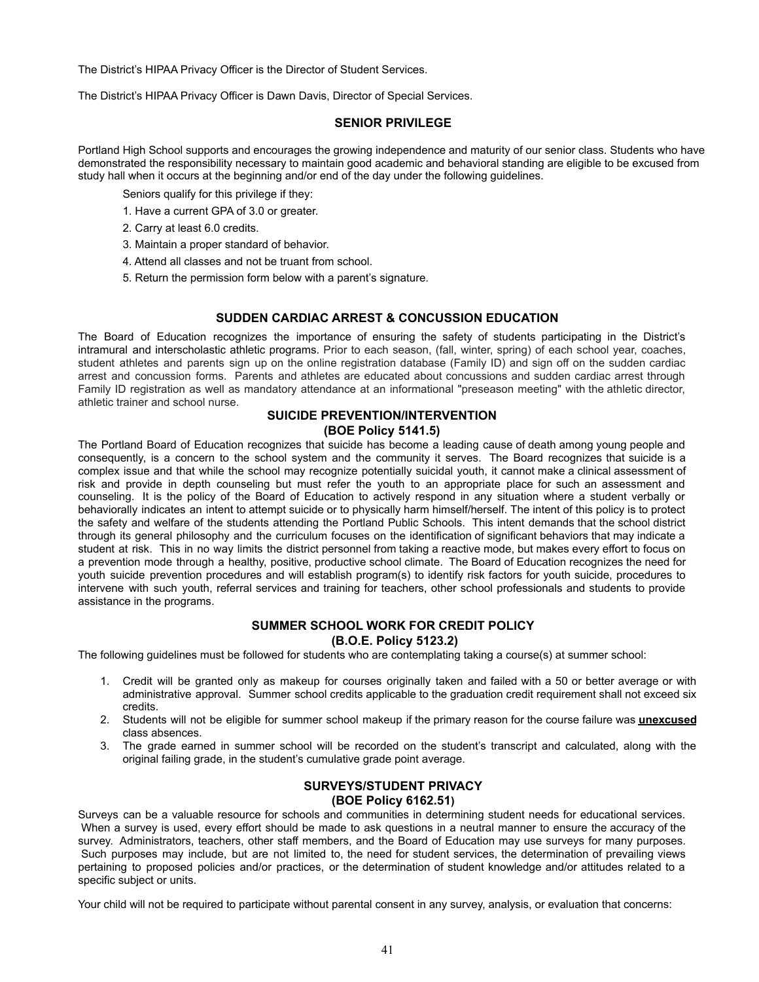The District's HIPAA Privacy Officer is the Director of Student Services.

The District's HIPAA Privacy Officer is Dawn Davis, Director of Special Services.

#### **SENIOR PRIVILEGE**

Portland High School supports and encourages the growing independence and maturity of our senior class. Students who have demonstrated the responsibility necessary to maintain good academic and behavioral standing are eligible to be excused from study hall when it occurs at the beginning and/or end of the day under the following guidelines.

Seniors qualify for this privilege if they:

- 1. Have a current GPA of 3.0 or greater.
- 2. Carry at least 6.0 credits.
- 3. Maintain a proper standard of behavior.
- 4. Attend all classes and not be truant from school.
- 5. Return the permission form below with a parent's signature.

# **SUDDEN CARDIAC ARREST & CONCUSSION EDUCATION**

The Board of Education recognizes the importance of ensuring the safety of students participating in the District's intramural and interscholastic athletic programs. Prior to each season, (fall, winter, spring) of each school year, coaches, student athletes and parents sign up on the online registration database (Family ID) and sign off on the sudden cardiac arrest and concussion forms. Parents and athletes are educated about concussions and sudden cardiac arrest through Family ID registration as well as mandatory attendance at an informational "preseason meeting" with the athletic director, athletic trainer and school nurse.

#### **SUICIDE PREVENTION/INTERVENTION (BOE Policy 5141.5)**

The Portland Board of Education recognizes that suicide has become a leading cause of death among young people and consequently, is a concern to the school system and the community it serves. The Board recognizes that suicide is a complex issue and that while the school may recognize potentially suicidal youth, it cannot make a clinical assessment of risk and provide in depth counseling but must refer the youth to an appropriate place for such an assessment and counseling. It is the policy of the Board of Education to actively respond in any situation where a student verbally or behaviorally indicates an intent to attempt suicide or to physically harm himself/herself. The intent of this policy is to protect the safety and welfare of the students attending the Portland Public Schools. This intent demands that the school district through its general philosophy and the curriculum focuses on the identification of significant behaviors that may indicate a student at risk. This in no way limits the district personnel from taking a reactive mode, but makes every effort to focus on a prevention mode through a healthy, positive, productive school climate. The Board of Education recognizes the need for youth suicide prevention procedures and will establish program(s) to identify risk factors for youth suicide, procedures to intervene with such youth, referral services and training for teachers, other school professionals and students to provide assistance in the programs.

# **SUMMER SCHOOL WORK FOR CREDIT POLICY (B.O.E. Policy 5123.2)**

The following guidelines must be followed for students who are contemplating taking a course(s) at summer school:

- 1. Credit will be granted only as makeup for courses originally taken and failed with a 50 or better average or with administrative approval. Summer school credits applicable to the graduation credit requirement shall not exceed six credits.
- 2. Students will not be eligible for summer school makeup if the primary reason for the course failure was **unexcused** class absences.
- 3. The grade earned in summer school will be recorded on the student's transcript and calculated, along with the original failing grade, in the student's cumulative grade point average.

# **SURVEYS/STUDENT PRIVACY (BOE Policy 6162.51)**

Surveys can be a valuable resource for schools and communities in determining student needs for educational services. When a survey is used, every effort should be made to ask questions in a neutral manner to ensure the accuracy of the survey. Administrators, teachers, other staff members, and the Board of Education may use surveys for many purposes. Such purposes may include, but are not limited to, the need for student services, the determination of prevailing views pertaining to proposed policies and/or practices, or the determination of student knowledge and/or attitudes related to a specific subject or units.

Your child will not be required to participate without parental consent in any survey, analysis, or evaluation that concerns: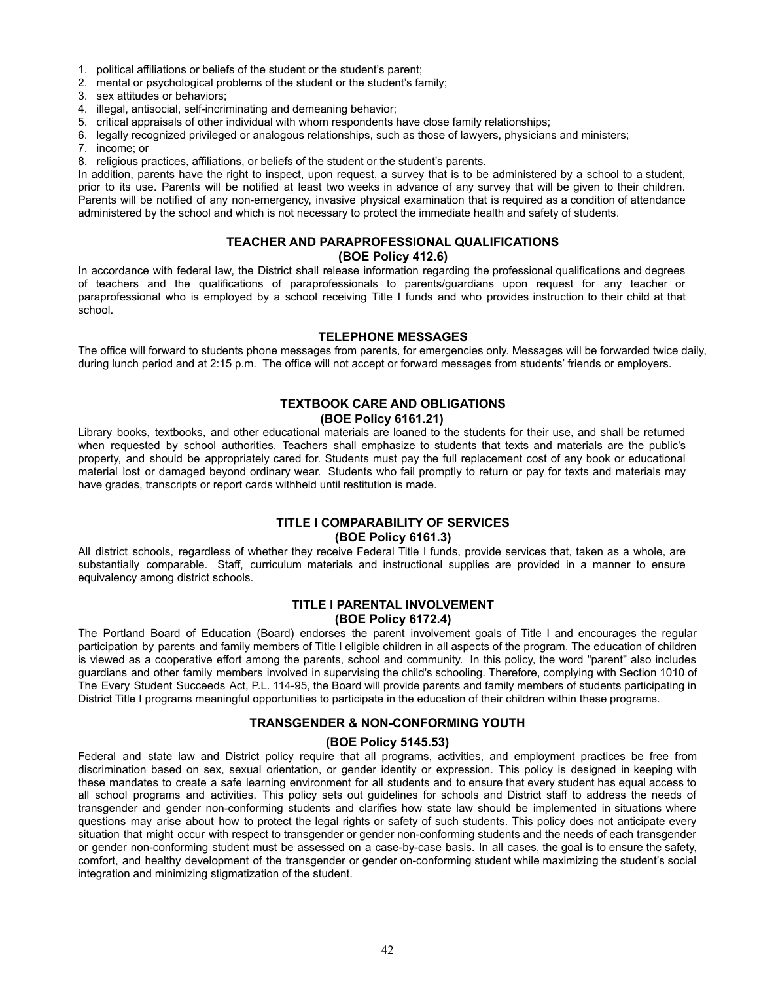- 1. political affiliations or beliefs of the student or the student's parent;
- 2. mental or psychological problems of the student or the student's family;
- 3. sex attitudes or behaviors;
- 4. illegal, antisocial, self-incriminating and demeaning behavior;
- 5. critical appraisals of other individual with whom respondents have close family relationships;
- 6. legally recognized privileged or analogous relationships, such as those of lawyers, physicians and ministers;
- 7. income; or
- 8. religious practices, affiliations, or beliefs of the student or the student's parents.

In addition, parents have the right to inspect, upon request, a survey that is to be administered by a school to a student, prior to its use. Parents will be notified at least two weeks in advance of any survey that will be given to their children. Parents will be notified of any non-emergency, invasive physical examination that is required as a condition of attendance administered by the school and which is not necessary to protect the immediate health and safety of students.

# **TEACHER AND PARAPROFESSIONAL QUALIFICATIONS**

#### **(BOE Policy 412.6)**

In accordance with federal law, the District shall release information regarding the professional qualifications and degrees of teachers and the qualifications of paraprofessionals to parents/guardians upon request for any teacher or paraprofessional who is employed by a school receiving Title I funds and who provides instruction to their child at that school.

#### **TELEPHONE MESSAGES**

The office will forward to students phone messages from parents, for emergencies only. Messages will be forwarded twice daily, during lunch period and at 2:15 p.m. The office will not accept or forward messages from students' friends or employers.

# **TEXTBOOK CARE AND OBLIGATIONS**

#### **(BOE Policy 6161.21)**

Library books, textbooks, and other educational materials are loaned to the students for their use, and shall be returned when requested by school authorities. Teachers shall emphasize to students that texts and materials are the public's property, and should be appropriately cared for. Students must pay the full replacement cost of any book or educational material lost or damaged beyond ordinary wear. Students who fail promptly to return or pay for texts and materials may have grades, transcripts or report cards withheld until restitution is made.

# **TITLE I COMPARABILITY OF SERVICES (BOE Policy 6161.3)**

All district schools, regardless of whether they receive Federal Title I funds, provide services that, taken as a whole, are substantially comparable. Staff, curriculum materials and instructional supplies are provided in a manner to ensure equivalency among district schools.

# **TITLE I PARENTAL INVOLVEMENT (BOE Policy 6172.4)**

The Portland Board of Education (Board) endorses the parent involvement goals of Title I and encourages the regular participation by parents and family members of Title I eligible children in all aspects of the program. The education of children is viewed as a cooperative effort among the parents, school and community. In this policy, the word "parent" also includes guardians and other family members involved in supervising the child's schooling. Therefore, complying with Section 1010 of The Every Student Succeeds Act, P.L. 114-95, the Board will provide parents and family members of students participating in District Title I programs meaningful opportunities to participate in the education of their children within these programs.

# **TRANSGENDER & NON-CONFORMING YOUTH**

# **(BOE Policy 5145.53)**

Federal and state law and District policy require that all programs, activities, and employment practices be free from discrimination based on sex, sexual orientation, or gender identity or expression. This policy is designed in keeping with these mandates to create a safe learning environment for all students and to ensure that every student has equal access to all school programs and activities. This policy sets out guidelines for schools and District staff to address the needs of transgender and gender non-conforming students and clarifies how state law should be implemented in situations where questions may arise about how to protect the legal rights or safety of such students. This policy does not anticipate every situation that might occur with respect to transgender or gender non-conforming students and the needs of each transgender or gender non-conforming student must be assessed on a case-by-case basis. In all cases, the goal is to ensure the safety, comfort, and healthy development of the transgender or gender on-conforming student while maximizing the student's social integration and minimizing stigmatization of the student.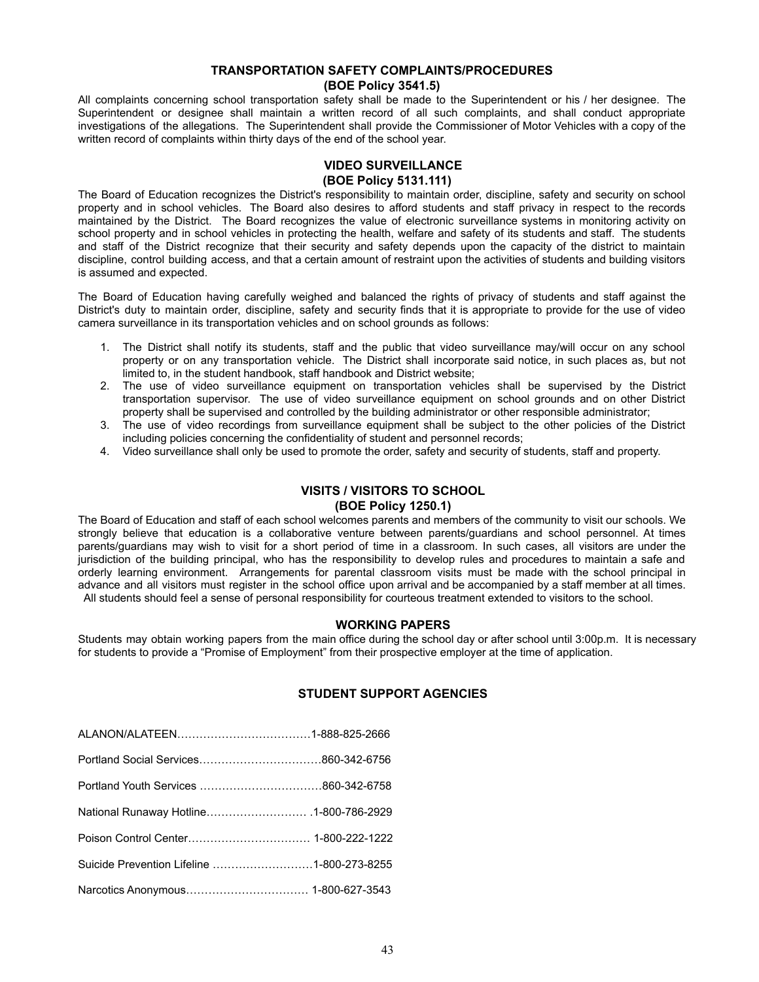# **TRANSPORTATION SAFETY COMPLAINTS/PROCEDURES (BOE Policy 3541.5)**

All complaints concerning school transportation safety shall be made to the Superintendent or his / her designee. The Superintendent or designee shall maintain a written record of all such complaints, and shall conduct appropriate investigations of the allegations. The Superintendent shall provide the Commissioner of Motor Vehicles with a copy of the written record of complaints within thirty days of the end of the school year.

# **VIDEO SURVEILLANCE (BOE Policy 5131.111)**

The Board of Education recognizes the District's responsibility to maintain order, discipline, safety and security on school property and in school vehicles. The Board also desires to afford students and staff privacy in respect to the records maintained by the District. The Board recognizes the value of electronic surveillance systems in monitoring activity on school property and in school vehicles in protecting the health, welfare and safety of its students and staff. The students and staff of the District recognize that their security and safety depends upon the capacity of the district to maintain discipline, control building access, and that a certain amount of restraint upon the activities of students and building visitors is assumed and expected.

The Board of Education having carefully weighed and balanced the rights of privacy of students and staff against the District's duty to maintain order, discipline, safety and security finds that it is appropriate to provide for the use of video camera surveillance in its transportation vehicles and on school grounds as follows:

- 1. The District shall notify its students, staff and the public that video surveillance may/will occur on any school property or on any transportation vehicle. The District shall incorporate said notice, in such places as, but not limited to, in the student handbook, staff handbook and District website;
- 2. The use of video surveillance equipment on transportation vehicles shall be supervised by the District transportation supervisor. The use of video surveillance equipment on school grounds and on other District property shall be supervised and controlled by the building administrator or other responsible administrator;
- 3. The use of video recordings from surveillance equipment shall be subject to the other policies of the District including policies concerning the confidentiality of student and personnel records;
- 4. Video surveillance shall only be used to promote the order, safety and security of students, staff and property.

# **VISITS / VISITORS TO SCHOOL (BOE Policy 1250.1)**

The Board of Education and staff of each school welcomes parents and members of the community to visit our schools. We strongly believe that education is a collaborative venture between parents/guardians and school personnel. At times parents/guardians may wish to visit for a short period of time in a classroom. In such cases, all visitors are under the jurisdiction of the building principal, who has the responsibility to develop rules and procedures to maintain a safe and orderly learning environment. Arrangements for parental classroom visits must be made with the school principal in advance and all visitors must register in the school office upon arrival and be accompanied by a staff member at all times. All students should feel a sense of personal responsibility for courteous treatment extended to visitors to the school.

# **WORKING PAPERS**

Students may obtain working papers from the main office during the school day or after school until 3:00p.m. It is necessary for students to provide a "Promise of Employment" from their prospective employer at the time of application.

# **STUDENT SUPPORT AGENCIES**

| Suicide Prevention Lifeline 1-800-273-8255 |  |
|--------------------------------------------|--|
|                                            |  |